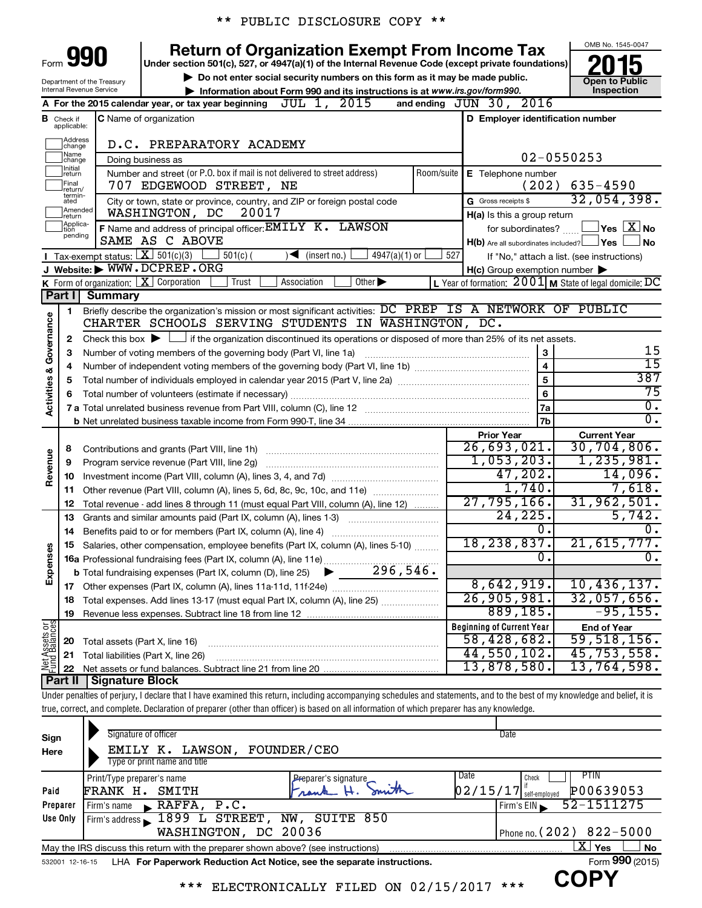|  |  | ** PUBLIC DISCLOSURE COPY ** |  |  |
|--|--|------------------------------|--|--|
|--|--|------------------------------|--|--|

|                                |                               |                                                 | <b>Return of Organization Exempt From Income Tax</b>                                                                                                                       |                                                           | OMB No. 1545-0047                                |
|--------------------------------|-------------------------------|-------------------------------------------------|----------------------------------------------------------------------------------------------------------------------------------------------------------------------------|-----------------------------------------------------------|--------------------------------------------------|
| Form                           |                               |                                                 | Under section 501(c), 527, or 4947(a)(1) of the Internal Revenue Code (except private foundations)                                                                         |                                                           |                                                  |
|                                |                               | Department of the Treasury                      | Do not enter social security numbers on this form as it may be made public.                                                                                                |                                                           | <b>Open to Public</b>                            |
|                                |                               | Internal Revenue Service                        | Information about Form 990 and its instructions is at www.irs.gov/form990.                                                                                                 |                                                           | Inspection                                       |
|                                |                               |                                                 | JUL 1, 2015<br>A For the 2015 calendar year, or tax year beginning                                                                                                         | and ending $JUN$ 30, $2016$                               |                                                  |
|                                | <b>B</b> Check if applicable: |                                                 | C Name of organization                                                                                                                                                     | D Employer identification number                          |                                                  |
|                                | ]Address<br>]change<br>Name   |                                                 | D.C. PREPARATORY ACADEMY                                                                                                                                                   |                                                           | $02 - 0550253$                                   |
|                                | change<br>Initial             |                                                 | Doing business as<br>Number and street (or P.O. box if mail is not delivered to street address)<br>Room/suite                                                              |                                                           |                                                  |
|                                | return<br>Final<br>return/    |                                                 | 707 EDGEWOOD STREET, NE                                                                                                                                                    | E Telephone number<br>(202)                               | 635-4590                                         |
|                                | termin-<br>ated               |                                                 | City or town, state or province, country, and ZIP or foreign postal code                                                                                                   | G Gross receipts \$                                       | 32,054,398.                                      |
|                                | Amended<br>return             |                                                 | 20017<br>WASHINGTON, DC                                                                                                                                                    | H(a) Is this a group return                               |                                                  |
|                                | Applica-<br>tion<br>pending   |                                                 | F Name and address of principal officer: EMILY K. LAWSON                                                                                                                   | for subordinates?                                         | $\sqrt{}$ Yes $\sqrt{ \ \overline{\text{X}}}$ No |
|                                |                               |                                                 | SAME AS C ABOVE                                                                                                                                                            | $H(b)$ Are all subordinates included? $\Box$ Yes          | No                                               |
|                                |                               | <b>I</b> Tax-exempt status: $X \over 301(c)(3)$ | $4947(a)(1)$ or<br>$501(c)$ (<br>$\blacktriangleright$<br>(insert no.)                                                                                                     | 527                                                       | If "No," attach a list. (see instructions)       |
|                                |                               |                                                 | J Website: WWW.DCPREP.ORG                                                                                                                                                  | $H(c)$ Group exemption number $\blacktriangleright$       |                                                  |
|                                |                               |                                                 | Other $\blacktriangleright$<br>K Form of organization: $X$ Corporation<br>Association<br>Trust                                                                             | L Year of formation: $2001$ M State of legal domicile: DC |                                                  |
|                                | Part I                        | <b>Summary</b>                                  |                                                                                                                                                                            |                                                           |                                                  |
|                                | 1                             |                                                 | Briefly describe the organization's mission or most significant activities: DC PREP IS A NETWORK OF PUBLIC                                                                 |                                                           |                                                  |
| Governance                     |                               |                                                 | CHARTER SCHOOLS SERVING STUDENTS IN WASHINGTON, DC.                                                                                                                        |                                                           |                                                  |
|                                | 2                             |                                                 | Check this box $\blacktriangleright$ $\Box$ if the organization discontinued its operations or disposed of more than 25% of its net assets.                                |                                                           | 15                                               |
|                                | З                             |                                                 | Number of voting members of the governing body (Part VI, line 1a)                                                                                                          | $\mathbf{3}$<br>$\overline{4}$                            | $\overline{15}$                                  |
|                                | 4                             |                                                 |                                                                                                                                                                            |                                                           | 387                                              |
| <b>Activities &amp;</b>        | 5                             |                                                 |                                                                                                                                                                            | 6                                                         | 75                                               |
|                                | 6                             |                                                 |                                                                                                                                                                            | 7a                                                        | σ.                                               |
|                                |                               |                                                 |                                                                                                                                                                            | 7b                                                        | $\overline{\mathfrak{o}}$ .                      |
|                                |                               |                                                 |                                                                                                                                                                            | <b>Prior Year</b>                                         | <b>Current Year</b>                              |
|                                | 8                             |                                                 | Contributions and grants (Part VIII, line 1h)                                                                                                                              | $\overline{26,693,021.}$                                  | 30, 704, 806.                                    |
|                                | 9                             |                                                 | Program service revenue (Part VIII, line 2g)                                                                                                                               | 1,053,203.                                                | 1, 235, 981.                                     |
| Revenue                        | 10                            |                                                 |                                                                                                                                                                            | 47,202.                                                   | 14,096.                                          |
|                                | 11                            |                                                 | Other revenue (Part VIII, column (A), lines 5, 6d, 8c, 9c, 10c, and 11e)                                                                                                   | 1,740.                                                    | 7,618.                                           |
|                                | 12                            |                                                 | Total revenue - add lines 8 through 11 (must equal Part VIII, column (A), line 12)                                                                                         | 27,795,166.                                               | 31,962,501.                                      |
|                                | 13                            |                                                 | Grants and similar amounts paid (Part IX, column (A), lines 1-3)                                                                                                           | 24, 225.                                                  | 5,742.                                           |
|                                | 14                            |                                                 |                                                                                                                                                                            | 0.                                                        | О.                                               |
| w                              |                               |                                                 | 15 Salaries, other compensation, employee benefits (Part IX, column (A), lines 5-10)                                                                                       | 18,238,837.                                               | 21,615,777.                                      |
| Expenses                       |                               |                                                 | 16a Professional fundraising fees (Part IX, column (A), line 11e)                                                                                                          | $\overline{0}$ .                                          | σ.                                               |
|                                |                               |                                                 | 296,546.<br><b>b</b> Total fundraising expenses (Part IX, column (D), line 25)                                                                                             |                                                           |                                                  |
|                                |                               |                                                 |                                                                                                                                                                            | 8,642,919.                                                | 10,436,137.                                      |
|                                | 18                            |                                                 | Total expenses. Add lines 13-17 (must equal Part IX, column (A), line 25)                                                                                                  | 26,905,981.                                               | 32,057,656.                                      |
|                                | 19                            |                                                 |                                                                                                                                                                            | 889, 185.                                                 | $-95, 155.$                                      |
|                                |                               |                                                 |                                                                                                                                                                            | <b>Beginning of Current Year</b>                          | <b>End of Year</b>                               |
| Net Assets or<br>Fund Balances | 20                            | Total assets (Part X, line 16)                  |                                                                                                                                                                            | 58,428,682.                                               | 59,518,156.                                      |
|                                | 21                            |                                                 | Total liabilities (Part X, line 26)                                                                                                                                        | $44,550,102$ .                                            | 45,753,558.                                      |
|                                | 22                            |                                                 |                                                                                                                                                                            | 13,878,580.                                               | 13,764,598.                                      |
|                                | Part II                       | <b>Signature Block</b>                          |                                                                                                                                                                            |                                                           |                                                  |
|                                |                               |                                                 | Under penalties of perjury, I declare that I have examined this return, including accompanying schedules and statements, and to the best of my knowledge and belief, it is |                                                           |                                                  |

true, correct, and complete. Declaration of preparer (other than officer) is based on all information of which preparer has any knowledge.

| Sign                                                                                                              | Signature of officer                                                                                         |                      | Date                                  |  |  |  |  |  |  |  |
|-------------------------------------------------------------------------------------------------------------------|--------------------------------------------------------------------------------------------------------------|----------------------|---------------------------------------|--|--|--|--|--|--|--|
| Here                                                                                                              | <b>LAWSON,</b><br>EMILY K.                                                                                   | FOUNDER/CEO          |                                       |  |  |  |  |  |  |  |
|                                                                                                                   | Type or print name and title                                                                                 |                      |                                       |  |  |  |  |  |  |  |
|                                                                                                                   | Print/Type preparer's name                                                                                   | Preparer's signature | Date<br>PIIN<br>Check                 |  |  |  |  |  |  |  |
| Paid                                                                                                              | FRANK H.<br>SMITH                                                                                            | Trank                | $02/15/17$ self-employed<br>P00639053 |  |  |  |  |  |  |  |
| Preparer                                                                                                          | RAFFA, P.C.<br>Firm's name<br>$\blacksquare$                                                                 |                      | 52-1511275<br>Firm's EIN              |  |  |  |  |  |  |  |
| Use Only                                                                                                          | Firm's address 1899 L STREET,                                                                                | NW, SUITE 850        |                                       |  |  |  |  |  |  |  |
|                                                                                                                   | WASHINGTON, DC 20036                                                                                         |                      | Phone no. $(202)$ 822-5000            |  |  |  |  |  |  |  |
| $X \mid$<br><b>No</b><br>Yes<br>May the IRS discuss this return with the preparer shown above? (see instructions) |                                                                                                              |                      |                                       |  |  |  |  |  |  |  |
|                                                                                                                   | Form 990 (2015)<br>LHA For Paperwork Reduction Act Notice, see the separate instructions.<br>532001 12-16-15 |                      |                                       |  |  |  |  |  |  |  |
|                                                                                                                   |                                                                                                              |                      | CODV                                  |  |  |  |  |  |  |  |

\*\*\* ELECTRONICALLY FILED ON 02/15/2017 \*\*\* **COPY**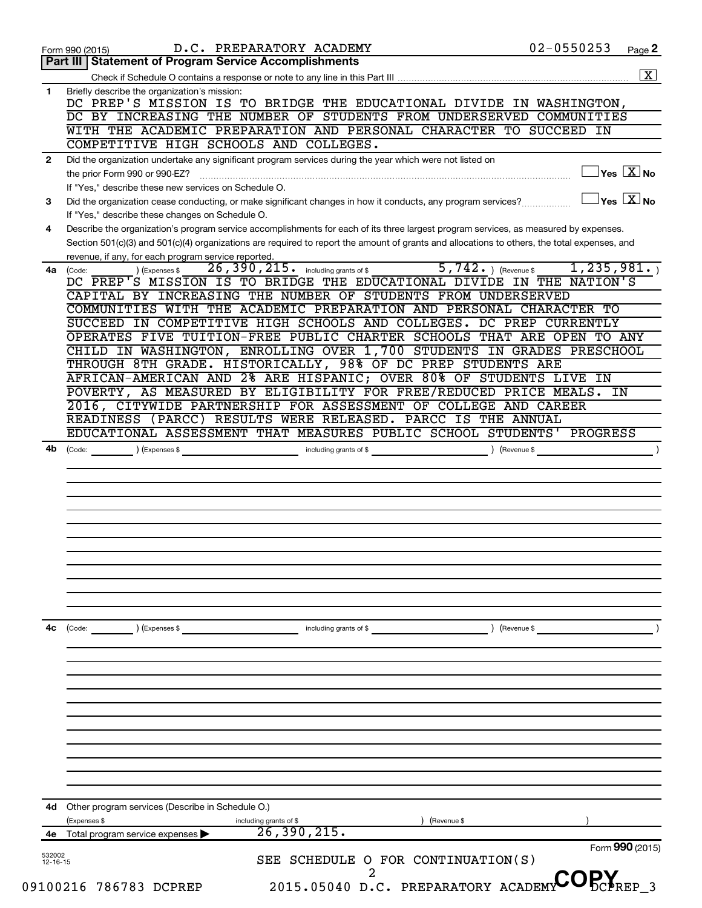|                    | D.C. PREPARATORY ACADEMY<br>Form 990 (2015)                                                                                                                                                                                                                                          | 02-0550253                           | Page 2                                           |
|--------------------|--------------------------------------------------------------------------------------------------------------------------------------------------------------------------------------------------------------------------------------------------------------------------------------|--------------------------------------|--------------------------------------------------|
|                    | Part III   Statement of Program Service Accomplishments                                                                                                                                                                                                                              |                                      |                                                  |
|                    |                                                                                                                                                                                                                                                                                      |                                      | $\boxed{\text{X}}$                               |
| 1                  | Briefly describe the organization's mission:<br>DC PREP'S MISSION IS TO BRIDGE THE EDUCATIONAL DIVIDE IN WASHINGTON,<br>DC BY INCREASING THE NUMBER OF STUDENTS FROM UNDERSERVED COMMUNITIES<br>WITH THE ACADEMIC PREPARATION AND PERSONAL CHARACTER TO SUCCEED IN                   |                                      |                                                  |
|                    | COMPETITIVE HIGH SCHOOLS AND COLLEGES.                                                                                                                                                                                                                                               |                                      |                                                  |
| $\mathbf{2}$       | Did the organization undertake any significant program services during the year which were not listed on                                                                                                                                                                             |                                      |                                                  |
|                    | the prior Form 990 or 990-EZ?<br>If "Yes," describe these new services on Schedule O.                                                                                                                                                                                                |                                      | $\overline{\ }$ Yes $\overline{\rm X}$ No        |
| 3                  | Did the organization cease conducting, or make significant changes in how it conducts, any program services?<br>If "Yes," describe these changes on Schedule O.                                                                                                                      |                                      | $\overline{\ }$ Yes $\overline{\phantom{a}X}$ No |
| 4                  | Describe the organization's program service accomplishments for each of its three largest program services, as measured by expenses.<br>Section 501(c)(3) and 501(c)(4) organizations are required to report the amount of grants and allocations to others, the total expenses, and |                                      |                                                  |
|                    | revenue, if any, for each program service reported.                                                                                                                                                                                                                                  |                                      |                                                  |
| 4a l               | $\overline{26}$ , $\overline{390}$ , $\overline{215}$ . including grants of \$<br>) (Expenses \$<br>(Code:<br>DC PREP'S MISSION IS TO BRIDGE THE EDUCATIONAL DIVIDE IN THE NATION'S                                                                                                  | $5,742.$ (Revenue \$<br>1, 235, 981. |                                                  |
|                    | CAPITAL BY INCREASING THE NUMBER OF STUDENTS FROM UNDERSERVED                                                                                                                                                                                                                        |                                      |                                                  |
|                    | COMMUNITIES WITH THE ACADEMIC PREPARATION AND PERSONAL CHARACTER TO                                                                                                                                                                                                                  |                                      |                                                  |
|                    | SUCCEED IN COMPETITIVE HIGH SCHOOLS AND COLLEGES. DC PREP CURRENTLY                                                                                                                                                                                                                  |                                      |                                                  |
|                    | OPERATES FIVE TUITION-FREE PUBLIC CHARTER SCHOOLS THAT ARE OPEN TO ANY                                                                                                                                                                                                               |                                      |                                                  |
|                    | CHILD IN WASHINGTON, ENROLLING OVER 1,700 STUDENTS IN GRADES PRESCHOOL                                                                                                                                                                                                               |                                      |                                                  |
|                    | THROUGH 8TH GRADE. HISTORICALLY, 98% OF DC PREP STUDENTS ARE                                                                                                                                                                                                                         |                                      |                                                  |
|                    | AFRICAN-AMERICAN AND 2% ARE HISPANIC; OVER 80% OF STUDENTS LIVE IN                                                                                                                                                                                                                   |                                      |                                                  |
|                    | POVERTY, AS MEASURED BY ELIGIBILITY FOR FREE/REDUCED PRICE MEALS. IN                                                                                                                                                                                                                 |                                      |                                                  |
|                    | 2016, CITYWIDE PARTNERSHIP FOR ASSESSMENT OF COLLEGE AND CAREER                                                                                                                                                                                                                      |                                      |                                                  |
|                    | READINESS (PARCC) RESULTS WERE RELEASED. PARCC IS THE ANNUAL                                                                                                                                                                                                                         |                                      |                                                  |
|                    | EDUCATIONAL ASSESSMENT THAT MEASURES PUBLIC SCHOOL STUDENTS' PROGRESS                                                                                                                                                                                                                |                                      |                                                  |
|                    | (Code:<br>(Expenses \$<br>including grants of \$                                                                                                                                                                                                                                     | (Revenue \$                          |                                                  |
|                    |                                                                                                                                                                                                                                                                                      |                                      |                                                  |
|                    |                                                                                                                                                                                                                                                                                      |                                      |                                                  |
|                    |                                                                                                                                                                                                                                                                                      |                                      |                                                  |
|                    |                                                                                                                                                                                                                                                                                      |                                      |                                                  |
|                    | (Code:<br>(Expenses \$<br>including grants of \$                                                                                                                                                                                                                                     | (Revenue \$                          |                                                  |
|                    |                                                                                                                                                                                                                                                                                      |                                      |                                                  |
|                    |                                                                                                                                                                                                                                                                                      |                                      |                                                  |
|                    |                                                                                                                                                                                                                                                                                      |                                      |                                                  |
|                    |                                                                                                                                                                                                                                                                                      |                                      |                                                  |
|                    |                                                                                                                                                                                                                                                                                      |                                      |                                                  |
|                    | Other program services (Describe in Schedule O.)                                                                                                                                                                                                                                     |                                      |                                                  |
| 4b<br>4c<br>4d     | (Expenses \$<br>including grants of \$<br>(Revenue \$                                                                                                                                                                                                                                |                                      |                                                  |
| 4е                 | 26, 390, 215.<br>Total program service expenses                                                                                                                                                                                                                                      |                                      |                                                  |
| 532002<br>12-16-15 | SEE SCHEDULE O FOR CONTINUATION(S)                                                                                                                                                                                                                                                   | Form 990 (2015)                      |                                                  |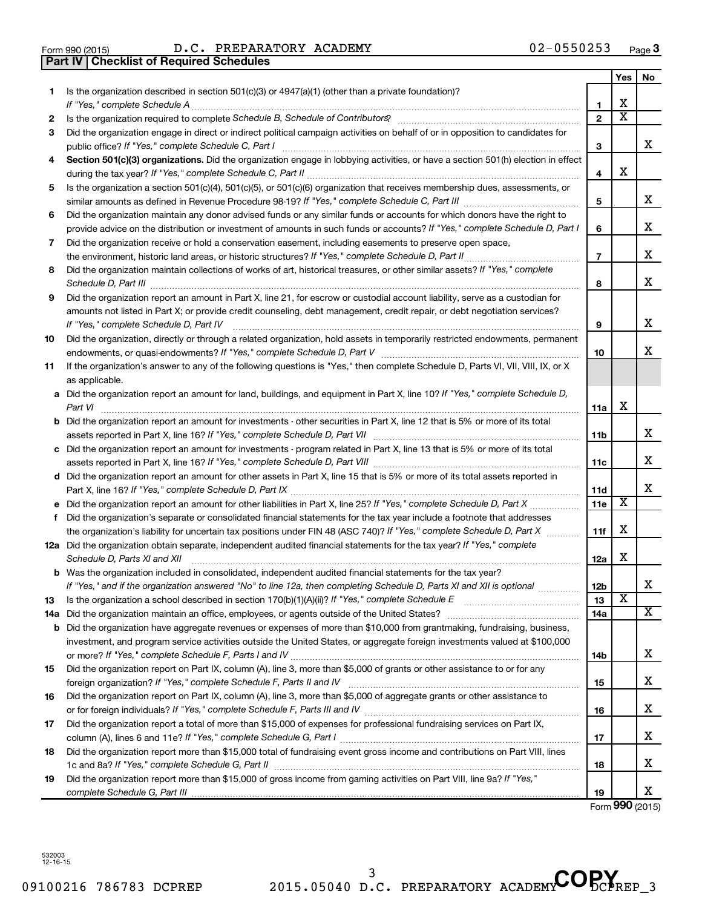**Part IV Checklist of Required Schedules**

|     |                                                                                                                                                                                                                            |                | Yes                     | No |
|-----|----------------------------------------------------------------------------------------------------------------------------------------------------------------------------------------------------------------------------|----------------|-------------------------|----|
| 1.  | Is the organization described in section $501(c)(3)$ or $4947(a)(1)$ (other than a private foundation)?                                                                                                                    |                |                         |    |
|     |                                                                                                                                                                                                                            | 1              | x                       |    |
| 2   | Is the organization required to complete Schedule B, Schedule of Contributors?                                                                                                                                             | $\mathbf{2}$   | $\overline{\textbf{x}}$ |    |
| 3   | Did the organization engage in direct or indirect political campaign activities on behalf of or in opposition to candidates for                                                                                            | 3              |                         | x  |
| 4   | Section 501(c)(3) organizations. Did the organization engage in lobbying activities, or have a section 501(h) election in effect                                                                                           |                |                         |    |
|     |                                                                                                                                                                                                                            | 4              | х                       |    |
| 5   | Is the organization a section 501(c)(4), 501(c)(5), or 501(c)(6) organization that receives membership dues, assessments, or                                                                                               |                |                         |    |
|     |                                                                                                                                                                                                                            | 5              |                         | x  |
| 6   | Did the organization maintain any donor advised funds or any similar funds or accounts for which donors have the right to                                                                                                  |                |                         |    |
|     | provide advice on the distribution or investment of amounts in such funds or accounts? If "Yes," complete Schedule D, Part I                                                                                               | 6              |                         | x  |
| 7   | Did the organization receive or hold a conservation easement, including easements to preserve open space,                                                                                                                  |                |                         |    |
|     | the environment, historic land areas, or historic structures? If "Yes," complete Schedule D, Part II                                                                                                                       | $\overline{7}$ |                         | x  |
| 8   | Did the organization maintain collections of works of art, historical treasures, or other similar assets? If "Yes," complete<br>Schedule D, Part III                                                                       | 8              |                         | x  |
| 9   | Did the organization report an amount in Part X, line 21, for escrow or custodial account liability, serve as a custodian for                                                                                              |                |                         |    |
|     | amounts not listed in Part X; or provide credit counseling, debt management, credit repair, or debt negotiation services?                                                                                                  |                |                         |    |
|     | If "Yes," complete Schedule D, Part IV                                                                                                                                                                                     | 9              |                         | x  |
| 10  | Did the organization, directly or through a related organization, hold assets in temporarily restricted endowments, permanent                                                                                              |                |                         | x  |
|     |                                                                                                                                                                                                                            | 10             |                         |    |
| 11  | If the organization's answer to any of the following questions is "Yes," then complete Schedule D, Parts VI, VII, VIII, IX, or X                                                                                           |                |                         |    |
|     | as applicable.<br>a Did the organization report an amount for land, buildings, and equipment in Part X, line 10? If "Yes," complete Schedule D,                                                                            |                |                         |    |
|     | Part VI                                                                                                                                                                                                                    | 11a            | х                       |    |
|     | <b>b</b> Did the organization report an amount for investments - other securities in Part X, line 12 that is 5% or more of its total                                                                                       |                |                         |    |
|     |                                                                                                                                                                                                                            | 11b            |                         | x  |
|     | c Did the organization report an amount for investments - program related in Part X, line 13 that is 5% or more of its total                                                                                               |                |                         |    |
|     |                                                                                                                                                                                                                            | 11c            |                         | x  |
|     | d Did the organization report an amount for other assets in Part X, line 15 that is 5% or more of its total assets reported in                                                                                             |                |                         |    |
|     |                                                                                                                                                                                                                            | 11d            |                         | x  |
|     | e Did the organization report an amount for other liabilities in Part X, line 25? If "Yes," complete Schedule D, Part X                                                                                                    | 11e            | X                       |    |
| f   | Did the organization's separate or consolidated financial statements for the tax year include a footnote that addresses                                                                                                    |                |                         |    |
|     | the organization's liability for uncertain tax positions under FIN 48 (ASC 740)? If "Yes," complete Schedule D, Part X                                                                                                     | 11f            | х                       |    |
|     | 12a Did the organization obtain separate, independent audited financial statements for the tax year? If "Yes," complete                                                                                                    |                | х                       |    |
|     | Schedule D, Parts XI and XII<br><b>b</b> Was the organization included in consolidated, independent audited financial statements for the tax year?                                                                         | 12a            |                         |    |
|     | If "Yes," and if the organization answered "No" to line 12a, then completing Schedule D, Parts XI and XII is optional                                                                                                      | 12b            |                         | A  |
| 13  | Is the organization a school described in section 170(b)(1)(A)(ii)? If "Yes," complete Schedule E manual content content of the organization a school described in section 170(b)(1)(A)(ii)? If "Yes," complete Schedule E | 13             | х                       |    |
| 14a | Did the organization maintain an office, employees, or agents outside of the United States?                                                                                                                                | 14a            |                         | х  |
|     | <b>b</b> Did the organization have aggregate revenues or expenses of more than \$10,000 from grantmaking, fundraising, business,                                                                                           |                |                         |    |
|     | investment, and program service activities outside the United States, or aggregate foreign investments valued at \$100,000                                                                                                 |                |                         |    |
|     |                                                                                                                                                                                                                            | 14b            |                         | x. |
| 15  | Did the organization report on Part IX, column (A), line 3, more than \$5,000 of grants or other assistance to or for any                                                                                                  |                |                         |    |
|     |                                                                                                                                                                                                                            | 15             |                         | x. |
| 16  | Did the organization report on Part IX, column (A), line 3, more than \$5,000 of aggregate grants or other assistance to                                                                                                   |                |                         | x  |
|     |                                                                                                                                                                                                                            | 16             |                         |    |
| 17  | Did the organization report a total of more than \$15,000 of expenses for professional fundraising services on Part IX,                                                                                                    |                |                         | х  |
| 18  | Did the organization report more than \$15,000 total of fundraising event gross income and contributions on Part VIII, lines                                                                                               | 17             |                         |    |
|     |                                                                                                                                                                                                                            | 18             |                         | x. |
| 19  | Did the organization report more than \$15,000 of gross income from gaming activities on Part VIII, line 9a? If "Yes,"                                                                                                     |                |                         |    |
|     |                                                                                                                                                                                                                            | 19             |                         | x  |

Form **990** (2015)

532003 12-16-15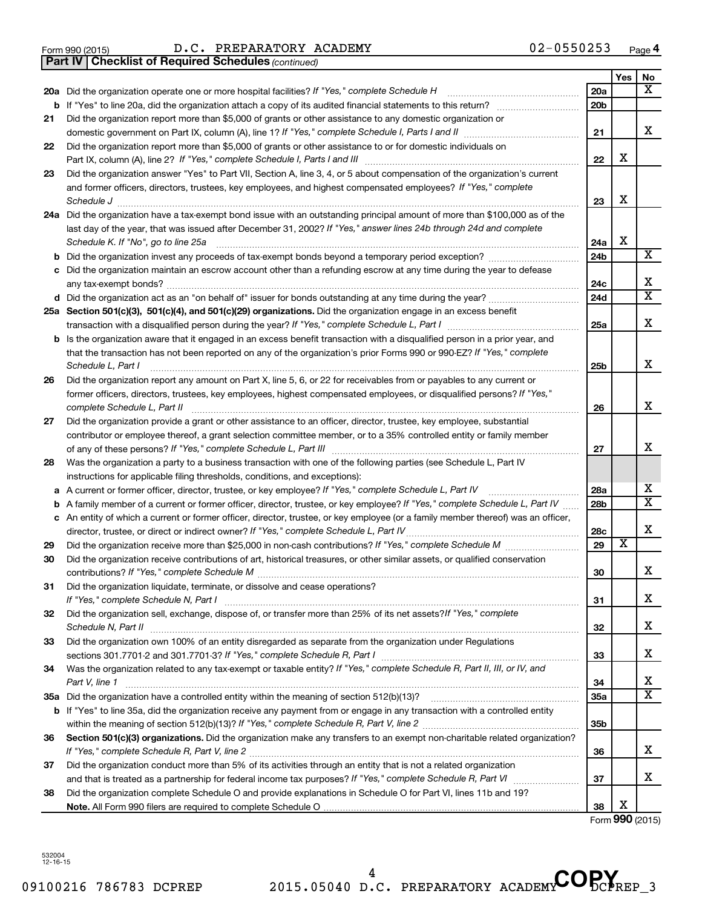Form 990 (2015)  $D.C. PREPARATORY ACADEMY$   $02-0550253$   $Page$ 

*(continued)* **Part IV Checklist of Required Schedules**

|    |                                                                                                                                                                                        |                 | Yes                     | No                      |
|----|----------------------------------------------------------------------------------------------------------------------------------------------------------------------------------------|-----------------|-------------------------|-------------------------|
|    | 20a Did the organization operate one or more hospital facilities? If "Yes," complete Schedule H                                                                                        | 20a             |                         | х                       |
|    |                                                                                                                                                                                        | 20 <sub>b</sub> |                         |                         |
| 21 | Did the organization report more than \$5,000 of grants or other assistance to any domestic organization or                                                                            |                 |                         |                         |
|    |                                                                                                                                                                                        | 21              |                         | x                       |
| 22 | Did the organization report more than \$5,000 of grants or other assistance to or for domestic individuals on                                                                          | 22              | х                       |                         |
| 23 | Did the organization answer "Yes" to Part VII, Section A, line 3, 4, or 5 about compensation of the organization's current                                                             |                 |                         |                         |
|    | and former officers, directors, trustees, key employees, and highest compensated employees? If "Yes," complete                                                                         | 23              | х                       |                         |
|    | Schedule J <b>Execute Schedule J Execute Schedule J</b><br>24a Did the organization have a tax-exempt bond issue with an outstanding principal amount of more than \$100,000 as of the |                 |                         |                         |
|    | last day of the year, that was issued after December 31, 2002? If "Yes," answer lines 24b through 24d and complete<br>Schedule K. If "No", go to line 25a                              | 24a             | X                       |                         |
| b  |                                                                                                                                                                                        | 24b             |                         | X                       |
|    | Did the organization maintain an escrow account other than a refunding escrow at any time during the year to defease                                                                   |                 |                         | X                       |
|    | d Did the organization act as an "on behalf of" issuer for bonds outstanding at any time during the year?                                                                              | 24с<br>24d      |                         | $\overline{\textbf{X}}$ |
|    |                                                                                                                                                                                        |                 |                         |                         |
|    | 25a Section 501(c)(3), 501(c)(4), and 501(c)(29) organizations. Did the organization engage in an excess benefit                                                                       | 25a             |                         | X                       |
|    | b Is the organization aware that it engaged in an excess benefit transaction with a disqualified person in a prior year, and                                                           |                 |                         |                         |
|    | that the transaction has not been reported on any of the organization's prior Forms 990 or 990-EZ? If "Yes," complete<br>Schedule L, Part I                                            | 25b             |                         | X                       |
| 26 | Did the organization report any amount on Part X, line 5, 6, or 22 for receivables from or payables to any current or                                                                  |                 |                         |                         |
|    | former officers, directors, trustees, key employees, highest compensated employees, or disqualified persons? If "Yes,"<br>complete Schedule L, Part II                                 | 26              |                         | X                       |
| 27 | Did the organization provide a grant or other assistance to an officer, director, trustee, key employee, substantial                                                                   |                 |                         |                         |
|    | contributor or employee thereof, a grant selection committee member, or to a 35% controlled entity or family member                                                                    |                 |                         |                         |
|    |                                                                                                                                                                                        | 27              |                         | х                       |
| 28 | Was the organization a party to a business transaction with one of the following parties (see Schedule L, Part IV                                                                      |                 |                         |                         |
|    | instructions for applicable filing thresholds, conditions, and exceptions):                                                                                                            |                 |                         |                         |
| а  | A current or former officer, director, trustee, or key employee? If "Yes," complete Schedule L, Part IV                                                                                | 28a             |                         | х                       |
| b  | A family member of a current or former officer, director, trustee, or key employee? If "Yes," complete Schedule L, Part IV                                                             | 28b             |                         | $\overline{\mathbf{X}}$ |
|    | c An entity of which a current or former officer, director, trustee, or key employee (or a family member thereof) was an officer,                                                      |                 |                         |                         |
|    | director, trustee, or direct or indirect owner? If "Yes," complete Schedule L, Part IV                                                                                                 | 28c             |                         | X                       |
| 29 |                                                                                                                                                                                        | 29              | $\overline{\textbf{x}}$ |                         |
| 30 | Did the organization receive contributions of art, historical treasures, or other similar assets, or qualified conservation                                                            |                 |                         |                         |
|    |                                                                                                                                                                                        | 30              |                         | X                       |
| 31 | Did the organization liquidate, terminate, or dissolve and cease operations?                                                                                                           |                 |                         |                         |
|    |                                                                                                                                                                                        | 31              |                         | х                       |
| 32 | Did the organization sell, exchange, dispose of, or transfer more than 25% of its net assets? If "Yes," complete                                                                       | 32              |                         | х                       |
| 33 | Did the organization own 100% of an entity disregarded as separate from the organization under Regulations                                                                             |                 |                         |                         |
|    |                                                                                                                                                                                        | 33              |                         | х                       |
| 34 | Was the organization related to any tax-exempt or taxable entity? If "Yes," complete Schedule R, Part II, III, or IV, and<br>Part V, line 1                                            | 34              |                         | х                       |
|    |                                                                                                                                                                                        | <b>35a</b>      |                         | х                       |
|    | b If "Yes" to line 35a, did the organization receive any payment from or engage in any transaction with a controlled entity                                                            |                 |                         |                         |
|    |                                                                                                                                                                                        | 35b             |                         |                         |
| 36 | Section 501(c)(3) organizations. Did the organization make any transfers to an exempt non-charitable related organization?                                                             | 36              |                         | х                       |
| 37 | Did the organization conduct more than 5% of its activities through an entity that is not a related organization                                                                       |                 |                         |                         |
|    |                                                                                                                                                                                        | 37              |                         | x                       |
| 38 | Did the organization complete Schedule O and provide explanations in Schedule O for Part VI, lines 11b and 19?                                                                         |                 |                         |                         |
|    |                                                                                                                                                                                        | 38              | х                       |                         |

Form **990** (2015)

532004 12-16-15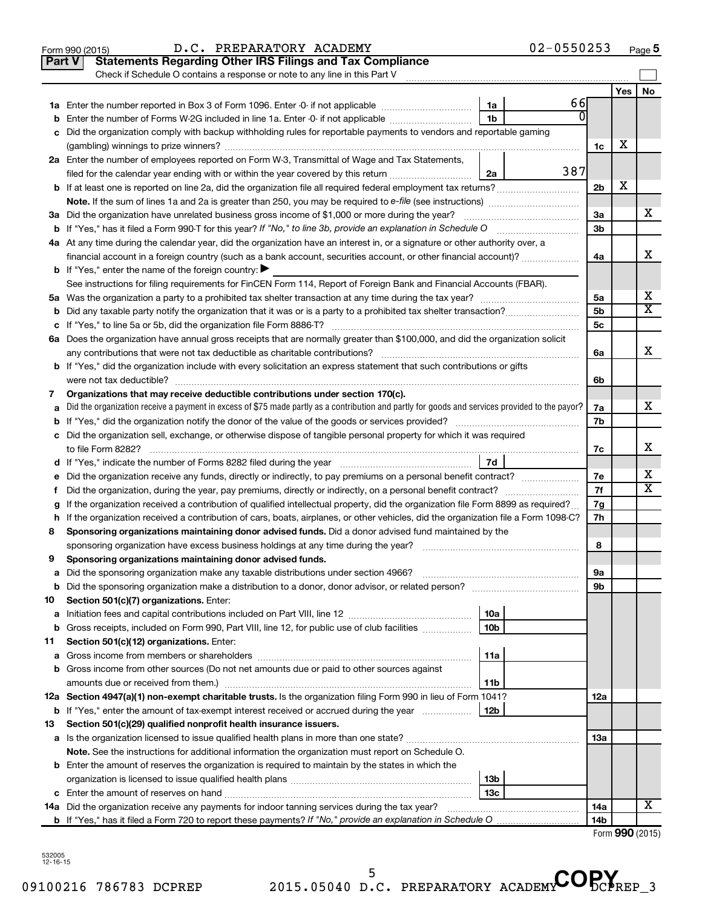|               | $02 - 0550253$<br>D.C. PREPARATORY ACADEMY<br>Form 990 (2015)                                                                                                                               |                 |                 | Page 5 |
|---------------|---------------------------------------------------------------------------------------------------------------------------------------------------------------------------------------------|-----------------|-----------------|--------|
| <b>Part V</b> | <b>Statements Regarding Other IRS Filings and Tax Compliance</b>                                                                                                                            |                 |                 |        |
|               | Check if Schedule O contains a response or note to any line in this Part V                                                                                                                  |                 |                 |        |
|               |                                                                                                                                                                                             |                 | Yes             | No     |
|               | 66<br>1a                                                                                                                                                                                    |                 |                 |        |
| b             | 0<br>1 <sub>b</sub><br>Enter the number of Forms W-2G included in line 1a. Enter -0- if not applicable                                                                                      |                 |                 |        |
| с             | Did the organization comply with backup withholding rules for reportable payments to vendors and reportable gaming                                                                          |                 |                 |        |
|               |                                                                                                                                                                                             | 1c              | х               |        |
|               | 2a Enter the number of employees reported on Form W-3, Transmittal of Wage and Tax Statements,                                                                                              |                 |                 |        |
|               | 387<br>filed for the calendar year ending with or within the year covered by this return<br>2a                                                                                              |                 |                 |        |
|               |                                                                                                                                                                                             | 2 <sub>b</sub>  | х               |        |
|               | Note. If the sum of lines 1a and 2a is greater than 250, you may be required to e-file (see instructions) <i></i>                                                                           |                 |                 |        |
|               | 3a Did the organization have unrelated business gross income of \$1,000 or more during the year?                                                                                            | За              |                 | x      |
|               | <b>b</b> If "Yes," has it filed a Form 990-T for this year? If "No," to line 3b, provide an explanation in Schedule O manumum                                                               | 3 <sub>b</sub>  |                 |        |
|               | 4a At any time during the calendar year, did the organization have an interest in, or a signature or other authority over, a                                                                |                 |                 |        |
|               | financial account in a foreign country (such as a bank account, securities account, or other financial account)?                                                                            | 4a              |                 | х      |
|               | <b>b</b> If "Yes," enter the name of the foreign country: $\blacktriangleright$                                                                                                             |                 |                 |        |
|               | See instructions for filing requirements for FinCEN Form 114, Report of Foreign Bank and Financial Accounts (FBAR).                                                                         |                 |                 |        |
|               |                                                                                                                                                                                             | 5a              |                 | х      |
| b             |                                                                                                                                                                                             | 5 <sub>b</sub>  |                 | X      |
| с             |                                                                                                                                                                                             | 5c              |                 |        |
|               | 6a Does the organization have annual gross receipts that are normally greater than \$100,000, and did the organization solicit                                                              |                 |                 |        |
|               |                                                                                                                                                                                             | 6a              |                 | x      |
|               | <b>b</b> If "Yes," did the organization include with every solicitation an express statement that such contributions or gifts                                                               |                 |                 |        |
|               | were not tax deductible?                                                                                                                                                                    | 6b              |                 |        |
| 7             | Organizations that may receive deductible contributions under section 170(c).                                                                                                               |                 |                 |        |
| а             | Did the organization receive a payment in excess of \$75 made partly as a contribution and partly for goods and services provided to the payor?                                             | 7a              |                 | x      |
| b             |                                                                                                                                                                                             | 7b              |                 |        |
|               | c Did the organization sell, exchange, or otherwise dispose of tangible personal property for which it was required                                                                         |                 |                 |        |
|               |                                                                                                                                                                                             | 7с              |                 | x      |
|               | 7d                                                                                                                                                                                          |                 |                 |        |
| е             |                                                                                                                                                                                             | 7e              |                 | х      |
| f.            | Did the organization, during the year, pay premiums, directly or indirectly, on a personal benefit contract?                                                                                | 7f              |                 | x      |
| g             | If the organization received a contribution of qualified intellectual property, did the organization file Form 8899 as required?                                                            | 7g              |                 |        |
|               | h If the organization received a contribution of cars, boats, airplanes, or other vehicles, did the organization file a Form 1098-C?                                                        | 7h              |                 |        |
| 8             | Sponsoring organizations maintaining donor advised funds. Did a donor advised fund maintained by the                                                                                        |                 |                 |        |
|               |                                                                                                                                                                                             | 8               |                 |        |
|               | Sponsoring organizations maintaining donor advised funds.                                                                                                                                   |                 |                 |        |
| а             | Did the sponsoring organization make any taxable distributions under section 4966?                                                                                                          | 9а              |                 |        |
| b             |                                                                                                                                                                                             | 9b              |                 |        |
| 10            | Section 501(c)(7) organizations. Enter:                                                                                                                                                     |                 |                 |        |
| а             | 10a                                                                                                                                                                                         |                 |                 |        |
| b             | 10 <sub>b</sub><br>Gross receipts, included on Form 990, Part VIII, line 12, for public use of club facilities                                                                              |                 |                 |        |
| 11            | Section 501(c)(12) organizations. Enter:<br>11a                                                                                                                                             |                 |                 |        |
| а             | Gross income from other sources (Do not net amounts due or paid to other sources against                                                                                                    |                 |                 |        |
| b             |                                                                                                                                                                                             |                 |                 |        |
|               | 11b<br>12a Section 4947(a)(1) non-exempt charitable trusts. Is the organization filing Form 990 in lieu of Form 1041?                                                                       |                 |                 |        |
|               | 12b                                                                                                                                                                                         | 12a             |                 |        |
|               | <b>b</b> If "Yes," enter the amount of tax-exempt interest received or accrued during the year                                                                                              |                 |                 |        |
| 13            | Section 501(c)(29) qualified nonprofit health insurance issuers.                                                                                                                            | 13a             |                 |        |
|               | a Is the organization licensed to issue qualified health plans in more than one state?<br>Note. See the instructions for additional information the organization must report on Schedule O. |                 |                 |        |
|               |                                                                                                                                                                                             |                 |                 |        |
|               | <b>b</b> Enter the amount of reserves the organization is required to maintain by the states in which the                                                                                   |                 |                 |        |
|               | 13b<br>13 <sub>c</sub>                                                                                                                                                                      |                 |                 |        |
|               | 14a Did the organization receive any payments for indoor tanning services during the tax year?                                                                                              | 14a             |                 | x      |
|               |                                                                                                                                                                                             | 14 <sub>b</sub> |                 |        |
|               |                                                                                                                                                                                             |                 | Form 990 (2015) |        |
|               |                                                                                                                                                                                             |                 |                 |        |

09100216 786783 DCPREP 2015.05040 D.C. PREPARATORY ACADEMY DCPREP 3 **<sup>5</sup>** D.C. PREPARATORY ACADEMY COPY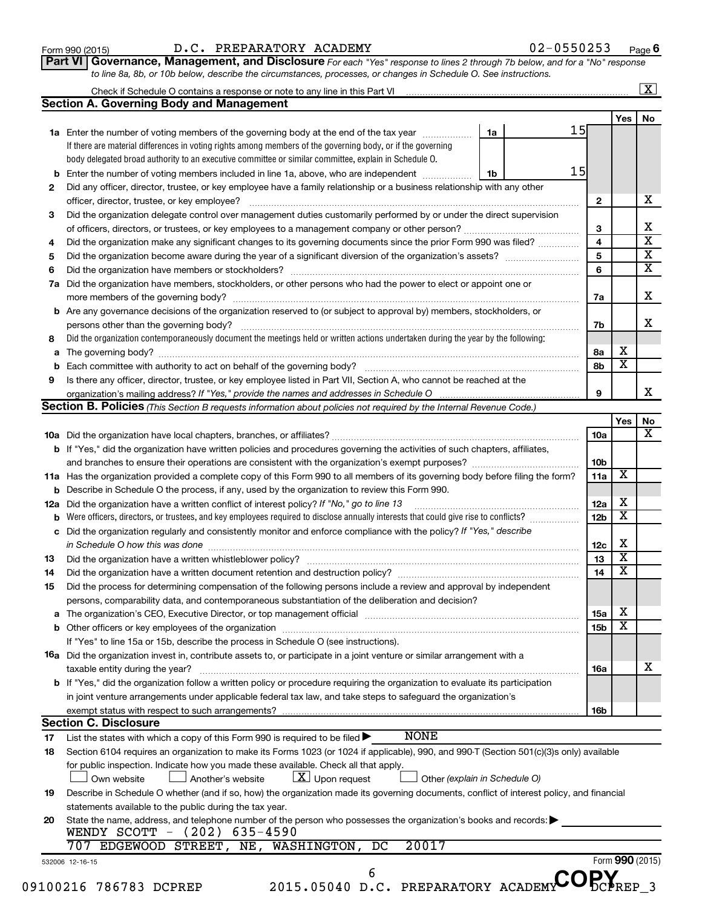| Form 990 (2015) |  |
|-----------------|--|
|-----------------|--|

#### Form 990 (2015)  $D.C. PREPARATORY ACADEMY$  02-0550253  $Page$

**Part VI** Governance, Management, and Disclosure For each "Yes" response to lines 2 through 7b below, and for a "No" response *to line 8a, 8b, or 10b below, describe the circumstances, processes, or changes in Schedule O. See instructions.*

|     | Check if Schedule O contains a response or note to any line in this Part VI                                                               |    |  |    |                 |                         | $\overline{\mathbf{x}}$ |
|-----|-------------------------------------------------------------------------------------------------------------------------------------------|----|--|----|-----------------|-------------------------|-------------------------|
|     | <b>Section A. Governing Body and Management</b>                                                                                           |    |  |    |                 |                         |                         |
|     |                                                                                                                                           |    |  |    |                 | <b>Yes</b>              | No                      |
|     | 1a Enter the number of voting members of the governing body at the end of the tax year                                                    | 1a |  | 15 |                 |                         |                         |
|     | If there are material differences in voting rights among members of the governing body, or if the governing                               |    |  |    |                 |                         |                         |
|     | body delegated broad authority to an executive committee or similar committee, explain in Schedule O.                                     |    |  |    |                 |                         |                         |
| b   | Enter the number of voting members included in line 1a, above, who are independent                                                        | 1b |  | 15 |                 |                         |                         |
| 2   | Did any officer, director, trustee, or key employee have a family relationship or a business relationship with any other                  |    |  |    |                 |                         |                         |
|     | officer, director, trustee, or key employee?                                                                                              |    |  |    | $\mathbf{2}$    |                         | x                       |
| 3   | Did the organization delegate control over management duties customarily performed by or under the direct supervision                     |    |  |    |                 |                         |                         |
|     |                                                                                                                                           |    |  |    | 3               |                         |                         |
| 4   | Did the organization make any significant changes to its governing documents since the prior Form 990 was filed?                          |    |  |    | $\overline{4}$  |                         |                         |
| 5   |                                                                                                                                           |    |  |    | 5               |                         |                         |
| 6   |                                                                                                                                           |    |  |    | 6               |                         |                         |
| 7a  | Did the organization have members, stockholders, or other persons who had the power to elect or appoint one or                            |    |  |    |                 |                         |                         |
|     |                                                                                                                                           |    |  |    | 7a              |                         |                         |
| b   | Are any governance decisions of the organization reserved to (or subject to approval by) members, stockholders, or                        |    |  |    |                 |                         |                         |
|     | persons other than the governing body?                                                                                                    |    |  |    | 7b              |                         |                         |
| 8   | Did the organization contemporaneously document the meetings held or written actions undertaken during the year by the following:         |    |  |    |                 |                         |                         |
| а   |                                                                                                                                           |    |  |    | 8а              | х                       |                         |
| b   |                                                                                                                                           |    |  |    | 8b              | $\overline{\mathbf{x}}$ |                         |
| 9   | Is there any officer, director, trustee, or key employee listed in Part VII, Section A, who cannot be reached at the                      |    |  |    |                 |                         |                         |
|     | organization's mailing address? If "Yes," provide the names and addresses in Schedule O                                                   |    |  |    | 9               |                         |                         |
|     | Section B. Policies (This Section B requests information about policies not required by the Internal Revenue Code.)                       |    |  |    |                 |                         |                         |
|     |                                                                                                                                           |    |  |    |                 | Yes                     |                         |
|     |                                                                                                                                           |    |  |    | 10a             |                         |                         |
|     | b If "Yes," did the organization have written policies and procedures governing the activities of such chapters, affiliates,              |    |  |    |                 |                         |                         |
|     |                                                                                                                                           |    |  |    | 10 <sub>b</sub> |                         |                         |
|     | 11a Has the organization provided a complete copy of this Form 990 to all members of its governing body before filing the form?           |    |  |    | 11a             | $\overline{\mathbf{X}}$ |                         |
|     | Describe in Schedule O the process, if any, used by the organization to review this Form 990.                                             |    |  |    |                 |                         |                         |
| 12a | Did the organization have a written conflict of interest policy? If "No," go to line 13                                                   |    |  |    | 12a             | х                       |                         |
|     | Were officers, directors, or trustees, and key employees required to disclose annually interests that could give rise to conflicts?       |    |  |    | 12 <sub>b</sub> | $\overline{\textbf{x}}$ |                         |
| с   | Did the organization regularly and consistently monitor and enforce compliance with the policy? If "Yes," describe                        |    |  |    |                 |                         |                         |
|     |                                                                                                                                           |    |  |    | 12 <sub>c</sub> | х                       |                         |
| 13  |                                                                                                                                           |    |  |    | 13              | $\overline{\textbf{x}}$ |                         |
| 14  |                                                                                                                                           |    |  |    | 14              | $\overline{\textbf{x}}$ |                         |
| 15  | Did the process for determining compensation of the following persons include a review and approval by independent                        |    |  |    |                 |                         |                         |
|     | persons, comparability data, and contemporaneous substantiation of the deliberation and decision?                                         |    |  |    |                 |                         |                         |
| а   |                                                                                                                                           |    |  |    | 15a             | х                       |                         |
|     |                                                                                                                                           |    |  |    | 15b             | $\overline{\textbf{x}}$ |                         |
|     | If "Yes" to line 15a or 15b, describe the process in Schedule O (see instructions).                                                       |    |  |    |                 |                         |                         |
|     | 16a Did the organization invest in, contribute assets to, or participate in a joint venture or similar arrangement with a                 |    |  |    |                 |                         |                         |
|     | taxable entity during the year?                                                                                                           |    |  |    | 16a             |                         |                         |
|     | b If "Yes," did the organization follow a written policy or procedure requiring the organization to evaluate its participation            |    |  |    |                 |                         |                         |
|     | in joint venture arrangements under applicable federal tax law, and take steps to safeguard the organization's                            |    |  |    |                 |                         |                         |
|     | exempt status with respect to such arrangements?                                                                                          |    |  |    | 16b             |                         |                         |
|     | <b>Section C. Disclosure</b>                                                                                                              |    |  |    |                 |                         |                         |
| 17  | <b>NONE</b><br>List the states with which a copy of this Form 990 is required to be filed $\blacktriangleright$                           |    |  |    |                 |                         |                         |
| 18  | Section 6104 requires an organization to make its Forms 1023 (or 1024 if applicable), 990, and 990-T (Section 501(c)(3)s only) available  |    |  |    |                 |                         |                         |
|     | for public inspection. Indicate how you made these available. Check all that apply.                                                       |    |  |    |                 |                         |                         |
|     | $\lfloor x \rfloor$ Upon request<br>Own website<br>Another's website<br>Other (explain in Schedule O)                                     |    |  |    |                 |                         |                         |
|     | Describe in Schedule O whether (and if so, how) the organization made its governing documents, conflict of interest policy, and financial |    |  |    |                 |                         |                         |
| 19  |                                                                                                                                           |    |  |    |                 |                         |                         |
|     | statements available to the public during the tax year.                                                                                   |    |  |    |                 |                         |                         |
| 20  | State the name, address, and telephone number of the person who possesses the organization's books and records:                           |    |  |    |                 |                         |                         |
|     | WENDY SCOTT - (202) 635-4590                                                                                                              |    |  |    |                 |                         |                         |
|     | 20017<br>EDGEWOOD STREET, NE, WASHINGTON,<br>DC<br>707                                                                                    |    |  |    |                 |                         |                         |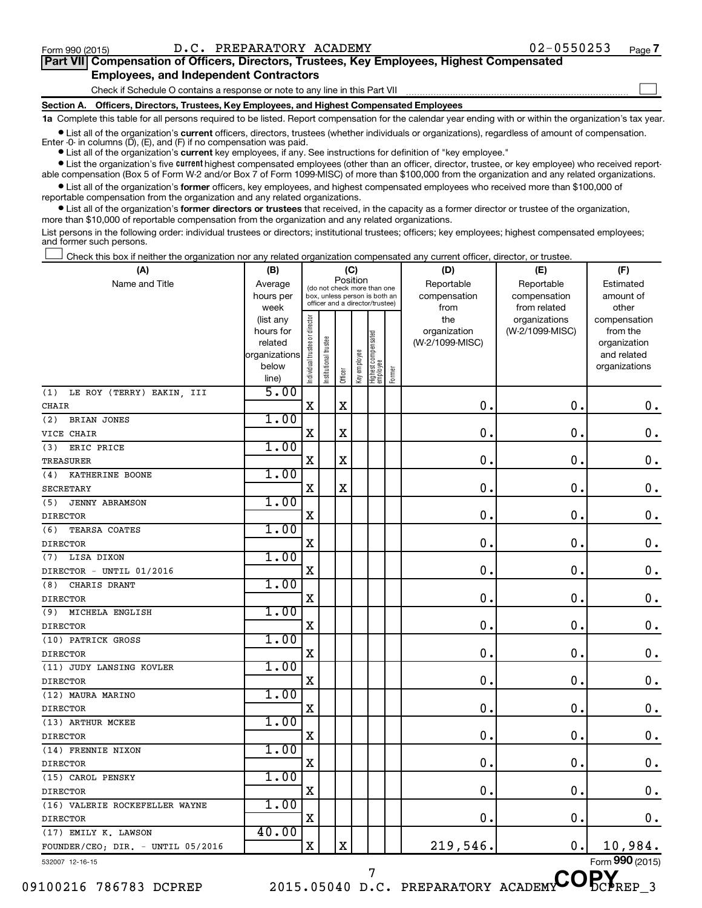$\Box$ 

| Part VII Compensation of Officers, Directors, Trustees, Key Employees, Highest Compensated |  |  |  |
|--------------------------------------------------------------------------------------------|--|--|--|
| <b>Employees, and Independent Contractors</b>                                              |  |  |  |

Check if Schedule O contains a response or note to any line in this Part VII

**Section A. Officers, Directors, Trustees, Key Employees, and Highest Compensated Employees**

**1a**  Complete this table for all persons required to be listed. Report compensation for the calendar year ending with or within the organization's tax year.

 $\bullet$  List all of the organization's current officers, directors, trustees (whether individuals or organizations), regardless of amount of compensation. Enter -0- in columns  $(D)$ ,  $(E)$ , and  $(F)$  if no compensation was paid.

**•** List all of the organization's **current** key employees, if any. See instructions for definition of "key employee."

**•** List the organization's five current highest compensated employees (other than an officer, director, trustee, or key employee) who received reportable compensation (Box 5 of Form W-2 and/or Box 7 of Form 1099-MISC) of more than \$100,000 from the organization and any related organizations.

**•** List all of the organization's former officers, key employees, and highest compensated employees who received more than \$100,000 of reportable compensation from the organization and any related organizations.

**•** List all of the organization's former directors or trustees that received, in the capacity as a former director or trustee of the organization, more than \$10,000 of reportable compensation from the organization and any related organizations.

List persons in the following order: individual trustees or directors; institutional trustees; officers; key employees; highest compensated employees; and former such persons.

Check this box if neither the organization nor any related organization compensated any current officer, director, or trustee.  $\Box$ 

| (A)                               | (B)                      |                                |                                 | (C)         |              |                                   |        | (D)             | (E)             | (F)                         |
|-----------------------------------|--------------------------|--------------------------------|---------------------------------|-------------|--------------|-----------------------------------|--------|-----------------|-----------------|-----------------------------|
| Name and Title                    | Average                  |                                | (do not check more than one     | Position    |              |                                   |        | Reportable      | Reportable      | Estimated                   |
|                                   | hours per                |                                | box, unless person is both an   |             |              |                                   |        | compensation    | compensation    | amount of                   |
|                                   | week                     |                                | officer and a director/trustee) |             |              |                                   |        | from            | from related    | other                       |
|                                   | (list any                |                                |                                 |             |              |                                   |        | the             | organizations   | compensation                |
|                                   | hours for                |                                |                                 |             |              |                                   |        | organization    | (W-2/1099-MISC) | from the                    |
|                                   | related<br>organizations |                                |                                 |             |              |                                   |        | (W-2/1099-MISC) |                 | organization<br>and related |
|                                   | below                    |                                |                                 |             |              |                                   |        |                 |                 | organizations               |
|                                   | line)                    | Individual trustee or director | Institutional trustee           | Officer     | Key employee | Highest compensated<br>  employee | Former |                 |                 |                             |
| (1)<br>LE ROY (TERRY) EAKIN, III  | 5.00                     |                                |                                 |             |              |                                   |        |                 |                 |                             |
| CHAIR                             |                          | X                              |                                 | $\mathbf X$ |              |                                   |        | $\mathbf 0$ .   | $\mathbf 0$ .   | $\mathbf 0$ .               |
| <b>BRIAN JONES</b><br>(2)         | 1.00                     |                                |                                 |             |              |                                   |        |                 |                 |                             |
| VICE CHAIR                        |                          | X                              |                                 | $\rm X$     |              |                                   |        | $\mathbf{0}$ .  | $\mathbf 0$ .   | $0$ .                       |
| ERIC PRICE<br>(3)                 | 1.00                     |                                |                                 |             |              |                                   |        |                 |                 |                             |
| TREASURER                         |                          | X                              |                                 | X           |              |                                   |        | $\mathbf 0$ .   | 0.              | $\mathbf 0$ .               |
| KATHERINE BOONE<br>(4)            | 1.00                     |                                |                                 |             |              |                                   |        |                 |                 |                             |
| <b>SECRETARY</b>                  |                          | X                              |                                 | $\mathbf X$ |              |                                   |        | 0               | 0               | $\mathbf 0$ .               |
| (5)<br><b>JENNY ABRAMSON</b>      | 1.00                     |                                |                                 |             |              |                                   |        |                 |                 |                             |
| <b>DIRECTOR</b>                   |                          | $\mathbf X$                    |                                 |             |              |                                   |        | 0               | $\mathbf 0$ .   | $\mathbf 0$ .               |
| TEARSA COATES<br>(6)              | 1.00                     |                                |                                 |             |              |                                   |        |                 |                 |                             |
| <b>DIRECTOR</b>                   |                          | X                              |                                 |             |              |                                   |        | 0               | $\mathbf 0$ .   | $0$ .                       |
| LISA DIXON<br>(7)                 | 1.00                     |                                |                                 |             |              |                                   |        |                 |                 |                             |
| DIRECTOR - UNTIL 01/2016          |                          | $\mathbf X$                    |                                 |             |              |                                   |        | $\mathbf 0$ .   | $\mathbf 0$ .   | $\mathbf 0$ .               |
| (8)<br>CHARIS DRANT               | 1.00                     |                                |                                 |             |              |                                   |        |                 |                 |                             |
| <b>DIRECTOR</b>                   |                          | X                              |                                 |             |              |                                   |        | $\mathbf 0$     | $\mathbf 0$     | $\mathbf 0$ .               |
| (9)<br>MICHELA ENGLISH            | 1.00                     |                                |                                 |             |              |                                   |        |                 |                 |                             |
| <b>DIRECTOR</b>                   |                          | X                              |                                 |             |              |                                   |        | $\mathbf 0$ .   | $\mathbf 0$ .   | $0$ .                       |
| (10) PATRICK GROSS                | 1.00                     |                                |                                 |             |              |                                   |        |                 |                 |                             |
| <b>DIRECTOR</b>                   |                          | X                              |                                 |             |              |                                   |        | 0.              | $\mathbf 0$ .   | $\mathbf 0$ .               |
| (11) JUDY LANSING KOVLER          | 1.00                     |                                |                                 |             |              |                                   |        |                 |                 |                             |
| <b>DIRECTOR</b>                   |                          | X                              |                                 |             |              |                                   |        | 0.              | $\mathbf 0$ .   | $\mathbf 0$ .               |
| (12) MAURA MARINO                 | 1.00                     |                                |                                 |             |              |                                   |        |                 |                 |                             |
| <b>DIRECTOR</b>                   |                          | X                              |                                 |             |              |                                   |        | $\mathbf 0$     | 0               | $\mathbf 0$ .               |
| (13) ARTHUR MCKEE                 | 1.00                     |                                |                                 |             |              |                                   |        |                 |                 |                             |
| <b>DIRECTOR</b>                   |                          | X                              |                                 |             |              |                                   |        | $\mathbf 0$     | $\mathbf 0$ .   | $\mathbf 0$ .               |
| (14) FRENNIE NIXON                | 1.00                     |                                |                                 |             |              |                                   |        |                 |                 |                             |
| <b>DIRECTOR</b>                   |                          | $\mathbf X$                    |                                 |             |              |                                   |        | $\mathbf 0$     | $\mathbf 0$     | $0$ .                       |
| (15) CAROL PENSKY                 | 1.00                     |                                |                                 |             |              |                                   |        |                 |                 |                             |
| <b>DIRECTOR</b>                   |                          | X                              |                                 |             |              |                                   |        | $\mathbf 0$     | $\mathbf 0$ .   | $\boldsymbol{0}$ .          |
| (16) VALERIE ROCKEFELLER WAYNE    | 1.00                     |                                |                                 |             |              |                                   |        |                 |                 |                             |
| <b>DIRECTOR</b>                   |                          | X                              |                                 |             |              |                                   |        | $\mathbf 0$     | $\mathbf 0$     | 0.                          |
| (17) EMILY K. LAWSON              | 40.00                    |                                |                                 |             |              |                                   |        |                 |                 |                             |
| FOUNDER/CEO; DIR. - UNTIL 05/2016 |                          | $\mathbf X$                    |                                 | X           |              |                                   |        | 219,546.        | $\mathbf 0$ .   | 10,984.                     |
| 532007 12-16-15                   |                          |                                |                                 |             |              |                                   |        |                 |                 | Form 990 (2015)             |

09100216 786783 DCPREP 2015.05040 D.C. PREPARATORY ACADEMY DCPREP 3

<sup>7</sup> D.C. PREPARATORY ACADEMY COPY

Form 990 (2015) **990**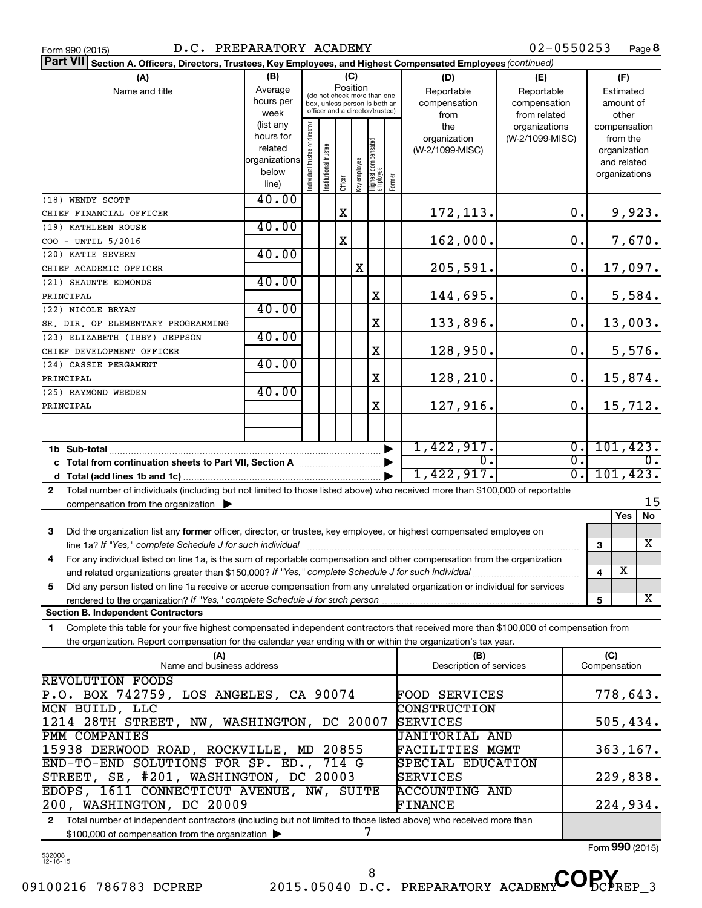| Form 990 (2015) |  |  |
|-----------------|--|--|
|                 |  |  |

| Part VII Section A. Officers, Directors, Trustees, Key Employees, and Highest Compensated Employees (continued)                              |                          |                                |                       |             |                     |                                                              |           |                          |                 |                             |                              |                    |
|----------------------------------------------------------------------------------------------------------------------------------------------|--------------------------|--------------------------------|-----------------------|-------------|---------------------|--------------------------------------------------------------|-----------|--------------------------|-----------------|-----------------------------|------------------------------|--------------------|
| (A)                                                                                                                                          | (B)                      |                                |                       | (C)         |                     |                                                              |           | (D)                      | (E)             |                             | (F)                          |                    |
| Name and title                                                                                                                               | Average                  |                                |                       | Position    |                     |                                                              |           | Reportable<br>Reportable |                 |                             | Estimated                    |                    |
|                                                                                                                                              | hours per                |                                |                       |             |                     | (do not check more than one<br>box, unless person is both an |           | compensation             | compensation    |                             | amount of                    |                    |
|                                                                                                                                              | week                     |                                |                       |             |                     | officer and a director/trustee)                              |           | from                     | from related    |                             | other                        |                    |
|                                                                                                                                              | (list any                |                                |                       |             |                     |                                                              |           | the                      | organizations   |                             | compensation                 |                    |
|                                                                                                                                              | hours for                |                                |                       |             |                     |                                                              |           | organization             | (W-2/1099-MISC) |                             | from the                     |                    |
|                                                                                                                                              | related<br>organizations |                                |                       |             |                     |                                                              |           | (W-2/1099-MISC)          |                 |                             | organization                 |                    |
|                                                                                                                                              | below                    |                                |                       |             |                     |                                                              |           |                          |                 |                             | and related<br>organizations |                    |
|                                                                                                                                              | line)                    | Individual trustee or director | Institutional trustee | Officer     | Key employee        | Highest compensated<br> employee                             | Former    |                          |                 |                             |                              |                    |
| (18) WENDY SCOTT                                                                                                                             | 40.00                    |                                |                       |             |                     |                                                              |           |                          |                 |                             |                              |                    |
| CHIEF FINANCIAL OFFICER                                                                                                                      |                          |                                |                       | $\mathbf X$ |                     |                                                              |           | 172,113.                 |                 | 0.                          |                              | 9,923.             |
| (19) KATHLEEN ROUSE                                                                                                                          | 40.00                    |                                |                       |             |                     |                                                              |           |                          |                 |                             |                              |                    |
| COO - UNTIL 5/2016                                                                                                                           |                          |                                |                       | X           |                     |                                                              |           | 162,000.                 |                 | 0.                          |                              | 7,670.             |
| (20) KATIE SEVERN                                                                                                                            | 40.00                    |                                |                       |             |                     |                                                              |           |                          |                 |                             |                              |                    |
| CHIEF ACADEMIC OFFICER                                                                                                                       |                          |                                |                       |             | X                   |                                                              |           | 205,591.                 |                 | 0.                          |                              | 17,097.            |
| (21) SHAUNTE EDMONDS                                                                                                                         | 40.00                    |                                |                       |             |                     |                                                              |           |                          |                 |                             |                              |                    |
| PRINCIPAL                                                                                                                                    |                          |                                |                       |             |                     | X                                                            |           | 144,695.                 |                 | 0.                          |                              | 5,584.             |
| (22) NICOLE BRYAN                                                                                                                            | 40.00                    |                                |                       |             |                     |                                                              |           |                          |                 |                             |                              |                    |
| SR. DIR. OF ELEMENTARY PROGRAMMING                                                                                                           |                          |                                |                       |             |                     | X                                                            |           | 133,896.                 |                 | 0.                          |                              | 13,003.            |
| (23) ELIZABETH (IBBY) JEPPSON                                                                                                                | 40.00                    |                                |                       |             |                     |                                                              |           |                          |                 |                             |                              |                    |
| CHIEF DEVELOPMENT OFFICER                                                                                                                    |                          |                                |                       |             |                     | X                                                            |           | 128,950.                 |                 | 0.                          |                              | 5,576.             |
| (24) CASSIE PERGAMENT                                                                                                                        | 40.00                    |                                |                       |             |                     |                                                              |           |                          |                 |                             |                              |                    |
| PRINCIPAL                                                                                                                                    |                          |                                |                       |             |                     | X                                                            |           | 128,210.                 |                 | 0.                          |                              | 15,874.            |
| (25) RAYMOND WEEDEN                                                                                                                          | 40.00                    |                                |                       |             |                     |                                                              |           |                          |                 |                             |                              |                    |
| PRINCIPAL                                                                                                                                    |                          |                                |                       |             |                     | X                                                            |           | 127,916.                 |                 | 0.                          |                              | 15,712.            |
|                                                                                                                                              |                          |                                |                       |             |                     |                                                              |           |                          |                 |                             |                              |                    |
|                                                                                                                                              |                          |                                |                       |             |                     |                                                              |           |                          |                 |                             |                              |                    |
| 1b Sub-total                                                                                                                                 |                          |                                |                       |             |                     |                                                              |           | 1,422,917.               |                 | $\overline{0}$ .            | 101, 423.                    |                    |
| c Total from continuation sheets to Part VII, Section A [111] [2000]                                                                         |                          |                                |                       |             |                     |                                                              |           | 0.                       |                 | $\overline{0}$ .            |                              | $0$ .              |
|                                                                                                                                              |                          |                                |                       |             |                     |                                                              |           | 1,422,917.               |                 | $\overline{\mathfrak{0}}$ . | 101, 423.                    |                    |
| Total number of individuals (including but not limited to those listed above) who received more than \$100,000 of reportable<br>$\mathbf{2}$ |                          |                                |                       |             |                     |                                                              |           |                          |                 |                             |                              |                    |
| compensation from the organization $\blacktriangleright$                                                                                     |                          |                                |                       |             |                     |                                                              |           |                          |                 |                             |                              | 15                 |
|                                                                                                                                              |                          |                                |                       |             |                     |                                                              |           |                          |                 |                             | <b>Yes</b>                   | $\overline{N_{0}}$ |
| Did the organization list any former officer, director, or trustee, key employee, or highest compensated employee on<br>3                    |                          |                                |                       |             |                     |                                                              |           |                          |                 |                             |                              |                    |
| line 1a? If "Yes," complete Schedule J for such individual                                                                                   |                          |                                |                       |             |                     |                                                              |           |                          |                 |                             | 3                            | х                  |
| For any individual listed on line 1a, is the sum of reportable compensation and other compensation from the organization<br>4                |                          |                                |                       |             |                     |                                                              |           |                          |                 |                             |                              |                    |
|                                                                                                                                              |                          |                                |                       |             |                     |                                                              |           |                          |                 |                             | X<br>4                       |                    |
| Did any person listed on line 1a receive or accrue compensation from any unrelated organization or individual for services<br>5              |                          |                                |                       |             |                     |                                                              |           |                          |                 |                             |                              |                    |
|                                                                                                                                              |                          |                                |                       |             |                     |                                                              |           |                          |                 |                             | 5                            | x                  |
| <b>Section B. Independent Contractors</b>                                                                                                    |                          |                                |                       |             |                     |                                                              |           |                          |                 |                             |                              |                    |
| Complete this table for your five highest compensated independent contractors that received more than \$100,000 of compensation from<br>1    |                          |                                |                       |             |                     |                                                              |           |                          |                 |                             |                              |                    |
| the organization. Report compensation for the calendar year ending with or within the organization's tax year.                               |                          |                                |                       |             |                     |                                                              |           |                          |                 |                             |                              |                    |
| (A)                                                                                                                                          |                          |                                |                       |             |                     |                                                              |           | (B)                      |                 |                             | (C)                          |                    |
| Name and business address                                                                                                                    |                          |                                |                       |             |                     |                                                              |           | Description of services  |                 |                             | Compensation                 |                    |
| <b>REVOLUTION FOODS</b>                                                                                                                      |                          |                                |                       |             |                     |                                                              |           |                          |                 |                             |                              |                    |
| P.O. BOX 742759, LOS ANGELES, CA 90074                                                                                                       |                          |                                |                       |             |                     | FOOD SERVICES                                                |           |                          | 778,643.        |                             |                              |                    |
| MCN BUILD, LLC                                                                                                                               |                          |                                |                       |             | <b>CONSTRUCTION</b> |                                                              |           |                          |                 |                             |                              |                    |
| 1214 28TH STREET, NW, WASHINGTON, DC 20007<br>SERVICES                                                                                       |                          |                                |                       |             |                     |                                                              | 505,434.  |                          |                 |                             |                              |                    |
| PMM COMPANIES                                                                                                                                |                          |                                |                       |             |                     |                                                              |           | <b>JANITORIAL AND</b>    |                 |                             |                              |                    |
| 15938 DERWOOD ROAD, ROCKVILLE, MD 20855<br>FACILITIES MGMT                                                                                   |                          |                                |                       |             |                     |                                                              | 363, 167. |                          |                 |                             |                              |                    |
| END-TO-END SOLUTIONS FOR SP. ED., 714 G                                                                                                      |                          |                                |                       |             |                     |                                                              |           | SPECIAL EDUCATION        |                 |                             |                              |                    |
| STREET, SE, #201, WASHINGTON, DC 20003                                                                                                       |                          |                                |                       |             |                     |                                                              |           | SERVICES                 |                 |                             | 229,838.                     |                    |
| EDOPS, 1611 CONNECTICUT AVENUE, NW, SUITE                                                                                                    |                          |                                |                       |             |                     |                                                              |           | <b>ACCOUNTING AND</b>    |                 |                             |                              |                    |
| 200, WASHINGTON, DC 20009                                                                                                                    |                          |                                |                       |             |                     |                                                              |           | FINANCE<br>224,934.      |                 |                             |                              |                    |

**2** Total number of independent contractors (including but not limited to those listed above) who received more than \$100,000 of compensation from the organization 7

Form (2015) **990**

532008 12-16-15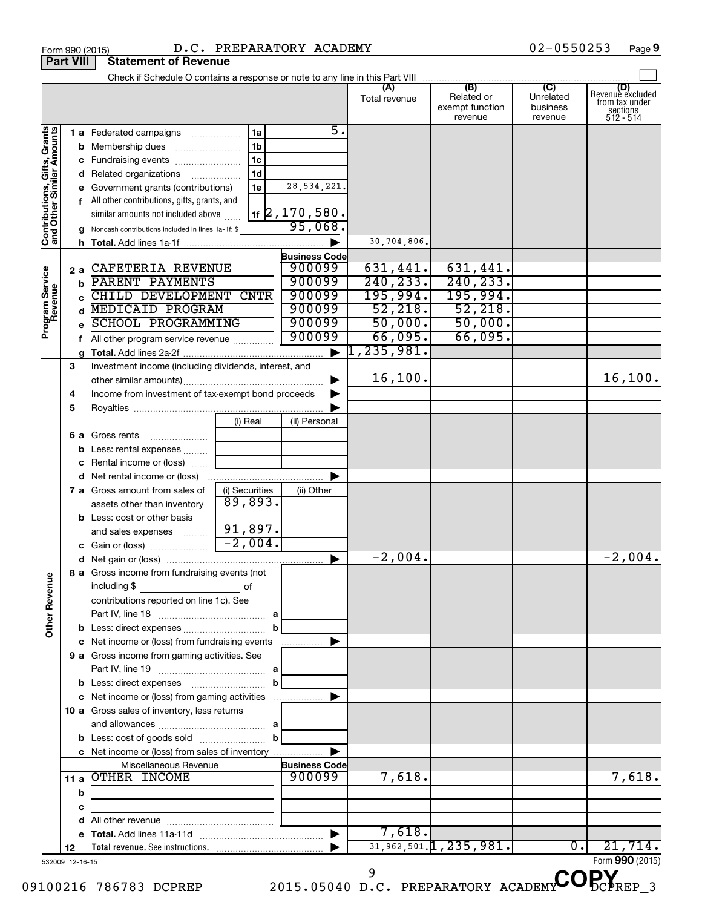| Form 990 (2015)  |                                                                               | D.C. PREPARATORY ACADEMY |                      |                   | $02 - 0550253$ | Page            |
|------------------|-------------------------------------------------------------------------------|--------------------------|----------------------|-------------------|----------------|-----------------|
| <b>Part VIII</b> | <b>Statement of Revenue</b>                                                   |                          |                      |                   |                |                 |
|                  | Check if Schedule O contains a response or note to any line in this Part VIII |                          |                      |                   |                |                 |
|                  |                                                                               |                          | ΙA.<br>Total revenue | (B)<br>Related or | w<br>Unrelated | Revenuè exclude |

|                                                           |                 |                                                       |                |                      | (A)<br>Total revenue  | (B)<br>Related or<br>exempt function<br>revenue | (C)<br>Unrelated<br>business<br>revenue | (D)<br>Revenue excluded<br>from tax under<br>sections<br>512 - 514 |
|-----------------------------------------------------------|-----------------|-------------------------------------------------------|----------------|----------------------|-----------------------|-------------------------------------------------|-----------------------------------------|--------------------------------------------------------------------|
|                                                           |                 | <b>1 a</b> Federated campaigns                        | 1a             | 5.                   |                       |                                                 |                                         |                                                                    |
| Contributions, Gifts, Grants<br>and Other Similar Amounts |                 | <b>b</b> Membership dues                              | 1 <sub>b</sub> |                      |                       |                                                 |                                         |                                                                    |
|                                                           |                 |                                                       | 1 <sub>c</sub> |                      |                       |                                                 |                                         |                                                                    |
|                                                           |                 | d Related organizations                               | 1d             |                      |                       |                                                 |                                         |                                                                    |
|                                                           |                 | e Government grants (contributions)                   | 1e             | 28, 534, 221.        |                       |                                                 |                                         |                                                                    |
|                                                           |                 | f All other contributions, gifts, grants, and         |                |                      |                       |                                                 |                                         |                                                                    |
|                                                           |                 | similar amounts not included above                    |                | $_{1f}$ 2, 170, 580. |                       |                                                 |                                         |                                                                    |
|                                                           |                 | g Noncash contributions included in lines 1a-1f: \$   |                | 95,068.              |                       |                                                 |                                         |                                                                    |
|                                                           |                 |                                                       |                |                      | 30,704,806.           |                                                 |                                         |                                                                    |
|                                                           |                 |                                                       |                | <b>Business Code</b> |                       |                                                 |                                         |                                                                    |
| Program Service<br>Revenue                                | 2а              | CAFETERIA REVENUE                                     |                | 900099<br>900099     | 631,441.<br>240, 233. | 631,441.                                        |                                         |                                                                    |
|                                                           | b               | PARENT PAYMENTS<br>CHILD DEVELOPMENT CNTR             |                | 900099               | 195,994.              | 240, 233.<br>195,994.                           |                                         |                                                                    |
|                                                           | C.              | d MEDICAID PROGRAM                                    |                | 900099               | 52,218.               | 52,218.                                         |                                         |                                                                    |
|                                                           |                 | <b>SCHOOL PROGRAMMING</b>                             |                | 900099               | 50,000.               | 50,000.                                         |                                         |                                                                    |
|                                                           | e               |                                                       |                | 900099               | 66,095.               | 66,095.                                         |                                         |                                                                    |
|                                                           |                 | f All other program service revenue                   |                | ▶                    | 1, 235, 981.          |                                                 |                                         |                                                                    |
|                                                           | 3               | Investment income (including dividends, interest, and |                |                      |                       |                                                 |                                         |                                                                    |
|                                                           |                 |                                                       |                |                      | 16, 100.              |                                                 |                                         | 16, 100.                                                           |
|                                                           | 4               | Income from investment of tax-exempt bond proceeds    |                |                      |                       |                                                 |                                         |                                                                    |
|                                                           | 5               |                                                       |                |                      |                       |                                                 |                                         |                                                                    |
|                                                           |                 |                                                       | (i) Real       | (ii) Personal        |                       |                                                 |                                         |                                                                    |
|                                                           |                 | <b>6 a</b> Gross rents                                |                |                      |                       |                                                 |                                         |                                                                    |
|                                                           |                 | <b>b</b> Less: rental expenses                        |                |                      |                       |                                                 |                                         |                                                                    |
|                                                           |                 | c Rental income or (loss)                             |                |                      |                       |                                                 |                                         |                                                                    |
|                                                           |                 | d Net rental income or (loss)                         |                |                      |                       |                                                 |                                         |                                                                    |
|                                                           |                 | 7 a Gross amount from sales of                        | (i) Securities | (ii) Other           |                       |                                                 |                                         |                                                                    |
|                                                           |                 | assets other than inventory                           | 89,893.        |                      |                       |                                                 |                                         |                                                                    |
|                                                           |                 | <b>b</b> Less: cost or other basis                    |                |                      |                       |                                                 |                                         |                                                                    |
|                                                           |                 | and sales expenses                                    | 91,897.        |                      |                       |                                                 |                                         |                                                                    |
|                                                           |                 | <b>c</b> Gain or (loss) $\ldots$ $\ldots$ $\ldots$    | $-2,004.$      |                      |                       |                                                 |                                         |                                                                    |
|                                                           |                 |                                                       |                | ▶                    | $-2,004$ .            |                                                 |                                         | $-2,004.$                                                          |
|                                                           |                 | 8 a Gross income from fundraising events (not         |                |                      |                       |                                                 |                                         |                                                                    |
| ٩U                                                        |                 | including \$                                          |                |                      |                       |                                                 |                                         |                                                                    |
|                                                           |                 | contributions reported on line 1c). See               |                |                      |                       |                                                 |                                         |                                                                    |
|                                                           |                 |                                                       |                |                      |                       |                                                 |                                         |                                                                    |
| Other Rever                                               |                 |                                                       |                |                      |                       |                                                 |                                         |                                                                    |
|                                                           |                 | c Net income or (loss) from fundraising events        |                |                      |                       |                                                 |                                         |                                                                    |
|                                                           |                 | 9 a Gross income from gaming activities. See          |                |                      |                       |                                                 |                                         |                                                                    |
|                                                           |                 |                                                       |                |                      |                       |                                                 |                                         |                                                                    |
|                                                           |                 |                                                       | b              |                      |                       |                                                 |                                         |                                                                    |
|                                                           |                 | c Net income or (loss) from gaming activities         |                |                      |                       |                                                 |                                         |                                                                    |
|                                                           |                 | 10 a Gross sales of inventory, less returns           |                |                      |                       |                                                 |                                         |                                                                    |
|                                                           |                 |                                                       |                |                      |                       |                                                 |                                         |                                                                    |
|                                                           |                 |                                                       |                |                      |                       |                                                 |                                         |                                                                    |
|                                                           |                 | c Net income or (loss) from sales of inventory        |                |                      |                       |                                                 |                                         |                                                                    |
|                                                           |                 | Miscellaneous Revenue                                 |                | <b>Business Code</b> |                       |                                                 |                                         |                                                                    |
|                                                           |                 | 11 a OTHER INCOME                                     |                | 900099               | 7,618.                |                                                 |                                         | 7,618.                                                             |
|                                                           | b               |                                                       |                |                      |                       |                                                 |                                         |                                                                    |
|                                                           | с               |                                                       |                |                      |                       |                                                 |                                         |                                                                    |
|                                                           |                 |                                                       |                |                      |                       |                                                 |                                         |                                                                    |
|                                                           |                 |                                                       |                |                      | 7,618.                | $31, 962, 501.$ 1, 235, 981.                    | 0.                                      | 21,714.                                                            |
|                                                           | 12              |                                                       |                |                      |                       |                                                 |                                         |                                                                    |
|                                                           | 532009 12-16-15 |                                                       |                |                      | 9                     |                                                 |                                         | Form 990 (2015)                                                    |
|                                                           |                 | 100216 786783 DCPREP                                  |                |                      |                       | 2015.05040 D.C. PREPARATORY ACADEM              |                                         |                                                                    |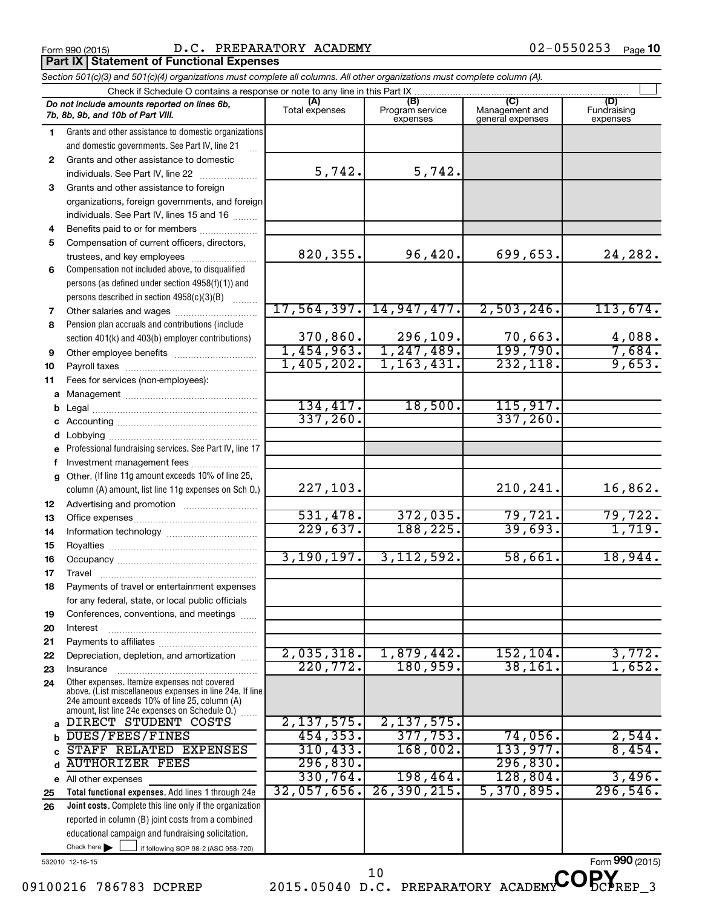**Part IX Statement of Functional Expenses** 

|              | Section 501(c)(3) and 501(c)(4) organizations must complete all columns. All other organizations must complete column (A).                                                                                  |                       |                                    |                                    |                                |  |  |  |  |
|--------------|-------------------------------------------------------------------------------------------------------------------------------------------------------------------------------------------------------------|-----------------------|------------------------------------|------------------------------------|--------------------------------|--|--|--|--|
|              | Check if Schedule O contains a response or note to any line in this Part IX.                                                                                                                                |                       |                                    |                                    |                                |  |  |  |  |
|              | Do not include amounts reported on lines 6b,<br>7b, 8b, 9b, and 10b of Part VIII.                                                                                                                           | (A)<br>Total expenses | (B)<br>Program service<br>expenses | Management and<br>general expenses | (D)<br>Fundraising<br>expenses |  |  |  |  |
| 1.           | Grants and other assistance to domestic organizations                                                                                                                                                       |                       |                                    |                                    |                                |  |  |  |  |
|              | and domestic governments. See Part IV, line 21                                                                                                                                                              |                       |                                    |                                    |                                |  |  |  |  |
| $\mathbf{2}$ | Grants and other assistance to domestic                                                                                                                                                                     |                       |                                    |                                    |                                |  |  |  |  |
|              | individuals. See Part IV, line 22                                                                                                                                                                           | 5,742.                | 5,742.                             |                                    |                                |  |  |  |  |
| 3            | Grants and other assistance to foreign                                                                                                                                                                      |                       |                                    |                                    |                                |  |  |  |  |
|              | organizations, foreign governments, and foreign                                                                                                                                                             |                       |                                    |                                    |                                |  |  |  |  |
|              | individuals. See Part IV, lines 15 and 16                                                                                                                                                                   |                       |                                    |                                    |                                |  |  |  |  |
| 4            | Benefits paid to or for members                                                                                                                                                                             |                       |                                    |                                    |                                |  |  |  |  |
| 5            | Compensation of current officers, directors,                                                                                                                                                                |                       |                                    |                                    |                                |  |  |  |  |
|              | trustees, and key employees                                                                                                                                                                                 | 820, 355.             | 96,420.                            | 699,653.                           | 24,282.                        |  |  |  |  |
| 6            | Compensation not included above, to disqualified                                                                                                                                                            |                       |                                    |                                    |                                |  |  |  |  |
|              | persons (as defined under section 4958(f)(1)) and                                                                                                                                                           |                       |                                    |                                    |                                |  |  |  |  |
|              | persons described in section 4958(c)(3)(B)                                                                                                                                                                  |                       |                                    |                                    |                                |  |  |  |  |
| 7            | Other salaries and wages                                                                                                                                                                                    |                       | 17,564,397. 14,947,477.            | 2,503,246.                         | 113,674.                       |  |  |  |  |
| 8            | Pension plan accruals and contributions (include                                                                                                                                                            |                       |                                    |                                    |                                |  |  |  |  |
|              | section 401(k) and 403(b) employer contributions)                                                                                                                                                           | 370,860.              | $\frac{296,109.}{1,247,489.}$      | 70,663.                            | $\frac{4,088}{7,684}$          |  |  |  |  |
| 9            | Other employee benefits                                                                                                                                                                                     | 1,454,963.            |                                    | 199,790.                           |                                |  |  |  |  |
| 10           |                                                                                                                                                                                                             | 1,405,202.            | 1, 163, 431.                       | 232,118.                           | 9,653.                         |  |  |  |  |
| 11           | Fees for services (non-employees):                                                                                                                                                                          |                       |                                    |                                    |                                |  |  |  |  |
| a            |                                                                                                                                                                                                             |                       |                                    |                                    |                                |  |  |  |  |
| b            |                                                                                                                                                                                                             | 134, 417.             | 18,500.                            | 115,917.                           |                                |  |  |  |  |
|              |                                                                                                                                                                                                             | 337, 260.             |                                    | 337, 260.                          |                                |  |  |  |  |
| d            |                                                                                                                                                                                                             |                       |                                    |                                    |                                |  |  |  |  |
|              | Professional fundraising services. See Part IV, line 17                                                                                                                                                     |                       |                                    |                                    |                                |  |  |  |  |
| f            | Investment management fees                                                                                                                                                                                  |                       |                                    |                                    |                                |  |  |  |  |
| a            | Other. (If line 11g amount exceeds 10% of line 25,<br>column (A) amount, list line 11g expenses on Sch O.)                                                                                                  | 227,103.              |                                    | 210,241.                           | 16,862.                        |  |  |  |  |
| 12           |                                                                                                                                                                                                             |                       |                                    |                                    |                                |  |  |  |  |
| 13           |                                                                                                                                                                                                             | 531,478.              | 372,035.                           | 79,721.                            | 79,722.                        |  |  |  |  |
| 14           |                                                                                                                                                                                                             | 229,637.              | 188,225.                           | 39,693.                            | 1,719.                         |  |  |  |  |
| 15           |                                                                                                                                                                                                             |                       |                                    |                                    |                                |  |  |  |  |
| 16           |                                                                                                                                                                                                             | 3, 190, 197.          | 3, 112, 592.                       | 58,661.                            | 18,944.                        |  |  |  |  |
| 17           |                                                                                                                                                                                                             |                       |                                    |                                    |                                |  |  |  |  |
| 18           | Payments of travel or entertainment expenses                                                                                                                                                                |                       |                                    |                                    |                                |  |  |  |  |
|              | for any federal, state, or local public officials                                                                                                                                                           |                       |                                    |                                    |                                |  |  |  |  |
| 19           | Conferences, conventions, and meetings                                                                                                                                                                      |                       |                                    |                                    |                                |  |  |  |  |
| 20           | Interest                                                                                                                                                                                                    |                       |                                    |                                    |                                |  |  |  |  |
| 21           |                                                                                                                                                                                                             |                       |                                    |                                    |                                |  |  |  |  |
| 22           | Depreciation, depletion, and amortization                                                                                                                                                                   | 2,035,318.            | 1,879,442.                         | 152, 104.                          | 3,772.                         |  |  |  |  |
| 23           | Insurance                                                                                                                                                                                                   | 220,772.              | 180,959.                           | 38,161.                            | 1,652.                         |  |  |  |  |
| 24           | Other expenses. Itemize expenses not covered<br>above. (List miscellaneous expenses in line 24e. If line<br>24e amount exceeds 10% of line 25, column (A)<br>amount, list line 24e expenses on Schedule O.) |                       |                                    |                                    |                                |  |  |  |  |
| a            | DIRECT STUDENT COSTS                                                                                                                                                                                        | 2,137,575.            | 2,137,575.                         |                                    |                                |  |  |  |  |
| b            | DUES/FEES/FINES                                                                                                                                                                                             | 454, 353.             | 377,753.                           | 74,056.                            | 2,544.                         |  |  |  |  |
| C            | STAFF RELATED EXPENSES                                                                                                                                                                                      | 310, 433.             | 168,002.                           | 133,977.                           | 8,454.                         |  |  |  |  |
| d            | <b>AUTHORIZER FEES</b>                                                                                                                                                                                      | 296,830.              |                                    | 296,830.                           |                                |  |  |  |  |
|              | e All other expenses                                                                                                                                                                                        | 330, 764.             | 198,464.                           | 128,804.                           | 3,496.                         |  |  |  |  |
| 25           | Total functional expenses. Add lines 1 through 24e                                                                                                                                                          | 32,057,656.           | 26, 390, 215.                      | 5,370,895.                         | 296, 546.                      |  |  |  |  |
| 26           | Joint costs. Complete this line only if the organization                                                                                                                                                    |                       |                                    |                                    |                                |  |  |  |  |
|              | reported in column (B) joint costs from a combined                                                                                                                                                          |                       |                                    |                                    |                                |  |  |  |  |
|              | educational campaign and fundraising solicitation.                                                                                                                                                          |                       |                                    |                                    |                                |  |  |  |  |
|              | Check here $\blacktriangleright$<br>if following SOP 98-2 (ASC 958-720)                                                                                                                                     |                       |                                    |                                    |                                |  |  |  |  |

532010 12-16-15

09100216 786783 DCPREP 2015.05040 D.C. PREPARATORY ACADEMY DCPREP 3

<sup>10</sup> D.C. PREPARATORY ACADEMY COPY

Form (2015) **990**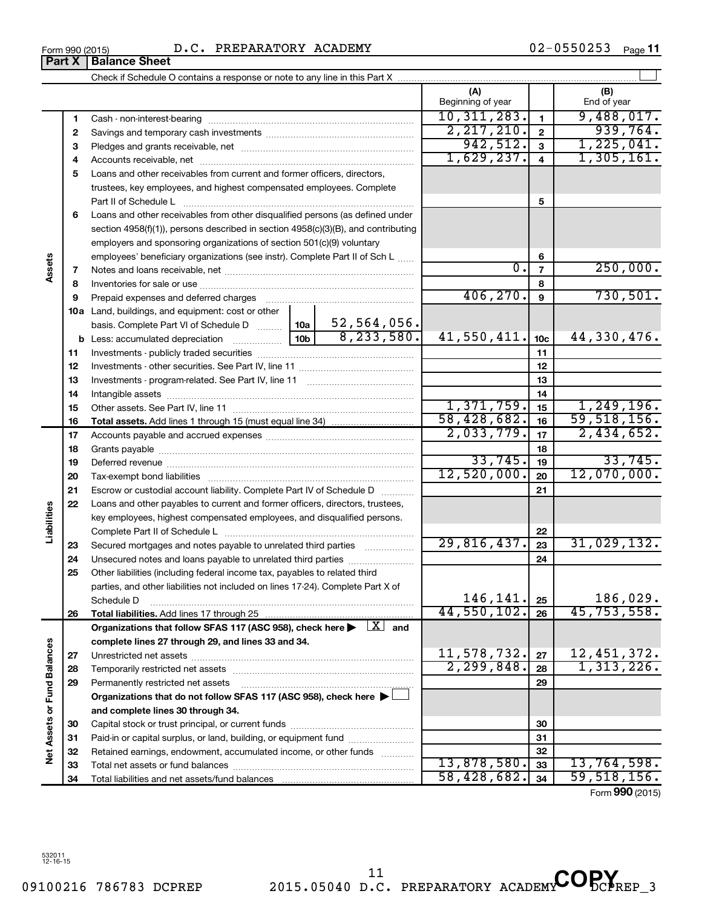| LOIIII 220 (CO IO) |                               |  |
|--------------------|-------------------------------|--|
|                    | <b>Part X   Balance Sheet</b> |  |

|                             |          |                                                                                                                                                                                                                               |            |              | (A)<br>Beginning of year |                              | (B)<br>End of year         |
|-----------------------------|----------|-------------------------------------------------------------------------------------------------------------------------------------------------------------------------------------------------------------------------------|------------|--------------|--------------------------|------------------------------|----------------------------|
|                             |          |                                                                                                                                                                                                                               |            |              | 10, 311, 283.            |                              | 9,488,017.                 |
|                             | 1        |                                                                                                                                                                                                                               |            |              | 2, 217, 210.             | $\mathbf{1}$<br>$\mathbf{2}$ | 939,764.                   |
|                             | 2        |                                                                                                                                                                                                                               |            |              | 942,512.                 | $\overline{3}$               | 1,225,041.                 |
|                             | з<br>4   |                                                                                                                                                                                                                               |            |              | 1,629,237.               | $\overline{\mathbf{4}}$      | 1,305,161.                 |
|                             | 5        | Loans and other receivables from current and former officers, directors,                                                                                                                                                      |            |              |                          |                              |                            |
|                             |          | trustees, key employees, and highest compensated employees. Complete                                                                                                                                                          |            |              |                          |                              |                            |
|                             |          | Part II of Schedule L                                                                                                                                                                                                         |            |              |                          | 5                            |                            |
|                             | 6        | Loans and other receivables from other disqualified persons (as defined under                                                                                                                                                 |            |              |                          |                              |                            |
|                             |          | section 4958(f)(1)), persons described in section 4958(c)(3)(B), and contributing                                                                                                                                             |            |              |                          |                              |                            |
|                             |          | employers and sponsoring organizations of section 501(c)(9) voluntary                                                                                                                                                         |            |              |                          |                              |                            |
|                             |          | employees' beneficiary organizations (see instr). Complete Part II of Sch L                                                                                                                                                   |            |              |                          | 6                            |                            |
| Assets                      | 7        |                                                                                                                                                                                                                               |            |              | $\overline{0}$ .         | $\overline{7}$               | 250,000.                   |
|                             | 8        |                                                                                                                                                                                                                               |            |              |                          | 8                            |                            |
|                             | 9        | Prepaid expenses and deferred charges [11] [11] Prepaid expenses and deferred charges [11] [11] Martin Martin Martin Martin Martin Martin Martin Martin Martin Martin Martin Martin Martin Martin Martin Martin Martin Martin |            |              | 406, 270.                | 9                            | 730, 501.                  |
|                             |          | <b>10a</b> Land, buildings, and equipment: cost or other                                                                                                                                                                      |            |              |                          |                              |                            |
|                             |          | basis. Complete Part VI of Schedule D  10a                                                                                                                                                                                    |            | 52,564,056.  |                          |                              |                            |
|                             |          |                                                                                                                                                                                                                               |            | 8, 233, 580. | 41,550,411.              | 10 <sub>c</sub>              | 44,330,476.                |
|                             | 11       |                                                                                                                                                                                                                               |            |              |                          | 11                           |                            |
|                             | 12       |                                                                                                                                                                                                                               |            |              | 12                       |                              |                            |
|                             | 13       |                                                                                                                                                                                                                               |            |              |                          | 13                           |                            |
|                             | 14       |                                                                                                                                                                                                                               |            | 14           |                          |                              |                            |
|                             | 15       |                                                                                                                                                                                                                               | 1,371,759. | 15           | 1,249,196.               |                              |                            |
|                             | 16       |                                                                                                                                                                                                                               |            |              | 58,428,682.              | 16                           | 59,518,156.                |
|                             | 17       |                                                                                                                                                                                                                               | 2,033,779. | 17           | 2,434,652.               |                              |                            |
|                             | 18       |                                                                                                                                                                                                                               |            |              | 18                       |                              |                            |
|                             | 19       |                                                                                                                                                                                                                               |            |              | 33,745.                  | 19                           | 33,745.                    |
|                             | 20       |                                                                                                                                                                                                                               |            |              | 12,520,000.              | 20                           | 12,070,000.                |
|                             | 21       | Escrow or custodial account liability. Complete Part IV of Schedule D                                                                                                                                                         |            |              |                          | 21                           |                            |
| Liabilities                 | 22       | Loans and other payables to current and former officers, directors, trustees,                                                                                                                                                 |            |              |                          |                              |                            |
|                             |          | key employees, highest compensated employees, and disqualified persons.                                                                                                                                                       |            |              |                          |                              |                            |
|                             |          |                                                                                                                                                                                                                               |            |              | 29,816,437.              | 22<br>23                     | 31,029,132.                |
|                             | 23<br>24 | Secured mortgages and notes payable to unrelated third parties                                                                                                                                                                |            |              |                          | 24                           |                            |
|                             | 25       | Other liabilities (including federal income tax, payables to related third                                                                                                                                                    |            |              |                          |                              |                            |
|                             |          | parties, and other liabilities not included on lines 17-24). Complete Part X of                                                                                                                                               |            |              |                          |                              |                            |
|                             |          | Schedule D                                                                                                                                                                                                                    |            |              | 146,141.                 | 25                           | 186,029.                   |
|                             | 26       |                                                                                                                                                                                                                               |            |              | 44,550,102.              | 26                           | 45, 753, 558.              |
|                             |          | Organizations that follow SFAS 117 (ASC 958), check here $\blacktriangleright \begin{array}{c} \boxed{X} \\ \end{array}$ and                                                                                                  |            |              |                          |                              |                            |
|                             |          | complete lines 27 through 29, and lines 33 and 34.                                                                                                                                                                            |            |              |                          |                              |                            |
|                             | 27       |                                                                                                                                                                                                                               |            |              | 11,578,732.              | 27                           | 12,451,372.                |
|                             | 28       |                                                                                                                                                                                                                               |            |              | 2, 299, 848.             | 28                           | 1,313,226.                 |
|                             | 29       | Permanently restricted net assets                                                                                                                                                                                             |            |              |                          | 29                           |                            |
|                             |          | Organizations that do not follow SFAS 117 (ASC 958), check here $\blacktriangleright$                                                                                                                                         |            |              |                          |                              |                            |
| Net Assets or Fund Balances |          | and complete lines 30 through 34.                                                                                                                                                                                             |            |              |                          |                              |                            |
|                             | 30       |                                                                                                                                                                                                                               |            |              |                          | 30                           |                            |
|                             | 31       | Paid-in or capital surplus, or land, building, or equipment fund                                                                                                                                                              |            |              |                          | 31                           |                            |
|                             | 32       | Retained earnings, endowment, accumulated income, or other funds                                                                                                                                                              |            |              |                          | 32                           |                            |
|                             | 33       |                                                                                                                                                                                                                               |            |              | 13,878,580.              | 33                           | 13,764,598.<br>59,518,156. |
|                             | 34       |                                                                                                                                                                                                                               |            |              | 58,428,682.              | 34                           |                            |

Form (2015) **990**

532011 12-16-15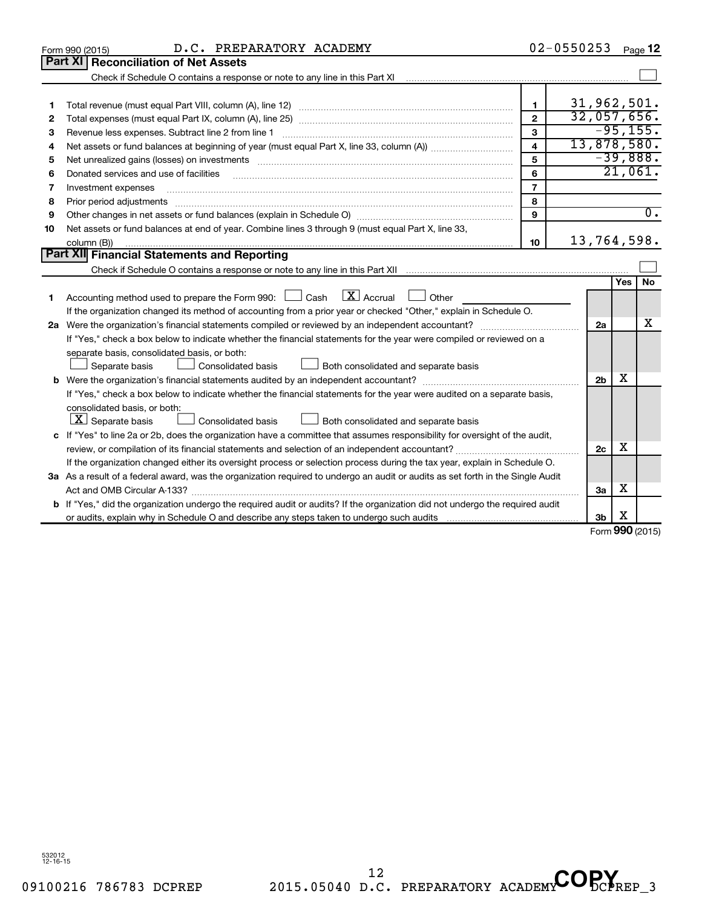|    | D.C. PREPARATORY ACADEMY<br>Form 990 (2015)                                                                                     |                         | $02 - 0550253$ |                |     | Page 12          |  |  |  |  |
|----|---------------------------------------------------------------------------------------------------------------------------------|-------------------------|----------------|----------------|-----|------------------|--|--|--|--|
|    | <b>Reconciliation of Net Assets</b><br>Part XII                                                                                 |                         |                |                |     |                  |  |  |  |  |
|    |                                                                                                                                 |                         |                |                |     |                  |  |  |  |  |
|    |                                                                                                                                 |                         |                |                |     |                  |  |  |  |  |
| 1  |                                                                                                                                 | $\mathbf{1}$            |                | 31,962,501.    |     |                  |  |  |  |  |
| 2  |                                                                                                                                 | $\overline{2}$          |                | 32,057,656.    |     |                  |  |  |  |  |
| З  | Revenue less expenses. Subtract line 2 from line 1                                                                              | 3                       |                |                |     | $-95, 155.$      |  |  |  |  |
| 4  |                                                                                                                                 | $\overline{\mathbf{4}}$ |                | 13,878,580.    |     |                  |  |  |  |  |
| 5  |                                                                                                                                 | 5                       |                |                |     | $-39,888.$       |  |  |  |  |
| 6  | Donated services and use of facilities                                                                                          | 6                       |                |                |     | 21,061.          |  |  |  |  |
| 7  | Investment expenses                                                                                                             | $\overline{7}$          |                |                |     |                  |  |  |  |  |
| 8  | Prior period adjustments                                                                                                        | 8                       |                |                |     |                  |  |  |  |  |
| 9  |                                                                                                                                 | 9                       |                |                |     | $\overline{0}$ . |  |  |  |  |
| 10 | Net assets or fund balances at end of year. Combine lines 3 through 9 (must equal Part X, line 33,                              |                         |                |                |     |                  |  |  |  |  |
|    | column (B))                                                                                                                     | 10                      |                | 13,764,598.    |     |                  |  |  |  |  |
|    | <b>Part XII</b> Financial Statements and Reporting                                                                              |                         |                |                |     |                  |  |  |  |  |
|    |                                                                                                                                 |                         |                |                |     |                  |  |  |  |  |
|    |                                                                                                                                 |                         |                |                | Yes | <b>No</b>        |  |  |  |  |
| 1  | Accounting method used to prepare the Form 990: $\Box$ Cash $\Box X$ Accrual<br>$\Box$ Other                                    |                         |                |                |     |                  |  |  |  |  |
|    | If the organization changed its method of accounting from a prior year or checked "Other," explain in Schedule O.               |                         |                |                |     |                  |  |  |  |  |
|    |                                                                                                                                 |                         |                | 2a             |     | х                |  |  |  |  |
|    | If "Yes," check a box below to indicate whether the financial statements for the year were compiled or reviewed on a            |                         |                |                |     |                  |  |  |  |  |
|    | separate basis, consolidated basis, or both:                                                                                    |                         |                |                |     |                  |  |  |  |  |
|    | Separate basis<br>Consolidated basis<br>Both consolidated and separate basis                                                    |                         |                |                |     |                  |  |  |  |  |
|    |                                                                                                                                 |                         |                | 2 <sub>b</sub> | х   |                  |  |  |  |  |
|    | If "Yes," check a box below to indicate whether the financial statements for the year were audited on a separate basis,         |                         |                |                |     |                  |  |  |  |  |
|    | consolidated basis, or both:                                                                                                    |                         |                |                |     |                  |  |  |  |  |
|    | $\lfloor x \rfloor$ Separate basis<br>Consolidated basis<br>Both consolidated and separate basis                                |                         |                |                |     |                  |  |  |  |  |
|    | c If "Yes" to line 2a or 2b, does the organization have a committee that assumes responsibility for oversight of the audit,     |                         |                |                |     |                  |  |  |  |  |
|    |                                                                                                                                 |                         |                | 2c             | х   |                  |  |  |  |  |
|    | If the organization changed either its oversight process or selection process during the tax year, explain in Schedule O.       |                         |                |                |     |                  |  |  |  |  |
|    | 3a As a result of a federal award, was the organization required to undergo an audit or audits as set forth in the Single Audit |                         |                |                |     |                  |  |  |  |  |
|    |                                                                                                                                 |                         |                | За             | х   |                  |  |  |  |  |
| b  | If "Yes," did the organization undergo the required audit or audits? If the organization did not undergo the required audit     |                         |                |                |     |                  |  |  |  |  |
|    |                                                                                                                                 |                         |                | 3 <sub>b</sub> | х   |                  |  |  |  |  |

Form (2015) **990**

532012 12-16-15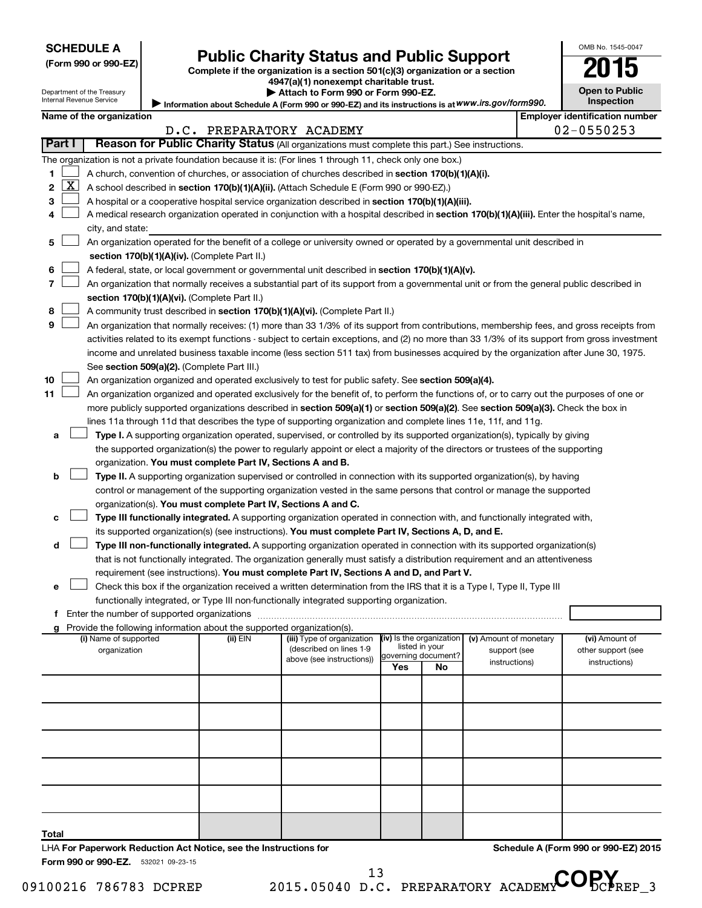| (Form 990 or 990-EZ |  |  |  |  |
|---------------------|--|--|--|--|
|---------------------|--|--|--|--|

# Form 990 or 990-EZ)<br>
Complete if the organization is a section 501(c)(3) organization or a section<br> **Public Charity Status and Public Support**

**4947(a)(1) nonexempt charitable trust. | Attach to Form 990 or Form 990-EZ.** 

| <b>Open to Public</b> |  |
|-----------------------|--|
| <b>Inspection</b>     |  |

OMB No. 1545-0047

Department of the Treasury Internal Revenue Service

| Internal Revenue Service | Information about Schedule A (Form 990 or 990-EZ) and its instructions is at WWW.irs.gov/form990. | <b>Inspection</b>              |
|--------------------------|---------------------------------------------------------------------------------------------------|--------------------------------|
| Name of the organization |                                                                                                   | Emplover identification number |

|              |              |                                                                                                                                               | D.C. PREPARATORY ACADEMY |                            |                            |    |                        | 02-0550253         |
|--------------|--------------|-----------------------------------------------------------------------------------------------------------------------------------------------|--------------------------|----------------------------|----------------------------|----|------------------------|--------------------|
|              | Part I       | Reason for Public Charity Status (All organizations must complete this part.) See instructions.                                               |                          |                            |                            |    |                        |                    |
|              |              | The organization is not a private foundation because it is: (For lines 1 through 11, check only one box.)                                     |                          |                            |                            |    |                        |                    |
| 1            |              | A church, convention of churches, or association of churches described in section 170(b)(1)(A)(i).                                            |                          |                            |                            |    |                        |                    |
| $\mathbf{2}$ | $\mathbf{X}$ | A school described in section 170(b)(1)(A)(ii). (Attach Schedule E (Form 990 or 990-EZ).)                                                     |                          |                            |                            |    |                        |                    |
| 3            |              | A hospital or a cooperative hospital service organization described in section $170(b)(1)(A)(iii)$ .                                          |                          |                            |                            |    |                        |                    |
| 4            |              | A medical research organization operated in conjunction with a hospital described in section 170(b)(1)(A)(iii). Enter the hospital's name,    |                          |                            |                            |    |                        |                    |
|              |              | city, and state:                                                                                                                              |                          |                            |                            |    |                        |                    |
| 5            |              | An organization operated for the benefit of a college or university owned or operated by a governmental unit described in                     |                          |                            |                            |    |                        |                    |
|              |              | section 170(b)(1)(A)(iv). (Complete Part II.)                                                                                                 |                          |                            |                            |    |                        |                    |
| 6            |              | A federal, state, or local government or governmental unit described in section 170(b)(1)(A)(v).                                              |                          |                            |                            |    |                        |                    |
| 7            |              | An organization that normally receives a substantial part of its support from a governmental unit or from the general public described in     |                          |                            |                            |    |                        |                    |
|              |              | section 170(b)(1)(A)(vi). (Complete Part II.)                                                                                                 |                          |                            |                            |    |                        |                    |
| 8            |              | A community trust described in section 170(b)(1)(A)(vi). (Complete Part II.)                                                                  |                          |                            |                            |    |                        |                    |
| 9            |              | An organization that normally receives: (1) more than 33 1/3% of its support from contributions, membership fees, and gross receipts from     |                          |                            |                            |    |                        |                    |
|              |              | activities related to its exempt functions - subject to certain exceptions, and (2) no more than 33 1/3% of its support from gross investment |                          |                            |                            |    |                        |                    |
|              |              | income and unrelated business taxable income (less section 511 tax) from businesses acquired by the organization after June 30, 1975.         |                          |                            |                            |    |                        |                    |
|              |              | See section 509(a)(2). (Complete Part III.)                                                                                                   |                          |                            |                            |    |                        |                    |
| 10           |              | An organization organized and operated exclusively to test for public safety. See section 509(a)(4).                                          |                          |                            |                            |    |                        |                    |
| 11           |              | An organization organized and operated exclusively for the benefit of, to perform the functions of, or to carry out the purposes of one or    |                          |                            |                            |    |                        |                    |
|              |              | more publicly supported organizations described in section 509(a)(1) or section 509(a)(2). See section 509(a)(3). Check the box in            |                          |                            |                            |    |                        |                    |
|              |              | lines 11a through 11d that describes the type of supporting organization and complete lines 11e, 11f, and 11g.                                |                          |                            |                            |    |                        |                    |
| a            |              | Type I. A supporting organization operated, supervised, or controlled by its supported organization(s), typically by giving                   |                          |                            |                            |    |                        |                    |
|              |              | the supported organization(s) the power to regularly appoint or elect a majority of the directors or trustees of the supporting               |                          |                            |                            |    |                        |                    |
|              |              | organization. You must complete Part IV, Sections A and B.                                                                                    |                          |                            |                            |    |                        |                    |
| b            |              | <b>Type II.</b> A supporting organization supervised or controlled in connection with its supported organization(s), by having                |                          |                            |                            |    |                        |                    |
|              |              | control or management of the supporting organization vested in the same persons that control or manage the supported                          |                          |                            |                            |    |                        |                    |
|              |              | organization(s). You must complete Part IV, Sections A and C.                                                                                 |                          |                            |                            |    |                        |                    |
|              |              | Type III functionally integrated. A supporting organization operated in connection with, and functionally integrated with,                    |                          |                            |                            |    |                        |                    |
|              |              | its supported organization(s) (see instructions). You must complete Part IV, Sections A, D, and E.                                            |                          |                            |                            |    |                        |                    |
| d            |              | Type III non-functionally integrated. A supporting organization operated in connection with its supported organization(s)                     |                          |                            |                            |    |                        |                    |
|              |              | that is not functionally integrated. The organization generally must satisfy a distribution requirement and an attentiveness                  |                          |                            |                            |    |                        |                    |
|              |              | requirement (see instructions). You must complete Part IV, Sections A and D, and Part V.                                                      |                          |                            |                            |    |                        |                    |
| e            |              | Check this box if the organization received a written determination from the IRS that it is a Type I, Type II, Type III                       |                          |                            |                            |    |                        |                    |
|              |              | functionally integrated, or Type III non-functionally integrated supporting organization.                                                     |                          |                            |                            |    |                        |                    |
|              |              | Enter the number of supported organizations                                                                                                   |                          |                            |                            |    |                        |                    |
|              |              | Provide the following information about the supported organization(s).<br>(i) Name of supported                                               | (ii) EIN                 | (iii) Type of organization | (iv) Is the organization   |    | (v) Amount of monetary | (vi) Amount of     |
|              |              | organization                                                                                                                                  |                          | (described on lines 1-9    | listed in your             |    | support (see           | other support (see |
|              |              |                                                                                                                                               |                          | above (see instructions))  | governing document?<br>Yes | No | instructions)          | instructions)      |
|              |              |                                                                                                                                               |                          |                            |                            |    |                        |                    |
|              |              |                                                                                                                                               |                          |                            |                            |    |                        |                    |

Form 990 or 990-EZ. 532021 09-23-15 LHA **For Paperwork Reduction Act Notice, see the Instructions for**  **Schedule A (Form 990 or 990-EZ) 2015**

**Total**

13 D.C. PREPARATORY ACADEMY COPY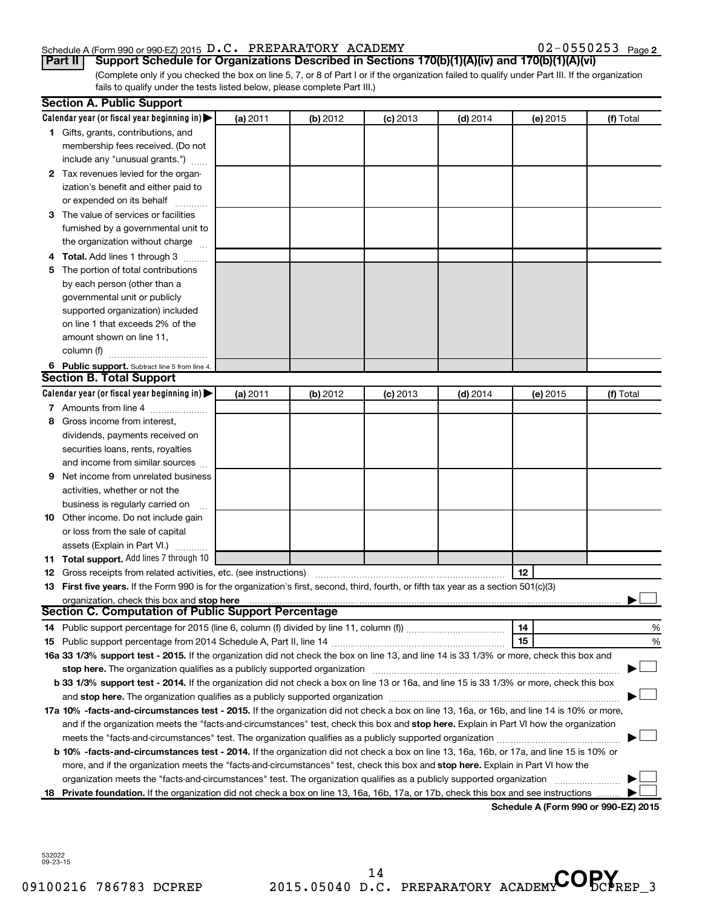#### Schedule A (Form 990 or 990-EZ) 2015  $D.C.$  PREPARATORY ACADEMY  $O2-0550253$  Page

02-0550253 Page 2

(Complete only if you checked the box on line 5, 7, or 8 of Part I or if the organization failed to qualify under Part III. If the organization fails to qualify under the tests listed below, please complete Part III.) **Part II** | Support Schedule for Organizations Described in Sections 170(b)(1)(A)(iv) and 170(b)(1)(A)(vi)

|    | <b>Section A. Public Support</b>                                                                                                                                                                                               |          |          |            |            |          |                                      |
|----|--------------------------------------------------------------------------------------------------------------------------------------------------------------------------------------------------------------------------------|----------|----------|------------|------------|----------|--------------------------------------|
|    | Calendar year (or fiscal year beginning in)                                                                                                                                                                                    | (a) 2011 | (b) 2012 | $(c)$ 2013 | $(d)$ 2014 | (e) 2015 | (f) Total                            |
|    | 1 Gifts, grants, contributions, and                                                                                                                                                                                            |          |          |            |            |          |                                      |
|    | membership fees received. (Do not                                                                                                                                                                                              |          |          |            |            |          |                                      |
|    | include any "unusual grants.")                                                                                                                                                                                                 |          |          |            |            |          |                                      |
|    | 2 Tax revenues levied for the organ-                                                                                                                                                                                           |          |          |            |            |          |                                      |
|    | ization's benefit and either paid to                                                                                                                                                                                           |          |          |            |            |          |                                      |
|    | or expended on its behalf                                                                                                                                                                                                      |          |          |            |            |          |                                      |
|    | 3 The value of services or facilities                                                                                                                                                                                          |          |          |            |            |          |                                      |
|    | furnished by a governmental unit to                                                                                                                                                                                            |          |          |            |            |          |                                      |
|    | the organization without charge                                                                                                                                                                                                |          |          |            |            |          |                                      |
|    | 4 Total. Add lines 1 through 3                                                                                                                                                                                                 |          |          |            |            |          |                                      |
|    | 5 The portion of total contributions                                                                                                                                                                                           |          |          |            |            |          |                                      |
|    | by each person (other than a                                                                                                                                                                                                   |          |          |            |            |          |                                      |
|    | governmental unit or publicly                                                                                                                                                                                                  |          |          |            |            |          |                                      |
|    | supported organization) included                                                                                                                                                                                               |          |          |            |            |          |                                      |
|    | on line 1 that exceeds 2% of the                                                                                                                                                                                               |          |          |            |            |          |                                      |
|    | amount shown on line 11,                                                                                                                                                                                                       |          |          |            |            |          |                                      |
|    | column (f)                                                                                                                                                                                                                     |          |          |            |            |          |                                      |
|    | 6 Public support. Subtract line 5 from line 4.                                                                                                                                                                                 |          |          |            |            |          |                                      |
|    | <b>Section B. Total Support</b>                                                                                                                                                                                                |          |          |            |            |          |                                      |
|    | Calendar year (or fiscal year beginning in)                                                                                                                                                                                    | (a) 2011 | (b) 2012 | $(c)$ 2013 | $(d)$ 2014 | (e) 2015 | (f) Total                            |
|    | 7 Amounts from line 4                                                                                                                                                                                                          |          |          |            |            |          |                                      |
|    | 8 Gross income from interest,                                                                                                                                                                                                  |          |          |            |            |          |                                      |
|    | dividends, payments received on                                                                                                                                                                                                |          |          |            |            |          |                                      |
|    | securities loans, rents, royalties                                                                                                                                                                                             |          |          |            |            |          |                                      |
|    | and income from similar sources                                                                                                                                                                                                |          |          |            |            |          |                                      |
| 9  | Net income from unrelated business                                                                                                                                                                                             |          |          |            |            |          |                                      |
|    | activities, whether or not the                                                                                                                                                                                                 |          |          |            |            |          |                                      |
|    | business is regularly carried on                                                                                                                                                                                               |          |          |            |            |          |                                      |
|    | 10 Other income. Do not include gain                                                                                                                                                                                           |          |          |            |            |          |                                      |
|    | or loss from the sale of capital                                                                                                                                                                                               |          |          |            |            |          |                                      |
|    | assets (Explain in Part VI.)                                                                                                                                                                                                   |          |          |            |            |          |                                      |
|    | 11 Total support. Add lines 7 through 10                                                                                                                                                                                       |          |          |            |            |          |                                      |
|    | <b>12</b> Gross receipts from related activities, etc. (see instructions)                                                                                                                                                      |          |          |            |            | 12       |                                      |
|    | 13 First five years. If the Form 990 is for the organization's first, second, third, fourth, or fifth tax year as a section 501(c)(3)                                                                                          |          |          |            |            |          |                                      |
|    | organization, check this box and stop here                                                                                                                                                                                     |          |          |            |            |          |                                      |
|    | <b>Section C. Computation of Public Support Percentage</b>                                                                                                                                                                     |          |          |            |            |          |                                      |
|    |                                                                                                                                                                                                                                |          |          |            |            | 14       | %                                    |
|    |                                                                                                                                                                                                                                |          |          |            |            | 15       | %                                    |
|    | 16a 33 1/3% support test - 2015. If the organization did not check the box on line 13, and line 14 is 33 1/3% or more, check this box and                                                                                      |          |          |            |            |          |                                      |
|    | stop here. The organization qualifies as a publicly supported organization manufactured content and the support of the state of the state of the state of the state of the state of the state of the state of the state of the |          |          |            |            |          |                                      |
|    | b 33 1/3% support test - 2014. If the organization did not check a box on line 13 or 16a, and line 15 is 33 1/3% or more, check this box                                                                                       |          |          |            |            |          |                                      |
|    |                                                                                                                                                                                                                                |          |          |            |            |          |                                      |
|    | 17a 10% -facts-and-circumstances test - 2015. If the organization did not check a box on line 13, 16a, or 16b, and line 14 is 10% or more,                                                                                     |          |          |            |            |          |                                      |
|    | and if the organization meets the "facts-and-circumstances" test, check this box and stop here. Explain in Part VI how the organization                                                                                        |          |          |            |            |          |                                      |
|    |                                                                                                                                                                                                                                |          |          |            |            |          |                                      |
|    | <b>b 10%</b> -facts-and-circumstances test - 2014. If the organization did not check a box on line 13, 16a, 16b, or 17a, and line 15 is 10% or                                                                                 |          |          |            |            |          |                                      |
|    | more, and if the organization meets the "facts-and-circumstances" test, check this box and stop here. Explain in Part VI how the                                                                                               |          |          |            |            |          |                                      |
|    | organization meets the "facts-and-circumstances" test. The organization qualifies as a publicly supported organization                                                                                                         |          |          |            |            |          |                                      |
| 18 | Private foundation. If the organization did not check a box on line 13, 16a, 16b, 17a, or 17b, check this box and see instructions.                                                                                            |          |          |            |            |          |                                      |
|    |                                                                                                                                                                                                                                |          |          |            |            |          | Schodule A (Form 000 or 000 EZ) 2015 |

**Schedule A (Form 990 or 990-EZ) 2015**

532022 09-23-15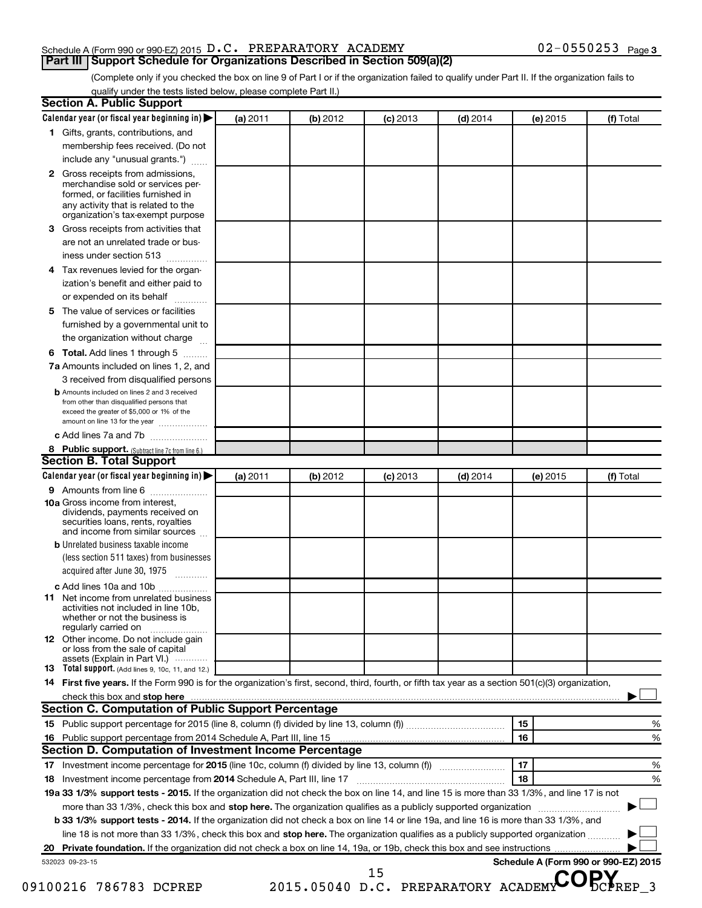### Schedule A (Form 990 or 990-EZ) 2015  $D.C.$  PREPARATORY ACADEMY  $O2-0550253$  Page

### (Complete only if you checked the box on line 9 of Part I or if the organization failed to qualify under Part II. If the organization fails to **Part III | Support Schedule for Organizations Described in Section 509(a)(2)**

qualify under the tests listed below, please complete Part II.)

| Calendar year (or fiscal year beginning in)                                                                                                                                      | (a) 2011 | (b) 2012 | $(c)$ 2013                              | $(d)$ 2014 | (e) 2015 | (f) Total                            |
|----------------------------------------------------------------------------------------------------------------------------------------------------------------------------------|----------|----------|-----------------------------------------|------------|----------|--------------------------------------|
| 1 Gifts, grants, contributions, and                                                                                                                                              |          |          |                                         |            |          |                                      |
| membership fees received. (Do not                                                                                                                                                |          |          |                                         |            |          |                                      |
| include any "unusual grants.")                                                                                                                                                   |          |          |                                         |            |          |                                      |
| 2 Gross receipts from admissions,<br>merchandise sold or services per-<br>formed, or facilities furnished in                                                                     |          |          |                                         |            |          |                                      |
| any activity that is related to the<br>organization's tax-exempt purpose                                                                                                         |          |          |                                         |            |          |                                      |
| Gross receipts from activities that<br>3                                                                                                                                         |          |          |                                         |            |          |                                      |
| are not an unrelated trade or bus-<br>iness under section 513                                                                                                                    |          |          |                                         |            |          |                                      |
| Tax revenues levied for the organ-<br>4                                                                                                                                          |          |          |                                         |            |          |                                      |
| ization's benefit and either paid to<br>or expended on its behalf                                                                                                                |          |          |                                         |            |          |                                      |
| The value of services or facilities<br>5                                                                                                                                         |          |          |                                         |            |          |                                      |
| furnished by a governmental unit to                                                                                                                                              |          |          |                                         |            |          |                                      |
| the organization without charge                                                                                                                                                  |          |          |                                         |            |          |                                      |
| 6 Total. Add lines 1 through 5                                                                                                                                                   |          |          |                                         |            |          |                                      |
| 7a Amounts included on lines 1, 2, and                                                                                                                                           |          |          |                                         |            |          |                                      |
| 3 received from disqualified persons                                                                                                                                             |          |          |                                         |            |          |                                      |
| <b>b</b> Amounts included on lines 2 and 3 received<br>from other than disqualified persons that<br>exceed the greater of \$5,000 or 1% of the<br>amount on line 13 for the year |          |          |                                         |            |          |                                      |
| c Add lines 7a and 7b                                                                                                                                                            |          |          |                                         |            |          |                                      |
| 8 Public support. (Subtract line 7c from line 6.)                                                                                                                                |          |          |                                         |            |          |                                      |
| <b>Section B. Total Support</b>                                                                                                                                                  |          |          |                                         |            |          |                                      |
| Calendar year (or fiscal year beginning in)                                                                                                                                      | (a) 2011 | (b) 2012 | $(c)$ 2013                              | $(d)$ 2014 | (e) 2015 | (f) Total                            |
| 9 Amounts from line 6                                                                                                                                                            |          |          |                                         |            |          |                                      |
| <b>10a</b> Gross income from interest,<br>dividends, payments received on<br>securities loans, rents, royalties<br>and income from similar sources                               |          |          |                                         |            |          |                                      |
| <b>b</b> Unrelated business taxable income<br>(less section 511 taxes) from businesses                                                                                           |          |          |                                         |            |          |                                      |
| acquired after June 30, 1975                                                                                                                                                     |          |          |                                         |            |          |                                      |
| c Add lines 10a and 10b                                                                                                                                                          |          |          |                                         |            |          |                                      |
| <b>11</b> Net income from unrelated business<br>activities not included in line 10b.<br>whether or not the business is<br>regularly carried on                                   |          |          |                                         |            |          |                                      |
| <b>12</b> Other income. Do not include gain<br>or loss from the sale of capital                                                                                                  |          |          |                                         |            |          |                                      |
| assets (Explain in Part VI.)<br><b>13</b> Total support. (Add lines 9, 10c, 11, and 12.)                                                                                         |          |          |                                         |            |          |                                      |
| 14 First five years. If the Form 990 is for the organization's first, second, third, fourth, or fifth tax year as a section 501(c)(3) organization,                              |          |          |                                         |            |          |                                      |
|                                                                                                                                                                                  |          |          |                                         |            |          |                                      |
| <b>Section C. Computation of Public Support Percentage</b>                                                                                                                       |          |          |                                         |            |          |                                      |
|                                                                                                                                                                                  |          |          |                                         |            | 15       | %                                    |
|                                                                                                                                                                                  |          |          |                                         |            | 16       | %                                    |
| <b>Section D. Computation of Investment Income Percentage</b>                                                                                                                    |          |          |                                         |            |          |                                      |
|                                                                                                                                                                                  |          |          |                                         |            | 17       | %                                    |
|                                                                                                                                                                                  |          |          |                                         |            | 18       | %                                    |
| 18 Investment income percentage from 2014 Schedule A, Part III, line 17                                                                                                          |          |          |                                         |            |          |                                      |
| 19a 33 1/3% support tests - 2015. If the organization did not check the box on line 14, and line 15 is more than 33 1/3%, and line 17 is not                                     |          |          |                                         |            |          |                                      |
| more than 33 1/3%, check this box and stop here. The organization qualifies as a publicly supported organization <i>manameroman</i> many                                         |          |          |                                         |            |          |                                      |
| b 33 1/3% support tests - 2014. If the organization did not check a box on line 14 or line 19a, and line 16 is more than 33 1/3%, and                                            |          |          |                                         |            |          |                                      |
| line 18 is not more than 33 1/3%, check this box and stop here. The organization qualifies as a publicly supported organization                                                  |          |          |                                         |            |          |                                      |
|                                                                                                                                                                                  |          |          |                                         |            |          |                                      |
| 532023 09-23-15                                                                                                                                                                  |          |          |                                         |            |          | Schedule A (Form 990 or 990-EZ) 2015 |
| 09100216 786783 DCPREP                                                                                                                                                           |          |          | 15<br>2015.05040 D.C. PREPARATORY ACADE |            |          |                                      |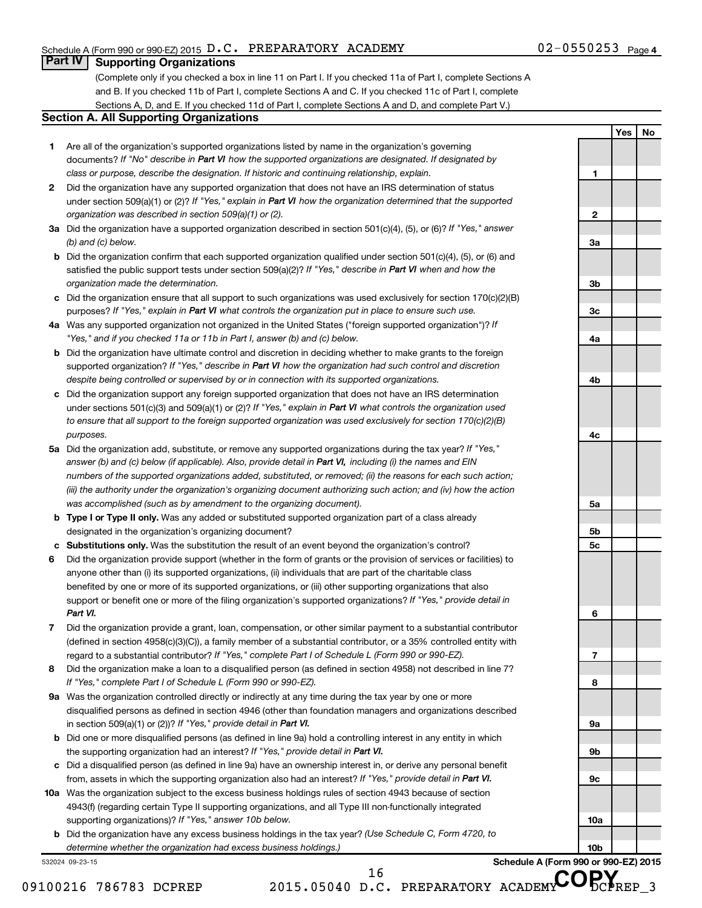**1**

**2**

**3a**

**3b**

**3c**

**4a**

**4b**

**4c**

**5a**

**5b 5c**

**6**

**7**

**8**

**9a**

**9b**

**9c**

**10a**

**10b**

**Yes No**

### **Part IV Supporting Organizations**

(Complete only if you checked a box in line 11 on Part I. If you checked 11a of Part I, complete Sections A and B. If you checked 11b of Part I, complete Sections A and C. If you checked 11c of Part I, complete Sections A, D, and E. If you checked 11d of Part I, complete Sections A and D, and complete Part V.)

#### **Section A. All Supporting Organizations**

- **1** Are all of the organization's supported organizations listed by name in the organization's governing documents? If "No" describe in Part VI how the supported organizations are designated. If designated by *class or purpose, describe the designation. If historic and continuing relationship, explain.*
- **2** Did the organization have any supported organization that does not have an IRS determination of status under section 509(a)(1) or (2)? If "Yes," explain in Part VI how the organization determined that the supported *organization was described in section 509(a)(1) or (2).*
- **3a** Did the organization have a supported organization described in section 501(c)(4), (5), or (6)? If "Yes," answer *(b) and (c) below.*
- **b** Did the organization confirm that each supported organization qualified under section 501(c)(4), (5), or (6) and satisfied the public support tests under section 509(a)(2)? If "Yes," describe in Part VI when and how the *organization made the determination.*
- **c** Did the organization ensure that all support to such organizations was used exclusively for section 170(c)(2)(B) purposes? If "Yes," explain in Part VI what controls the organization put in place to ensure such use.
- **4 a** *If* Was any supported organization not organized in the United States ("foreign supported organization")? *"Yes," and if you checked 11a or 11b in Part I, answer (b) and (c) below.*
- **b** Did the organization have ultimate control and discretion in deciding whether to make grants to the foreign supported organization? If "Yes," describe in Part VI how the organization had such control and discretion *despite being controlled or supervised by or in connection with its supported organizations.*
- **c** Did the organization support any foreign supported organization that does not have an IRS determination under sections 501(c)(3) and 509(a)(1) or (2)? If "Yes," explain in Part VI what controls the organization used *to ensure that all support to the foreign supported organization was used exclusively for section 170(c)(2)(B) purposes.*
- **5a** Did the organization add, substitute, or remove any supported organizations during the tax year? If "Yes," answer (b) and (c) below (if applicable). Also, provide detail in Part VI, including (i) the names and EIN *numbers of the supported organizations added, substituted, or removed; (ii) the reasons for each such action; (iii) the authority under the organization's organizing document authorizing such action; and (iv) how the action was accomplished (such as by amendment to the organizing document).*
- **b Type I or Type II only.** Was any added or substituted supported organization part of a class already designated in the organization's organizing document?
- **c Substitutions only.**  Was the substitution the result of an event beyond the organization's control?
- **6** Did the organization provide support (whether in the form of grants or the provision of services or facilities) to support or benefit one or more of the filing organization's supported organizations? If "Yes," provide detail in anyone other than (i) its supported organizations, (ii) individuals that are part of the charitable class benefited by one or more of its supported organizations, or (iii) other supporting organizations that also *Part VI.*
- **7** Did the organization provide a grant, loan, compensation, or other similar payment to a substantial contributor regard to a substantial contributor? If "Yes," complete Part I of Schedule L (Form 990 or 990-EZ). (defined in section 4958(c)(3)(C)), a family member of a substantial contributor, or a 35% controlled entity with
- **8** Did the organization make a loan to a disqualified person (as defined in section 4958) not described in line 7? *If "Yes," complete Part I of Schedule L (Form 990 or 990-EZ).*
- **9 a** Was the organization controlled directly or indirectly at any time during the tax year by one or more in section 509(a)(1) or (2))? If "Yes," provide detail in **Part VI.** disqualified persons as defined in section 4946 (other than foundation managers and organizations described
- **b** Did one or more disqualified persons (as defined in line 9a) hold a controlling interest in any entity in which the supporting organization had an interest? If "Yes," provide detail in Part VI.
- **c** Did a disqualified person (as defined in line 9a) have an ownership interest in, or derive any personal benefit from, assets in which the supporting organization also had an interest? If "Yes," provide detail in Part VI.
- **10 a** Was the organization subject to the excess business holdings rules of section 4943 because of section supporting organizations)? If "Yes," answer 10b below. 4943(f) (regarding certain Type II supporting organizations, and all Type III non-functionally integrated
	- **b** Did the organization have any excess business holdings in the tax year? (Use Schedule C, Form 4720, to *determine whether the organization had excess business holdings.)*

532024 09-23-15

09100216 786783 DCPREP 2015.05040 D.C. PREPARATORY ACADEMY DCPREP 3

16<br>D.C. PREPARATORY ACADEMY COPY

**Schedule A (Form 990 or 990-EZ) 2015**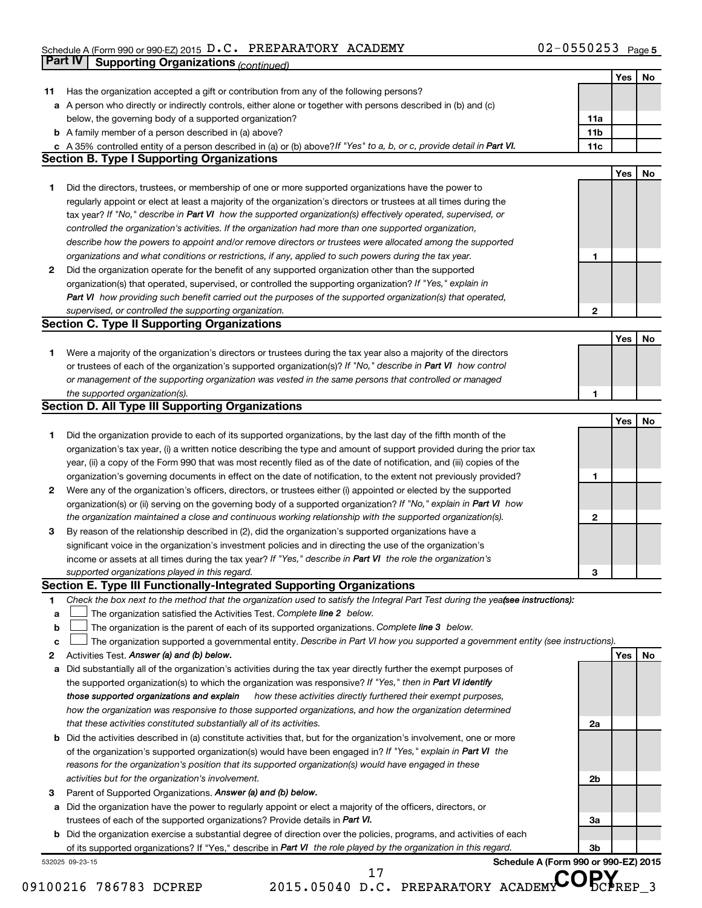#### Schedule A (Form 990 or 990-EZ) 2015  $D$  . C . PREPARATORY ACADEMY Fractional method of  $DZ-0$ 550253 Page D.C. PREPARATORY ACADEMY 02-0550253

|    | Part IV         | <b>Supporting Organizations (continued)</b>                                                                                     |                 |            |    |
|----|-----------------|---------------------------------------------------------------------------------------------------------------------------------|-----------------|------------|----|
|    |                 |                                                                                                                                 |                 | Yes        | No |
| 11 |                 | Has the organization accepted a gift or contribution from any of the following persons?                                         |                 |            |    |
|    |                 | a A person who directly or indirectly controls, either alone or together with persons described in (b) and (c)                  |                 |            |    |
|    |                 | below, the governing body of a supported organization?                                                                          | 11a             |            |    |
|    |                 | <b>b</b> A family member of a person described in (a) above?                                                                    | 11 <sub>b</sub> |            |    |
|    |                 | c A 35% controlled entity of a person described in (a) or (b) above? If "Yes" to a, b, or c, provide detail in Part VI.         | 11c             |            |    |
|    |                 | <b>Section B. Type I Supporting Organizations</b>                                                                               |                 |            |    |
|    |                 |                                                                                                                                 |                 | Yes        | No |
| 1  |                 | Did the directors, trustees, or membership of one or more supported organizations have the power to                             |                 |            |    |
|    |                 | regularly appoint or elect at least a majority of the organization's directors or trustees at all times during the              |                 |            |    |
|    |                 | tax year? If "No," describe in Part VI how the supported organization(s) effectively operated, supervised, or                   |                 |            |    |
|    |                 | controlled the organization's activities. If the organization had more than one supported organization,                         |                 |            |    |
|    |                 | describe how the powers to appoint and/or remove directors or trustees were allocated among the supported                       |                 |            |    |
|    |                 | organizations and what conditions or restrictions, if any, applied to such powers during the tax year.                          | 1               |            |    |
| 2  |                 | Did the organization operate for the benefit of any supported organization other than the supported                             |                 |            |    |
|    |                 | organization(s) that operated, supervised, or controlled the supporting organization? If "Yes," explain in                      |                 |            |    |
|    |                 | Part VI how providing such benefit carried out the purposes of the supported organization(s) that operated,                     |                 |            |    |
|    |                 | supervised, or controlled the supporting organization.                                                                          | $\mathbf{2}$    |            |    |
|    |                 | <b>Section C. Type II Supporting Organizations</b>                                                                              |                 |            |    |
|    |                 |                                                                                                                                 |                 | <b>Yes</b> | No |
| 1  |                 | Were a majority of the organization's directors or trustees during the tax year also a majority of the directors                |                 |            |    |
|    |                 | or trustees of each of the organization's supported organization(s)? If "No," describe in Part VI how control                   |                 |            |    |
|    |                 | or management of the supporting organization was vested in the same persons that controlled or managed                          |                 |            |    |
|    |                 | the supported organization(s).                                                                                                  | 1               |            |    |
|    |                 | <b>Section D. All Type III Supporting Organizations</b>                                                                         |                 |            |    |
|    |                 |                                                                                                                                 |                 | Yes        | No |
| 1  |                 | Did the organization provide to each of its supported organizations, by the last day of the fifth month of the                  |                 |            |    |
|    |                 | organization's tax year, (i) a written notice describing the type and amount of support provided during the prior tax           |                 |            |    |
|    |                 | year, (ii) a copy of the Form 990 that was most recently filed as of the date of notification, and (iii) copies of the          |                 |            |    |
|    |                 | organization's governing documents in effect on the date of notification, to the extent not previously provided?                | 1               |            |    |
| 2  |                 | Were any of the organization's officers, directors, or trustees either (i) appointed or elected by the supported                |                 |            |    |
|    |                 | organization(s) or (ii) serving on the governing body of a supported organization? If "No," explain in Part VI how              |                 |            |    |
|    |                 | the organization maintained a close and continuous working relationship with the supported organization(s).                     | $\mathbf{2}$    |            |    |
| 3  |                 | By reason of the relationship described in (2), did the organization's supported organizations have a                           |                 |            |    |
|    |                 | significant voice in the organization's investment policies and in directing the use of the organization's                      |                 |            |    |
|    |                 | income or assets at all times during the tax year? If "Yes," describe in Part VI the role the organization's                    |                 |            |    |
|    |                 | supported organizations played in this regard.                                                                                  | З               |            |    |
|    |                 | Section E. Type III Functionally-Integrated Supporting Organizations                                                            |                 |            |    |
| 1  |                 | Check the box next to the method that the organization used to satisfy the Integral Part Test during the yealsee instructions): |                 |            |    |
| a  |                 | The organization satisfied the Activities Test. Complete line 2 below.                                                          |                 |            |    |
| b  |                 | The organization is the parent of each of its supported organizations. Complete line 3 below.                                   |                 |            |    |
| c  |                 | The organization supported a governmental entity. Describe in Part VI how you supported a government entity (see instructions). |                 |            |    |
| 2  |                 | Activities Test. Answer (a) and (b) below.                                                                                      |                 | Yes        | No |
| а  |                 | Did substantially all of the organization's activities during the tax year directly further the exempt purposes of              |                 |            |    |
|    |                 | the supported organization(s) to which the organization was responsive? If "Yes," then in Part VI identify                      |                 |            |    |
|    |                 | how these activities directly furthered their exempt purposes,<br>those supported organizations and explain                     |                 |            |    |
|    |                 | how the organization was responsive to those supported organizations, and how the organization determined                       |                 |            |    |
|    |                 | that these activities constituted substantially all of its activities.                                                          | 2a              |            |    |
| b  |                 | Did the activities described in (a) constitute activities that, but for the organization's involvement, one or more             |                 |            |    |
|    |                 | of the organization's supported organization(s) would have been engaged in? If "Yes," explain in Part VI the                    |                 |            |    |
|    |                 | reasons for the organization's position that its supported organization(s) would have engaged in these                          |                 |            |    |
|    |                 | activities but for the organization's involvement.                                                                              | 2 <sub>b</sub>  |            |    |
| З  |                 | Parent of Supported Organizations. Answer (a) and (b) below.                                                                    |                 |            |    |
| а  |                 | Did the organization have the power to regularly appoint or elect a majority of the officers, directors, or                     |                 |            |    |
|    |                 | trustees of each of the supported organizations? Provide details in Part VI.                                                    | За              |            |    |
|    |                 | <b>b</b> Did the organization exercise a substantial degree of direction over the policies, programs, and activities of each    |                 |            |    |
|    |                 | of its supported organizations? If "Yes," describe in Part VI the role played by the organization in this regard.               | 3b              |            |    |
|    | 532025 09-23-15 | Schedule A (Form 990 or 990-EZ) 2015<br>17                                                                                      |                 |            |    |

09100216 786783 DCPREP 2015.05040 D.C. PREPARATORY ACADEMY DCPREP 3

<sup>17</sup> D.C. PREPARATORY ACADEMY COPY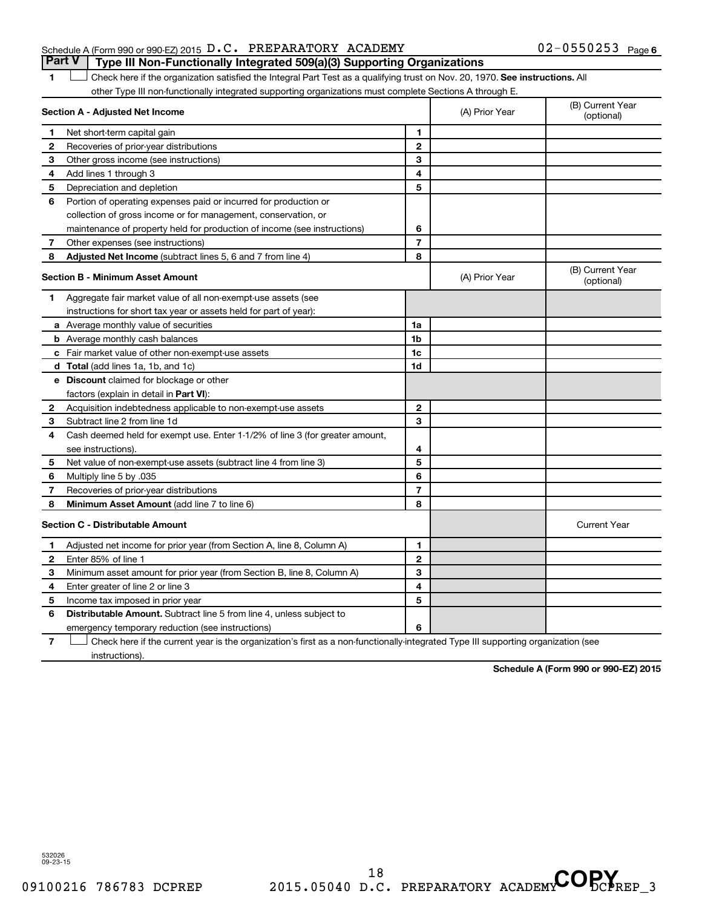#### Schedule A (Form 990 or 990-EZ) 2015  $D.C.$  PREPARATORY ACADEMY  $02-0550253$  Page **Part V Type III Non-Functionally Integrated 509(a)(3) Supporting Organizations**

1 **Letter on Reck here if the organization satisfied the Integral Part Test as a qualifying trust on Nov. 20, 1970. See instructions. All** other Type III non-functionally integrated supporting organizations must complete Sections A through E.

| Section A - Adjusted Net Income |                                                                                                                                   |                | (A) Prior Year | (B) Current Year<br>(optional) |
|---------------------------------|-----------------------------------------------------------------------------------------------------------------------------------|----------------|----------------|--------------------------------|
| 1                               | Net short-term capital gain                                                                                                       | 1              |                |                                |
| 2                               | Recoveries of prior-year distributions                                                                                            | $\mathbf{2}$   |                |                                |
| З                               | Other gross income (see instructions)                                                                                             | 3              |                |                                |
| 4                               | Add lines 1 through 3                                                                                                             | 4              |                |                                |
| 5                               | Depreciation and depletion                                                                                                        | 5              |                |                                |
| 6                               | Portion of operating expenses paid or incurred for production or                                                                  |                |                |                                |
|                                 | collection of gross income or for management, conservation, or                                                                    |                |                |                                |
|                                 | maintenance of property held for production of income (see instructions)                                                          | 6              |                |                                |
| 7                               | Other expenses (see instructions)                                                                                                 | $\overline{7}$ |                |                                |
| 8                               | Adjusted Net Income (subtract lines 5, 6 and 7 from line 4)                                                                       | 8              |                |                                |
|                                 | <b>Section B - Minimum Asset Amount</b>                                                                                           |                | (A) Prior Year | (B) Current Year<br>(optional) |
| 1                               | Aggregate fair market value of all non-exempt-use assets (see                                                                     |                |                |                                |
|                                 | instructions for short tax year or assets held for part of year):                                                                 |                |                |                                |
|                                 | <b>a</b> Average monthly value of securities                                                                                      | 1a             |                |                                |
|                                 | <b>b</b> Average monthly cash balances                                                                                            | 1 <sub>b</sub> |                |                                |
|                                 | <b>c</b> Fair market value of other non-exempt-use assets                                                                         | 1c             |                |                                |
|                                 | d Total (add lines 1a, 1b, and 1c)                                                                                                | 1d             |                |                                |
|                                 | <b>e</b> Discount claimed for blockage or other                                                                                   |                |                |                                |
|                                 | factors (explain in detail in <b>Part VI</b> ):                                                                                   |                |                |                                |
| 2                               | Acquisition indebtedness applicable to non-exempt-use assets                                                                      | $\mathbf{2}$   |                |                                |
| 3                               | Subtract line 2 from line 1d                                                                                                      | 3              |                |                                |
| 4                               | Cash deemed held for exempt use. Enter 1-1/2% of line 3 (for greater amount,                                                      |                |                |                                |
|                                 | see instructions).                                                                                                                | 4              |                |                                |
| 5                               | Net value of non-exempt-use assets (subtract line 4 from line 3)                                                                  | 5              |                |                                |
| 6                               | Multiply line 5 by .035                                                                                                           | 6              |                |                                |
| 7                               | Recoveries of prior-year distributions                                                                                            | $\overline{7}$ |                |                                |
| 8                               | <b>Minimum Asset Amount (add line 7 to line 6)</b>                                                                                | 8              |                |                                |
|                                 | <b>Section C - Distributable Amount</b>                                                                                           |                |                | <b>Current Year</b>            |
| 1                               | Adjusted net income for prior year (from Section A, line 8, Column A)                                                             | 1              |                |                                |
| 2                               | Enter 85% of line 1                                                                                                               | $\mathbf{2}$   |                |                                |
| З                               | Minimum asset amount for prior year (from Section B, line 8, Column A)                                                            | 3              |                |                                |
| 4                               | Enter greater of line 2 or line 3                                                                                                 | 4              |                |                                |
| 5                               | Income tax imposed in prior year                                                                                                  | 5              |                |                                |
| 6                               | <b>Distributable Amount.</b> Subtract line 5 from line 4, unless subject to                                                       |                |                |                                |
|                                 | emergency temporary reduction (see instructions)                                                                                  | 6              |                |                                |
| 7                               | Check here if the current year is the organization's first as a non-functionally-integrated Type III supporting organization (see |                |                |                                |

instructions).

**Schedule A (Form 990 or 990-EZ) 2015**

532026 09-23-15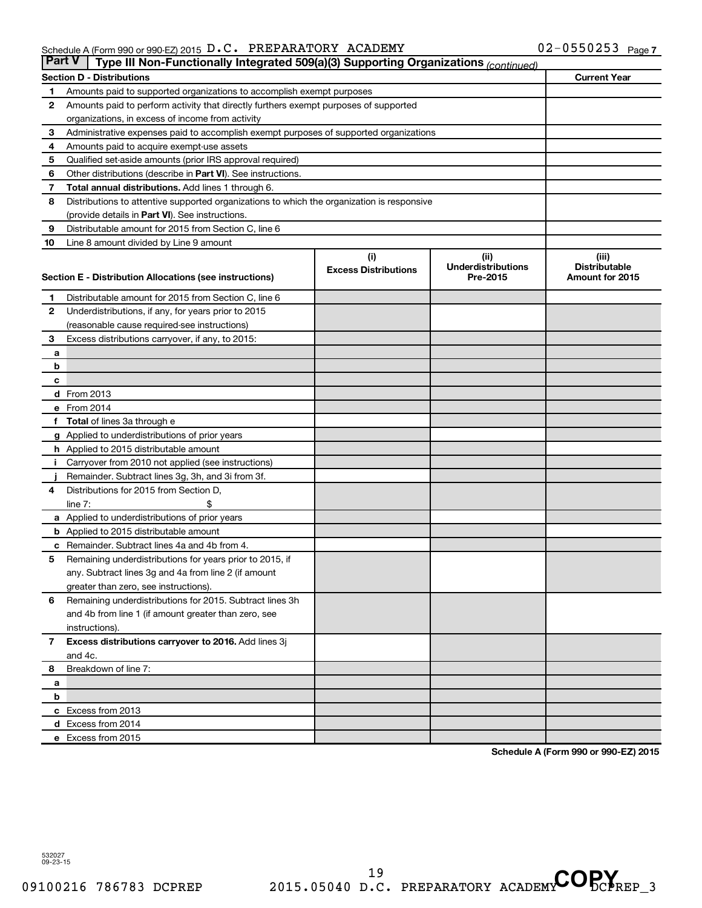| <b>Part V</b><br>Type III Non-Functionally Integrated 509(a)(3) Supporting Organizations (continued) |                                                                                             |                             |                                       |                                         |  |  |  |  |
|------------------------------------------------------------------------------------------------------|---------------------------------------------------------------------------------------------|-----------------------------|---------------------------------------|-----------------------------------------|--|--|--|--|
|                                                                                                      | <b>Section D - Distributions</b>                                                            |                             |                                       | <b>Current Year</b>                     |  |  |  |  |
| 1                                                                                                    | Amounts paid to supported organizations to accomplish exempt purposes                       |                             |                                       |                                         |  |  |  |  |
| $\mathbf{2}$                                                                                         | Amounts paid to perform activity that directly furthers exempt purposes of supported        |                             |                                       |                                         |  |  |  |  |
|                                                                                                      | organizations, in excess of income from activity                                            |                             |                                       |                                         |  |  |  |  |
| 3                                                                                                    | Administrative expenses paid to accomplish exempt purposes of supported organizations       |                             |                                       |                                         |  |  |  |  |
| 4                                                                                                    | Amounts paid to acquire exempt-use assets                                                   |                             |                                       |                                         |  |  |  |  |
| 5                                                                                                    | Qualified set-aside amounts (prior IRS approval required)                                   |                             |                                       |                                         |  |  |  |  |
| 6                                                                                                    | Other distributions (describe in Part VI). See instructions.                                |                             |                                       |                                         |  |  |  |  |
| 7                                                                                                    | <b>Total annual distributions.</b> Add lines 1 through 6.                                   |                             |                                       |                                         |  |  |  |  |
| 8                                                                                                    | Distributions to attentive supported organizations to which the organization is responsive  |                             |                                       |                                         |  |  |  |  |
|                                                                                                      | (provide details in Part VI). See instructions.                                             |                             |                                       |                                         |  |  |  |  |
| 9                                                                                                    | Distributable amount for 2015 from Section C, line 6                                        |                             |                                       |                                         |  |  |  |  |
| 10                                                                                                   | Line 8 amount divided by Line 9 amount                                                      |                             |                                       |                                         |  |  |  |  |
|                                                                                                      |                                                                                             | (i)                         | (ii)                                  | (iii)                                   |  |  |  |  |
|                                                                                                      | Section E - Distribution Allocations (see instructions)                                     | <b>Excess Distributions</b> | <b>Underdistributions</b><br>Pre-2015 | <b>Distributable</b><br>Amount for 2015 |  |  |  |  |
|                                                                                                      |                                                                                             |                             |                                       |                                         |  |  |  |  |
| 1                                                                                                    | Distributable amount for 2015 from Section C, line 6                                        |                             |                                       |                                         |  |  |  |  |
| $\mathbf{2}$                                                                                         | Underdistributions, if any, for years prior to 2015                                         |                             |                                       |                                         |  |  |  |  |
|                                                                                                      | (reasonable cause required-see instructions)                                                |                             |                                       |                                         |  |  |  |  |
| 3                                                                                                    | Excess distributions carryover, if any, to 2015:                                            |                             |                                       |                                         |  |  |  |  |
| а                                                                                                    |                                                                                             |                             |                                       |                                         |  |  |  |  |
| b                                                                                                    |                                                                                             |                             |                                       |                                         |  |  |  |  |
| с                                                                                                    |                                                                                             |                             |                                       |                                         |  |  |  |  |
|                                                                                                      | d From 2013                                                                                 |                             |                                       |                                         |  |  |  |  |
|                                                                                                      | e From 2014                                                                                 |                             |                                       |                                         |  |  |  |  |
|                                                                                                      | f Total of lines 3a through e                                                               |                             |                                       |                                         |  |  |  |  |
|                                                                                                      | <b>g</b> Applied to underdistributions of prior years                                       |                             |                                       |                                         |  |  |  |  |
|                                                                                                      | h Applied to 2015 distributable amount                                                      |                             |                                       |                                         |  |  |  |  |
| Ť.                                                                                                   | Carryover from 2010 not applied (see instructions)                                          |                             |                                       |                                         |  |  |  |  |
|                                                                                                      | Remainder. Subtract lines 3g, 3h, and 3i from 3f.<br>Distributions for 2015 from Section D, |                             |                                       |                                         |  |  |  |  |
| 4                                                                                                    | line $7:$                                                                                   |                             |                                       |                                         |  |  |  |  |
|                                                                                                      | a Applied to underdistributions of prior years                                              |                             |                                       |                                         |  |  |  |  |
|                                                                                                      | <b>b</b> Applied to 2015 distributable amount                                               |                             |                                       |                                         |  |  |  |  |
| c                                                                                                    | Remainder. Subtract lines 4a and 4b from 4.                                                 |                             |                                       |                                         |  |  |  |  |
| 5                                                                                                    | Remaining underdistributions for years prior to 2015, if                                    |                             |                                       |                                         |  |  |  |  |
|                                                                                                      | any. Subtract lines 3g and 4a from line 2 (if amount                                        |                             |                                       |                                         |  |  |  |  |
|                                                                                                      | greater than zero, see instructions).                                                       |                             |                                       |                                         |  |  |  |  |
| 6                                                                                                    | Remaining underdistributions for 2015. Subtract lines 3h                                    |                             |                                       |                                         |  |  |  |  |
|                                                                                                      | and 4b from line 1 (if amount greater than zero, see                                        |                             |                                       |                                         |  |  |  |  |
|                                                                                                      | instructions).                                                                              |                             |                                       |                                         |  |  |  |  |
| $\overline{7}$                                                                                       | Excess distributions carryover to 2016. Add lines 3j                                        |                             |                                       |                                         |  |  |  |  |
|                                                                                                      | and 4c.                                                                                     |                             |                                       |                                         |  |  |  |  |
| 8                                                                                                    | Breakdown of line 7:                                                                        |                             |                                       |                                         |  |  |  |  |
| а                                                                                                    |                                                                                             |                             |                                       |                                         |  |  |  |  |
| b                                                                                                    |                                                                                             |                             |                                       |                                         |  |  |  |  |
|                                                                                                      | c Excess from 2013                                                                          |                             |                                       |                                         |  |  |  |  |
|                                                                                                      | d Excess from 2014                                                                          |                             |                                       |                                         |  |  |  |  |
|                                                                                                      | e Excess from 2015                                                                          |                             |                                       |                                         |  |  |  |  |

**Schedule A (Form 990 or 990-EZ) 2015**

532027 09-23-15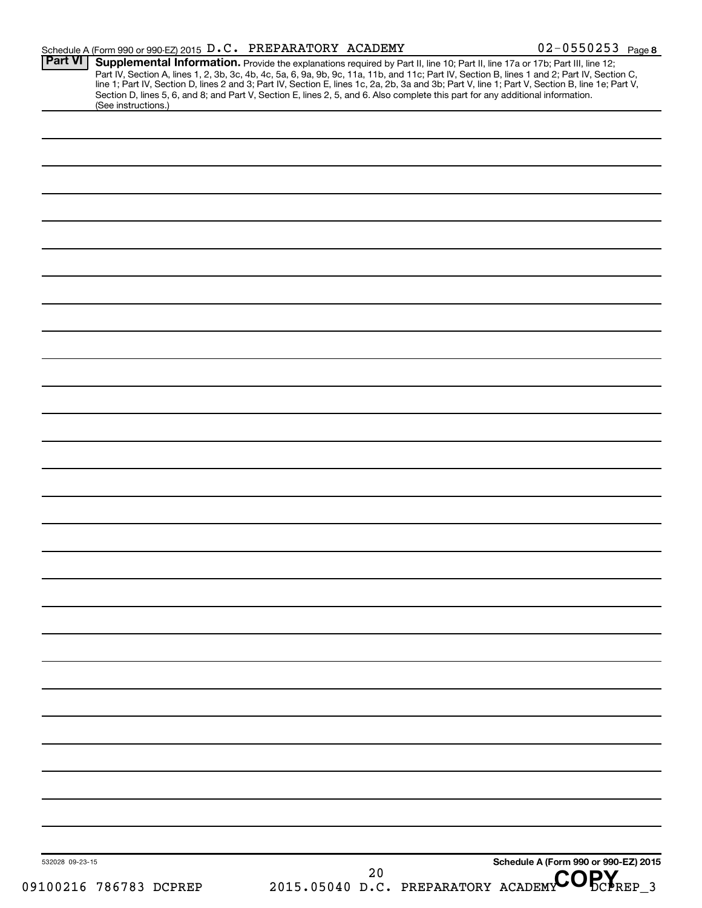|                     |  | $02 - 0550253$ Page 8                                                                                                                                                                                                                                                                                                                                                                                                                                                                                                                                                                                                                |
|---------------------|--|--------------------------------------------------------------------------------------------------------------------------------------------------------------------------------------------------------------------------------------------------------------------------------------------------------------------------------------------------------------------------------------------------------------------------------------------------------------------------------------------------------------------------------------------------------------------------------------------------------------------------------------|
|                     |  |                                                                                                                                                                                                                                                                                                                                                                                                                                                                                                                                                                                                                                      |
| (See instructions.) |  |                                                                                                                                                                                                                                                                                                                                                                                                                                                                                                                                                                                                                                      |
|                     |  |                                                                                                                                                                                                                                                                                                                                                                                                                                                                                                                                                                                                                                      |
|                     |  |                                                                                                                                                                                                                                                                                                                                                                                                                                                                                                                                                                                                                                      |
|                     |  |                                                                                                                                                                                                                                                                                                                                                                                                                                                                                                                                                                                                                                      |
|                     |  |                                                                                                                                                                                                                                                                                                                                                                                                                                                                                                                                                                                                                                      |
|                     |  |                                                                                                                                                                                                                                                                                                                                                                                                                                                                                                                                                                                                                                      |
|                     |  |                                                                                                                                                                                                                                                                                                                                                                                                                                                                                                                                                                                                                                      |
|                     |  |                                                                                                                                                                                                                                                                                                                                                                                                                                                                                                                                                                                                                                      |
|                     |  |                                                                                                                                                                                                                                                                                                                                                                                                                                                                                                                                                                                                                                      |
|                     |  |                                                                                                                                                                                                                                                                                                                                                                                                                                                                                                                                                                                                                                      |
|                     |  |                                                                                                                                                                                                                                                                                                                                                                                                                                                                                                                                                                                                                                      |
|                     |  |                                                                                                                                                                                                                                                                                                                                                                                                                                                                                                                                                                                                                                      |
|                     |  |                                                                                                                                                                                                                                                                                                                                                                                                                                                                                                                                                                                                                                      |
|                     |  |                                                                                                                                                                                                                                                                                                                                                                                                                                                                                                                                                                                                                                      |
|                     |  |                                                                                                                                                                                                                                                                                                                                                                                                                                                                                                                                                                                                                                      |
|                     |  |                                                                                                                                                                                                                                                                                                                                                                                                                                                                                                                                                                                                                                      |
|                     |  |                                                                                                                                                                                                                                                                                                                                                                                                                                                                                                                                                                                                                                      |
|                     |  |                                                                                                                                                                                                                                                                                                                                                                                                                                                                                                                                                                                                                                      |
|                     |  |                                                                                                                                                                                                                                                                                                                                                                                                                                                                                                                                                                                                                                      |
|                     |  |                                                                                                                                                                                                                                                                                                                                                                                                                                                                                                                                                                                                                                      |
|                     |  |                                                                                                                                                                                                                                                                                                                                                                                                                                                                                                                                                                                                                                      |
|                     |  |                                                                                                                                                                                                                                                                                                                                                                                                                                                                                                                                                                                                                                      |
|                     |  |                                                                                                                                                                                                                                                                                                                                                                                                                                                                                                                                                                                                                                      |
|                     |  |                                                                                                                                                                                                                                                                                                                                                                                                                                                                                                                                                                                                                                      |
|                     |  |                                                                                                                                                                                                                                                                                                                                                                                                                                                                                                                                                                                                                                      |
|                     |  |                                                                                                                                                                                                                                                                                                                                                                                                                                                                                                                                                                                                                                      |
|                     |  |                                                                                                                                                                                                                                                                                                                                                                                                                                                                                                                                                                                                                                      |
|                     |  |                                                                                                                                                                                                                                                                                                                                                                                                                                                                                                                                                                                                                                      |
|                     |  |                                                                                                                                                                                                                                                                                                                                                                                                                                                                                                                                                                                                                                      |
|                     |  |                                                                                                                                                                                                                                                                                                                                                                                                                                                                                                                                                                                                                                      |
|                     |  |                                                                                                                                                                                                                                                                                                                                                                                                                                                                                                                                                                                                                                      |
|                     |  | Schedule A (Form 990 or 990-EZ) 2015                                                                                                                                                                                                                                                                                                                                                                                                                                                                                                                                                                                                 |
|                     |  | Schedule A (Form 990 or 990-EZ) 2015 D.C. PREPARATORY ACADEMY<br>Supplemental Information. Provide the explanations required by Part II, line 10; Part II, line 17a or 17b; Part III, line 12;<br>Part IV, Section A, lines 1, 2, 3b, 3c, 4b, 4c, 5a, 6, 9a, 9b, 9c, 11a, 11b, and 11c; Part IV, Section B, lines 1 and 2; Part IV, Section C,<br>line 1; Part IV, Section D, lines 2 and 3; Part IV, Section E, lines 1c, 2a, 2b, 3a and 3b; Part V, line 1; Part V, Section B, line 1e; Part V,<br>Section D, lines 5, 6, and 8; and Part V, Section E, lines 2, 5, and 6. Also complete this part for any additional information. |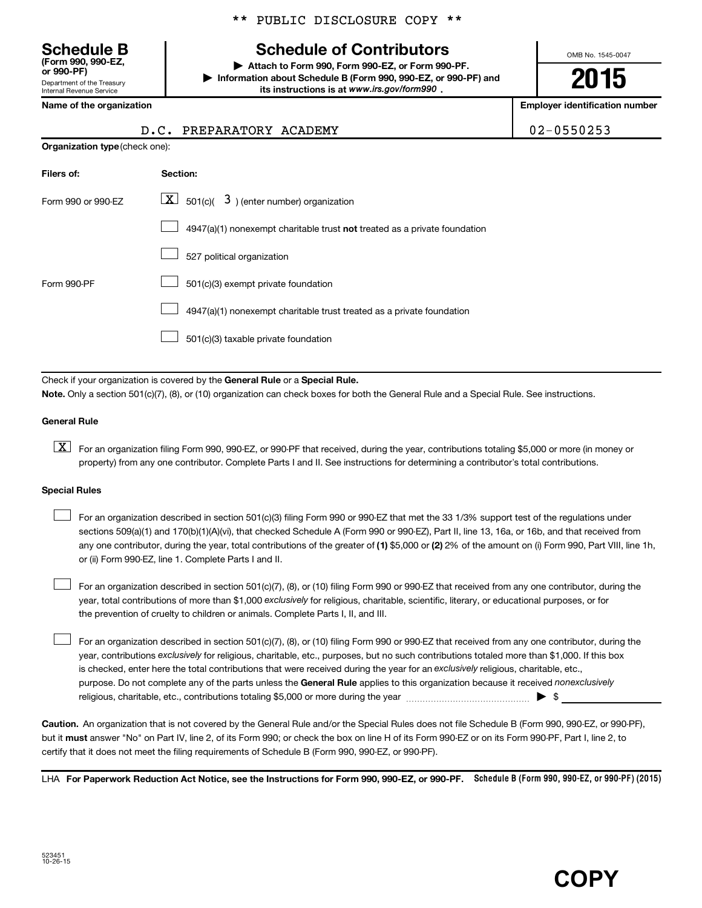\*\* PUBLIC DISCLOSURE COPY \*\*

## **Schedule of Contributors**

**or 990-PF) | Attach to Form 990, Form 990-EZ, or Form 990-PF. | Information about Schedule B (Form 990, 990-EZ, or 990-PF) and** its instructions is at www.irs.gov/form990.

OMB No. 1545-0047

**2015**

**Name of the organization Employer identification number**

| <b>Schedule B</b><br>(Form 990, 990-EZ,<br>or 990-PF)         |
|---------------------------------------------------------------|
| Department of the Treasury<br><b>Internal Revenue Service</b> |

| <b>Organization type (check one):</b> |                                                                                    |  |  |  |  |
|---------------------------------------|------------------------------------------------------------------------------------|--|--|--|--|
| Filers of:                            | Section:                                                                           |  |  |  |  |
| Form 990 or 990-FZ                    | $ \mathbf{X} $ 501(c)( 3) (enter number) organization                              |  |  |  |  |
|                                       | $4947(a)(1)$ nonexempt charitable trust <b>not</b> treated as a private foundation |  |  |  |  |
|                                       | 527 political organization                                                         |  |  |  |  |
| Form 990-PF                           | 501(c)(3) exempt private foundation                                                |  |  |  |  |
|                                       | 4947(a)(1) nonexempt charitable trust treated as a private foundation              |  |  |  |  |
|                                       | 501(c)(3) taxable private foundation                                               |  |  |  |  |

Check if your organization is covered by the General Rule or a Special Rule. **Note.**  Only a section 501(c)(7), (8), or (10) organization can check boxes for both the General Rule and a Special Rule. See instructions.

#### **General Rule**

**K** For an organization filing Form 990, 990-EZ, or 990-PF that received, during the year, contributions totaling \$5,000 or more (in money or property) from any one contributor. Complete Parts I and II. See instructions for determining a contributor's total contributions.

#### **Special Rules**

 $\Box$ 

any one contributor, during the year, total contributions of the greater of **(1)** \$5,000 or **(2)** 2% of the amount on (i) Form 990, Part VIII, line 1h, For an organization described in section 501(c)(3) filing Form 990 or 990-EZ that met the 33 1/3% support test of the regulations under sections 509(a)(1) and 170(b)(1)(A)(vi), that checked Schedule A (Form 990 or 990-EZ), Part II, line 13, 16a, or 16b, and that received from or (ii) Form 990-EZ, line 1. Complete Parts I and II.  $\Box$ 

year, total contributions of more than \$1,000 *exclusively* for religious, charitable, scientific, literary, or educational purposes, or for For an organization described in section 501(c)(7), (8), or (10) filing Form 990 or 990-EZ that received from any one contributor, during the the prevention of cruelty to children or animals. Complete Parts I, II, and III.  $\Box$ 

purpose. Do not complete any of the parts unless the General Rule applies to this organization because it received nonexclusively year, contributions exclusively for religious, charitable, etc., purposes, but no such contributions totaled more than \$1,000. If this box is checked, enter here the total contributions that were received during the year for an exclusively religious, charitable, etc., For an organization described in section 501(c)(7), (8), or (10) filing Form 990 or 990-EZ that received from any one contributor, during the religious, charitable, etc., contributions totaling \$5,000 or more during the year  $\ldots$  [  $\ldots$  |  $\ldots$  |  $\ldots$  |  $\ldots$  |  $\ldots$  |  $\ldots$  |  $\ldots$  |  $\ldots$  |  $\ldots$  |  $\ldots$  |  $\ldots$  |  $\ldots$  |  $\ldots$  |  $\ldots$  |  $\ldots$  |  $\ldots$  |  $\ld$ 

**Caution.** An organization that is not covered by the General Rule and/or the Special Rules does not file Schedule B (Form 990, 990-EZ, or 990-PF),  **must** but it answer "No" on Part IV, line 2, of its Form 990; or check the box on line H of its Form 990-EZ or on its Form 990-PF, Part I, line 2, to certify that it does not meet the filing requirements of Schedule B (Form 990, 990-EZ, or 990-PF).

LHA For Paperwork Reduction Act Notice, see the Instructions for Form 990, 990-EZ, or 990-PF. Schedule B (Form 990, 990-EZ, or 990-PF) (2015)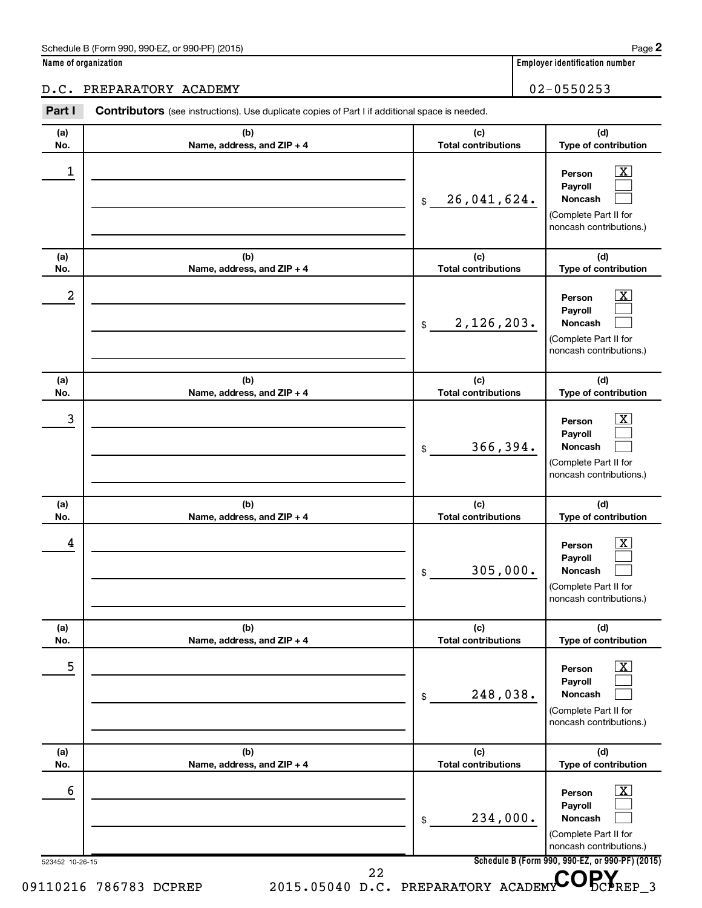**Name of organization Employer identification number**

D.C. PREPARATORY ACADEMY 02-0550253

#### 523452 10-26-15 **Schedule B (Form 990, 990-EZ, or 990-PF) (2015) (a) No. (b) Name, address, and ZIP + 4 (c) Total contributions (d) Type of contribution Person Payroll Noncash (a) No. (b) Name, address, and ZIP + 4 (c) Total contributions (d) Type of contribution Person Payroll Noncash (a) No. (b) Name, address, and ZIP + 4 (c) Total contributions (d) Type of contribution Person Payroll Noncash (a) No. (b) Name, address, and ZIP + 4 (c) Total contributions (d) Type of contribution Person Payroll Noncash (a) No. (b) Name, address, and ZIP + 4 (c) Total contributions (d) Type of contribution Person Payroll Noncash (a) No. (b) Name, address, and ZIP + 4 (c) Total contributions (d) Type of contribution Person Payroll Noncash** Part I Contributors (see instructions). Use duplicate copies of Part I if additional space is needed. \$ (Complete Part II for noncash contributions.) \$ (Complete Part II for noncash contributions.) \$ (Complete Part II for noncash contributions.) \$ (Complete Part II for noncash contributions.) \$ (Complete Part II for noncash contributions.) \$ (Complete Part II for noncash contributions.)  $\lfloor x \rfloor$  $\mathcal{L}^{\text{eff}}$  $\mathcal{L}^{\text{eff}}$  $\overline{\mathbf{X}}$  $\mathcal{L}^{\text{eff}}$  $\mathcal{L}^{\text{eff}}$  $\boxed{\textbf{X}}$  $\mathcal{L}^{\text{eff}}$  $\mathcal{L}^{\text{eff}}$  $\boxed{\textbf{X}}$  $\mathcal{L}^{\text{eff}}$  $\mathcal{L}^{\text{eff}}$  $\boxed{\text{X}}$  $\mathcal{L}^{\text{eff}}$  $\mathcal{L}^{\text{eff}}$  $\boxed{\textbf{X}}$  $\mathcal{L}^{\text{eff}}$  $\mathcal{L}^{\text{eff}}$  $\begin{array}{|c|c|c|c|c|}\hline \ \text{1} & \text{Person} & \text{X} \ \hline \end{array}$ 26,041,624.  $2$  Person  $\overline{\text{X}}$ 2,126,203.  $\begin{array}{|c|c|c|c|c|c|}\hline \text{3} & \text{Person} & \text{X} \ \hline \end{array}$ 366,394.  $\begin{array}{|c|c|c|c|c|}\hline \text{4} & \text{Person} & \text{\textbf{X}}\ \hline \end{array}$ 305,000.  $\overline{5}$  Person  $\overline{X}$ 248,038.  $\overline{6}$  Person  $\overline{X}$ 234,000. 09110216 786783 DCPREP 2015.05040 D.C. PREPARATORY ACADEMY CORY 22

**2**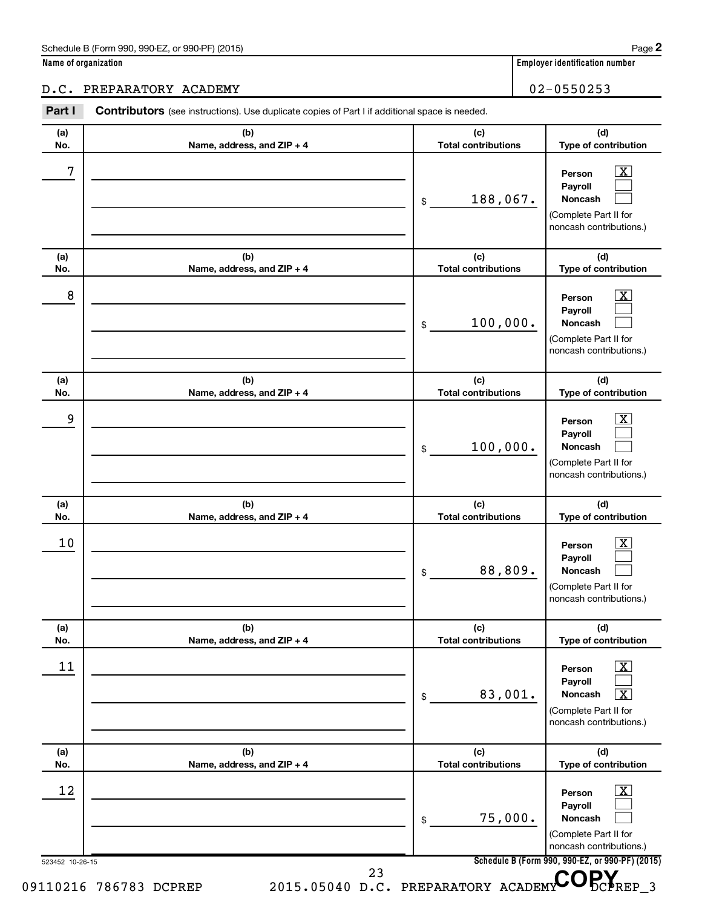**Name of organization Employer identification number**

## D.C. PREPARATORY ACADEMY 102-0550253

| (a)        | (b)                               | (c)                               | (d)                                                                                                              |
|------------|-----------------------------------|-----------------------------------|------------------------------------------------------------------------------------------------------------------|
| No.        | Name, address, and ZIP + 4        | <b>Total contributions</b>        | Type of contribution                                                                                             |
| 7          |                                   | 188,067.<br>\$                    | $\overline{\text{X}}$<br>Person<br>Payroll<br><b>Noncash</b><br>(Complete Part II for<br>noncash contributions.) |
| (a)<br>No. | (b)<br>Name, address, and ZIP + 4 | (c)<br><b>Total contributions</b> | (d)<br>Type of contribution                                                                                      |
| 8          |                                   | 100,000.<br>\$                    | x<br>Person<br>Payroll<br>Noncash<br>(Complete Part II for<br>noncash contributions.)                            |
| (a)<br>No. | (b)<br>Name, address, and ZIP + 4 | (c)<br><b>Total contributions</b> | (d)<br>Type of contribution                                                                                      |
| 9          |                                   | 100,000.<br>\$                    | x<br>Person<br>Payroll<br>Noncash<br>(Complete Part II for<br>noncash contributions.)                            |
| (a)<br>No. | (b)<br>Name, address, and ZIP + 4 | (c)<br><b>Total contributions</b> | (d)<br>Type of contribution                                                                                      |
| 10         |                                   | 88,809.<br>\$                     | X.<br>Person<br>Payroll<br>Noncash<br>(Complete Part II for<br>noncash contributions.)                           |
| (a)<br>No. | (b)<br>Name, address, and ZIP + 4 | (c)<br><b>Total contributions</b> | (d)<br>Type of contribution                                                                                      |
| 11         |                                   | 83,001.<br>\$                     | $\overline{\textbf{X}}$<br>Person<br>Payroll<br>Noncash<br>x<br>(Complete Part II for<br>noncash contributions.) |
| (a)<br>No. | (b)<br>Name, address, and ZIP + 4 | (c)<br><b>Total contributions</b> | (d)<br>Type of contribution                                                                                      |
| 12         |                                   | 75,000.<br>\$                     | х<br>Person<br>Payroll<br>Noncash<br>(Complete Part II for<br>noncash contributions.)                            |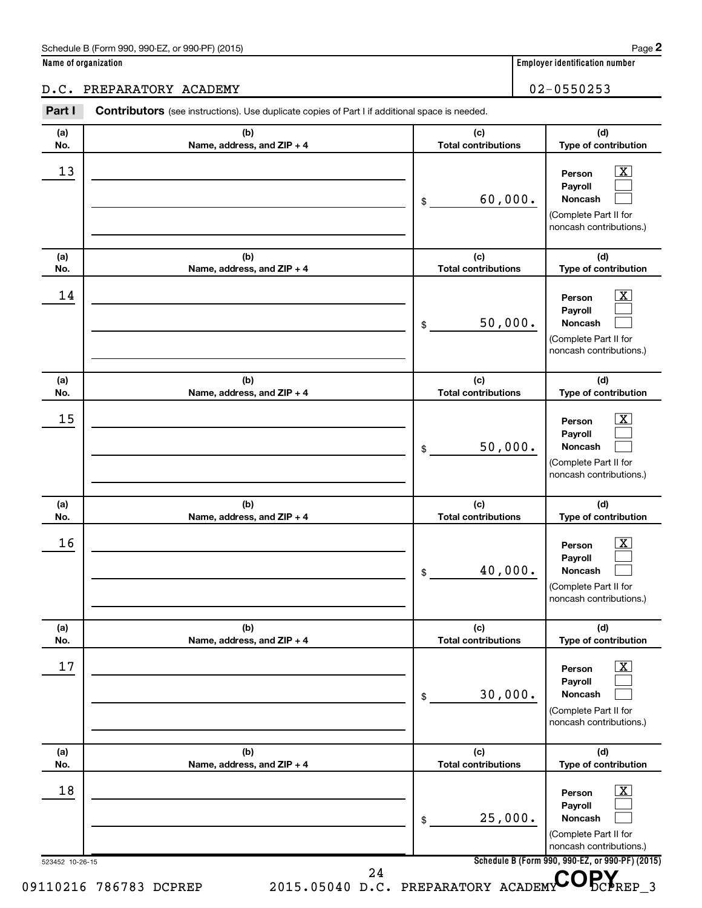**Name of organization Employer identification number**

D.C. PREPARATORY ACADEMY 02-0550253

#### 523452 10-26-15 **Schedule B (Form 990, 990-EZ, or 990-PF) (2015) (a) No. (b) Name, address, and ZIP + 4 (c) Total contributions (d) Type of contribution Person Payroll Noncash (a) No. (b) Name, address, and ZIP + 4 (c) Total contributions (d) Type of contribution Person Payroll Noncash (a) No. (b) Name, address, and ZIP + 4 (c) Total contributions (d) Type of contribution Person Payroll Noncash (a) No. (b) Name, address, and ZIP + 4 (c) Total contributions (d) Type of contribution Person Payroll Noncash (a) No. (b) Name, address, and ZIP + 4 (c) Total contributions (d) Type of contribution Person Payroll Noncash (a) No. (b) Name, address, and ZIP + 4 (c) Total contributions (d) Type of contribution Person Payroll Noncash** Part I Contributors (see instructions). Use duplicate copies of Part I if additional space is needed. \$ (Complete Part II for noncash contributions.) \$ (Complete Part II for noncash contributions.) \$ (Complete Part II for noncash contributions.) \$ (Complete Part II for noncash contributions.) \$ (Complete Part II for noncash contributions.) \$ (Complete Part II for noncash contributions.)  $\lfloor x \rfloor$  $\mathcal{L}^{\text{eff}}$  $\mathcal{L}^{\text{eff}}$  $\overline{\mathbf{X}}$  $\mathcal{L}^{\text{eff}}$  $\mathcal{L}^{\text{eff}}$  $\boxed{\textbf{X}}$  $\mathcal{L}^{\text{eff}}$  $\mathcal{L}^{\text{eff}}$  $\boxed{\textbf{X}}$  $\mathcal{L}^{\text{eff}}$  $\mathcal{L}^{\text{eff}}$  $\boxed{\text{X}}$  $\mathcal{L}^{\text{eff}}$  $\mathcal{L}^{\text{eff}}$  $\boxed{\textbf{X}}$  $\mathcal{L}^{\text{eff}}$  $\mathcal{L}^{\text{eff}}$  $\begin{array}{|c|c|c|c|c|}\hline \text{13} & \text{Person} & \text{X} \\\hline \end{array}$ 60,000.  $\begin{array}{|c|c|c|c|c|}\hline \text{14} & \text{Person} & \text{X} \\\hline \end{array}$ 50,000.  $15$  Person  $\overline{\text{X}}$ 50,000.  $16$  Person  $\overline{\text{X}}$ 40,000.  $17$  Person  $\overline{\text{X}}$ 30,000.  $\begin{array}{|c|c|c|c|c|c|}\hline \text{18} & \text{Person} & \text{X} \\\hline \end{array}$ 25,000. 09110216 786783 DCPREP 2015.05040 D.C. PREPARATORY ACADEMY CORY 24

**2**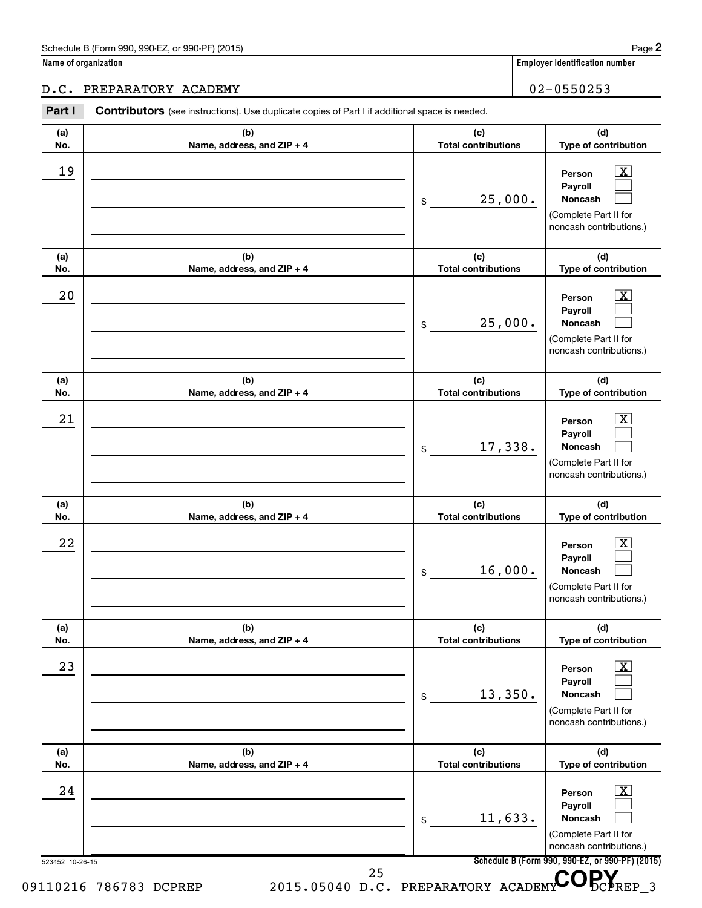**Name of organization Employer identification number**

D.C. PREPARATORY ACADEMY 02-0550253

**Person Payroll Noncash**

**Person**

**(d) Type of contribution**

> $\boxed{\text{X}}$  $\mathcal{L}^{\text{eff}}$  $\mathcal{L}^{\text{eff}}$

> $\lfloor x \rfloor$

**(d) Type of contribution**

(Complete Part II for noncash contributions.)

**(c) Total contributions**

**(c) Total contributions**

25,000.

\$

## **(a) No. (b) Name, address, and ZIP + 4 (a) No. (b) Name, address, and ZIP + 4 (a) No. (b) Name, address, and ZIP + 4**  $19$  Person  $\overline{\text{X}}$  $20$  Person  $\overline{\text{X}}$

Part I Contributors (see instructions). Use duplicate copies of Part I if additional space is needed.

|                        |                            | 25,000.<br>\$                       | Payroll<br>Noncash<br>(Complete Part II for<br>noncash contributions.)                                          |
|------------------------|----------------------------|-------------------------------------|-----------------------------------------------------------------------------------------------------------------|
| (a)                    | (b)                        | (c)                                 | (d)                                                                                                             |
| No.                    | Name, address, and ZIP + 4 | <b>Total contributions</b>          | Type of contribution                                                                                            |
| 21                     |                            | 17,338.<br>\$                       | $\overline{\mathbf{X}}$<br>Person<br>Payroll<br>Noncash<br>(Complete Part II for<br>noncash contributions.)     |
| (a)                    | (b)                        | (c)                                 | (d)                                                                                                             |
| No.                    | Name, address, and ZIP + 4 | <b>Total contributions</b>          | Type of contribution                                                                                            |
| 22                     |                            | 16,000.<br>\$                       | $\overline{\mathbf{X}}$<br>Person<br>Payroll<br>Noncash<br>(Complete Part II for<br>noncash contributions.)     |
| (a)                    | (b)                        | (c)                                 | (d)                                                                                                             |
| No.                    | Name, address, and ZIP + 4 | <b>Total contributions</b>          | Type of contribution                                                                                            |
| 23                     |                            | 13,350.<br>\$                       | $\boxed{\mathbf{X}}$<br>Person<br>Payroll<br><b>Noncash</b><br>(Complete Part II for<br>noncash contributions.) |
| (a)                    | (b)                        | (c)                                 | (d)                                                                                                             |
| No.                    | Name, address, and ZIP + 4 | <b>Total contributions</b>          | Type of contribution                                                                                            |
| 24                     |                            | 11,633.<br>\$                       | x.<br>Person<br>Payroll<br>Noncash<br>(Complete Part II for<br>noncash contributions.)                          |
| 523452 10-26-15        |                            | 25                                  | Schedule B (Form 990, 990-EZ, or 990-PF) (2015)                                                                 |
| 09110216 786783 DCPREP |                            | 2015.05040 D.C. PREPARATORY ACADEMY | $\frac{1}{2}$ REP 3                                                                                             |

**2**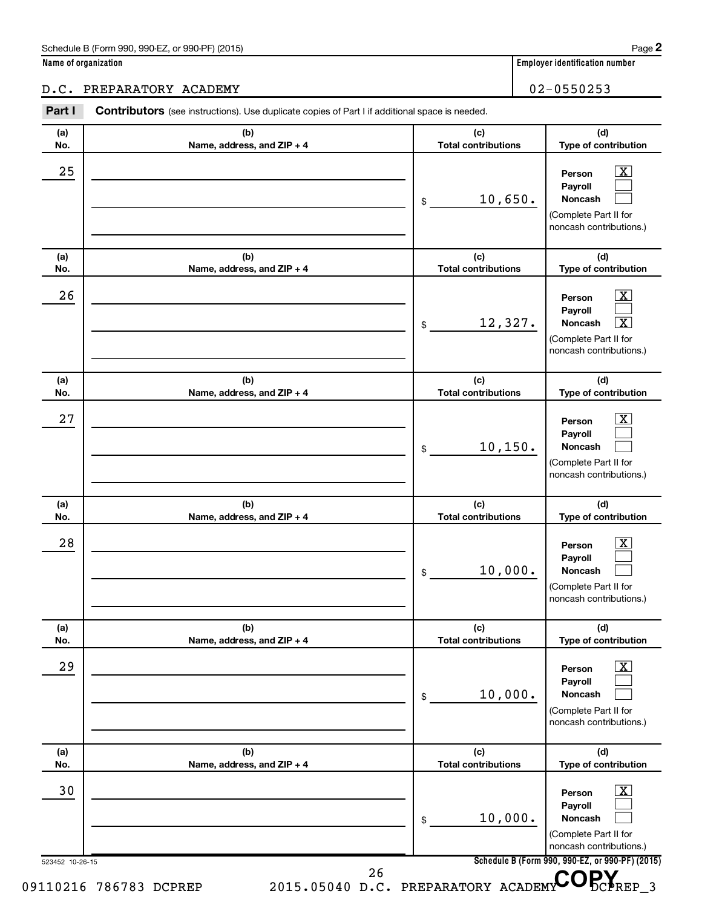**Name of organization Employer identification number**

### D.C. PREPARATORY ACADEMY 02-0550253

| (a) | (b)                        | (c)                        | (d)                                                                                                                                           |
|-----|----------------------------|----------------------------|-----------------------------------------------------------------------------------------------------------------------------------------------|
| No. | Name, address, and ZIP + 4 | <b>Total contributions</b> | Type of contribution                                                                                                                          |
| 25  |                            | 10,650.<br>\$              | $\overline{\text{X}}$<br>Person<br>Payroll<br><b>Noncash</b><br>(Complete Part II for<br>noncash contributions.)                              |
| (a) | (b)                        | (c)                        | (d)                                                                                                                                           |
| No. | Name, address, and ZIP + 4 | <b>Total contributions</b> | Type of contribution                                                                                                                          |
| 26  |                            | 12,327.<br>\$              | $\overline{\mathbf{X}}$<br>Person<br>Payroll<br>$\overline{\mathbf{x}}$<br><b>Noncash</b><br>(Complete Part II for<br>noncash contributions.) |
| (a) | (b)                        | (c)                        | (d)                                                                                                                                           |
| No. | Name, address, and ZIP + 4 | <b>Total contributions</b> | Type of contribution                                                                                                                          |
| 27  |                            | 10, 150.<br>\$             | $\overline{\text{X}}$<br>Person<br>Payroll<br>Noncash<br>(Complete Part II for<br>noncash contributions.)                                     |
| (a) | (b)                        | (c)                        | (d)                                                                                                                                           |
| No. | Name, address, and ZIP + 4 | <b>Total contributions</b> | Type of contribution                                                                                                                          |
| 28  |                            | 10,000.<br>\$              | $\mathbf{X}$<br>Person<br>Payroll<br>Noncash<br>(Complete Part II for<br>noncash contributions.)                                              |
| (a) | (b)                        | (c)                        | (d)                                                                                                                                           |
| No. | Name, address, and ZIP + 4 | <b>Total contributions</b> | Type of contribution                                                                                                                          |
| 29  |                            | 10,000.<br>\$              | $\boxed{\text{X}}$<br>Person<br>Payroll<br>Noncash<br>(Complete Part II for<br>noncash contributions.)                                        |
| (a) | (b)                        | (c)                        | (d)                                                                                                                                           |
| No. | Name, address, and ZIP + 4 | <b>Total contributions</b> | Type of contribution                                                                                                                          |
| 30  |                            | 10,000.<br>\$              | $\boxed{\text{X}}$<br>Person<br>Payroll<br>Noncash<br>(Complete Part II for<br>noncash contributions.)                                        |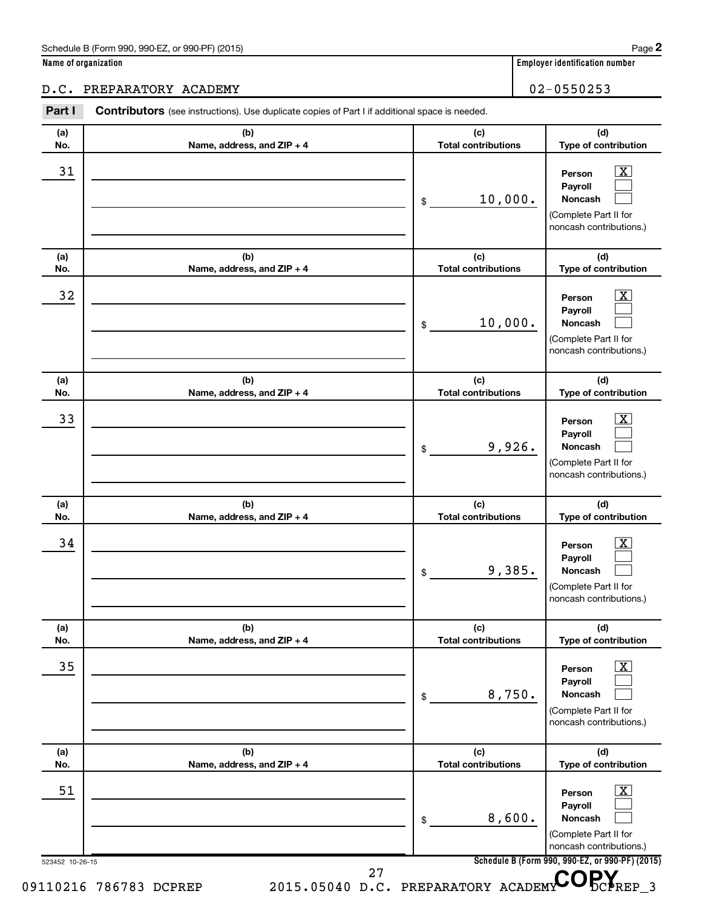**Name of organization Employer identification number**

D.C. PREPARATORY ACADEMY 02-0550253

#### 523452 10-26-15 **Schedule B (Form 990, 990-EZ, or 990-PF) (2015) (a) No. (b) Name, address, and ZIP + 4 (c) Total contributions (d) Type of contribution Person Payroll Noncash (a) No. (b) Name, address, and ZIP + 4 (c) Total contributions (d) Type of contribution Person Payroll Noncash (a) No. (b) Name, address, and ZIP + 4 (c) Total contributions (d) Type of contribution Person Payroll Noncash (a) No. (b) Name, address, and ZIP + 4 (c) Total contributions (d) Type of contribution Person Payroll Noncash (a) No. (b) Name, address, and ZIP + 4 (c) Total contributions (d) Type of contribution Person Payroll Noncash (a) No. (b) Name, address, and ZIP + 4 (c) Total contributions (d) Type of contribution Person Payroll Noncash** Part I Contributors (see instructions). Use duplicate copies of Part I if additional space is needed. \$ (Complete Part II for noncash contributions.) \$ (Complete Part II for noncash contributions.) \$ (Complete Part II for noncash contributions.) \$ (Complete Part II for noncash contributions.) \$ (Complete Part II for noncash contributions.) \$ (Complete Part II for noncash contributions.)  $\lfloor x \rfloor$  $\mathcal{L}^{\text{eff}}$  $\mathcal{L}^{\text{eff}}$  $\overline{\mathbf{X}}$  $\mathcal{L}^{\text{eff}}$  $\mathcal{L}^{\text{eff}}$  $\boxed{\textbf{X}}$  $\mathcal{L}^{\text{eff}}$  $\mathcal{L}^{\text{eff}}$  $\boxed{\textbf{X}}$  $\mathcal{L}^{\text{eff}}$  $\mathcal{L}^{\text{eff}}$  $\boxed{\text{X}}$  $\mathcal{L}^{\text{eff}}$  $\mathcal{L}^{\text{eff}}$  $\boxed{\textbf{X}}$  $\mathcal{L}^{\text{eff}}$  $\mathcal{L}^{\text{eff}}$  $\begin{array}{|c|c|c|c|c|}\hline \text{31} & \text{Person} & \text{X} \\\hline \end{array}$ 10,000.  $\begin{array}{|c|c|c|c|c|}\hline \text{32} & \text{Person} & \text{X} \ \hline \end{array}$ 10,000.  $\overline{33}$  Person  $\overline{\text{X}}$ 9,926.  $\begin{array}{|c|c|c|c|c|}\hline \text{34} & \text{Person} & \text{X} \\\hline \end{array}$ 9,385.  $\overline{35}$  Person  $\overline{\text{X}}$ 8,750.  $\begin{array}{|c|c|c|c|c|c|}\hline \text{51} & \text{Person} & \text{X} \ \hline \end{array}$ 8,600. 09110216 786783 DCPREP 2015.05040 D.C. PREPARATORY ACADEMY DCPREP 3 <sup>27</sup> D.C. PREPARATORY ACADEMY COPY

**2**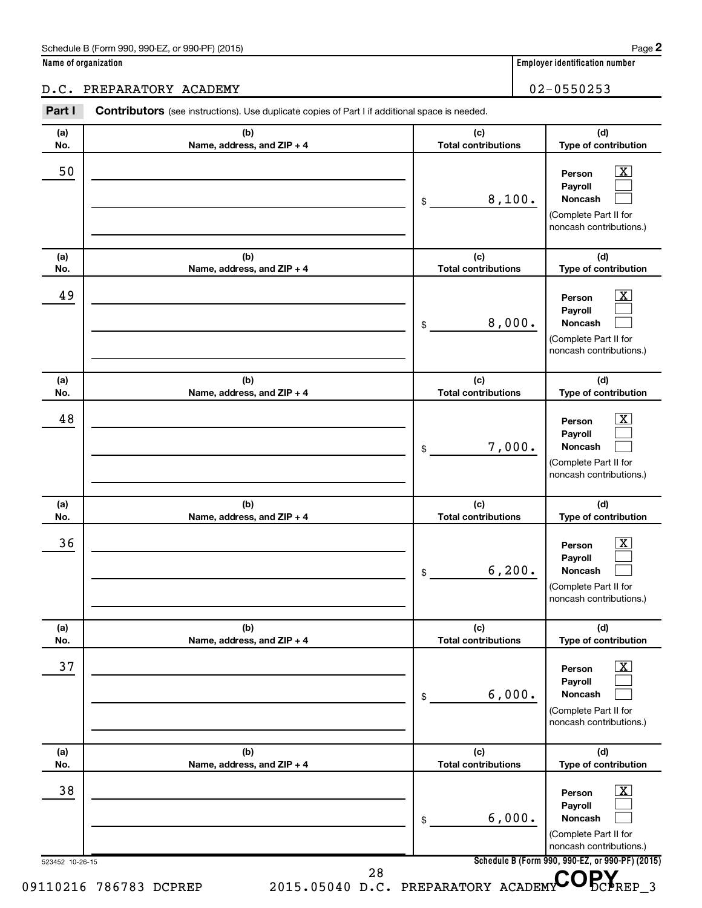| Name of organization |  |
|----------------------|--|
|----------------------|--|

## D.C. PREPARATORY ACADEMY 102-0550253

| (a) | (b)                        | (c)                        | (d)                                                                                                       |
|-----|----------------------------|----------------------------|-----------------------------------------------------------------------------------------------------------|
| No. | Name, address, and ZIP + 4 | <b>Total contributions</b> | Type of contribution                                                                                      |
| 50  |                            | 8,100.<br>\$               | $\overline{\text{X}}$<br>Person<br>Payroll<br>Noncash<br>(Complete Part II for<br>noncash contributions.) |
| (a) | (b)                        | (c)                        | (d)                                                                                                       |
| No. | Name, address, and ZIP + 4 | <b>Total contributions</b> | Type of contribution                                                                                      |
| 49  |                            | 8,000.<br>\$               | $\overline{\text{X}}$<br>Person<br>Payroll<br>Noncash<br>(Complete Part II for<br>noncash contributions.) |
| (a) | (b)                        | (c)                        | (d)                                                                                                       |
| No. | Name, address, and ZIP + 4 | <b>Total contributions</b> | Type of contribution                                                                                      |
| 48  |                            | 7,000.<br>\$               | $\overline{\text{X}}$<br>Person<br>Payroll<br>Noncash<br>(Complete Part II for<br>noncash contributions.) |
| (a) | (b)                        | (c)                        | (d)                                                                                                       |
| No. | Name, address, and ZIP + 4 | <b>Total contributions</b> | Type of contribution                                                                                      |
| 36  |                            | 6, 200.<br>\$              | $\mathbf{X}$<br>Person<br>Payroll<br>Noncash<br>(Complete Part II for<br>noncash contributions.)          |
| (a) | (b)                        | (c)                        | (d)                                                                                                       |
| No. | Name, address, and ZIP + 4 | <b>Total contributions</b> | Type of contribution                                                                                      |
| 37  |                            | 6,000.<br>\$               | $\boxed{\text{X}}$<br>Person<br>Payroll<br>Noncash<br>(Complete Part II for<br>noncash contributions.)    |
| (a) | (b)                        | (c)                        | (d)                                                                                                       |
| No. | Name, address, and ZIP + 4 | <b>Total contributions</b> | Type of contribution                                                                                      |
| 38  |                            | 6,000.<br>\$               | $\mathbf{X}$<br>Person<br>Payroll<br>Noncash<br>(Complete Part II for<br>noncash contributions.)          |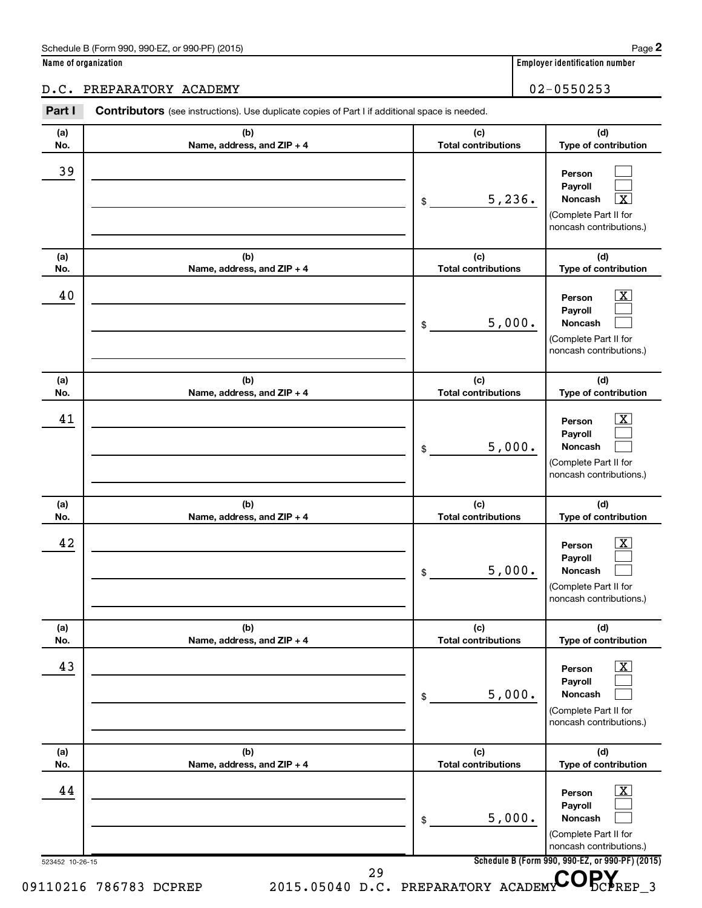**Name of organization Employer identification number**

D.C. PREPARATORY ACADEMY 02-0550253

#### 523452 10-26-15 **Schedule B (Form 990, 990-EZ, or 990-PF) (2015) (a) No. (b) Name, address, and ZIP + 4 (c) Total contributions (d) Type of contribution Person Payroll Noncash (a) No. (b) Name, address, and ZIP + 4 (c) Total contributions (d) Type of contribution Person Payroll Noncash (a) No. (b) Name, address, and ZIP + 4 (c) Total contributions (d) Type of contribution Person Payroll Noncash (a) No. (b) Name, address, and ZIP + 4 (c) Total contributions (d) Type of contribution Person Payroll Noncash (a) No. (b) Name, address, and ZIP + 4 (c) Total contributions (d) Type of contribution Person Payroll Noncash (a) No. (b) Name, address, and ZIP + 4 (c) Total contributions (d) Type of contribution Person Payroll Noncash** Part I Contributors (see instructions). Use duplicate copies of Part I if additional space is needed. \$ (Complete Part II for noncash contributions.) \$ (Complete Part II for noncash contributions.) \$ (Complete Part II for noncash contributions.) \$ (Complete Part II for noncash contributions.) \$ (Complete Part II for noncash contributions.) \$ (Complete Part II for noncash contributions.)  $\mathcal{L}^{\text{eff}}$  $\mathcal{L}^{\text{eff}}$ †  $\overline{\mathbf{X}}$  $\mathcal{L}^{\text{eff}}$  $\mathcal{L}^{\text{eff}}$  $\boxed{\textbf{X}}$  $\mathcal{L}^{\text{eff}}$  $\mathcal{L}^{\text{eff}}$  $\boxed{\textbf{X}}$  $\mathcal{L}^{\text{eff}}$  $\mathcal{L}^{\text{eff}}$  $\boxed{\text{X}}$  $\mathcal{L}^{\text{eff}}$  $\mathcal{L}^{\text{eff}}$  $\boxed{\textbf{X}}$  $\mathcal{L}^{\text{eff}}$  $\mathcal{L}^{\text{eff}}$ 39  $5,236.$  $40$  Person  $\overline{\text{X}}$ 5,000.  $41$  Person  $\overline{\text{X}}$ 5,000.  $42$  Person  $\overline{\text{X}}$ 5,000.  $43$  Person  $\overline{\text{X}}$ 5,000.  $44$  Person  $\overline{\text{X}}$ 5,000. 09110216 786783 DCPREP 2015.05040 D.C. PREPARATORY ACADEMY CORY 29

**2**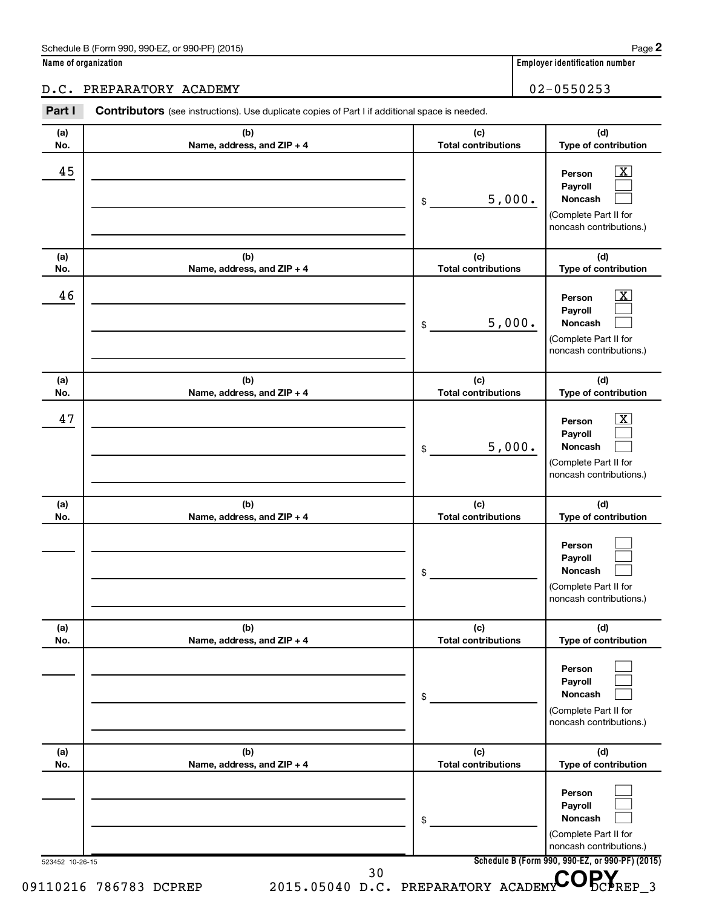| Name of organization |  |
|----------------------|--|
|----------------------|--|

## D.C. PREPARATORY ACADEMY 102-0550253

| (a) | (b)                        | (c)                        | (d)                                                                                                         |
|-----|----------------------------|----------------------------|-------------------------------------------------------------------------------------------------------------|
| No. | Name, address, and ZIP + 4 | <b>Total contributions</b> | Type of contribution                                                                                        |
| 45  |                            | 5,000.<br>\$               | $\overline{\text{X}}$<br>Person<br>Payroll<br>Noncash<br>(Complete Part II for<br>noncash contributions.)   |
| (a) | (b)                        | (c)                        | (d)                                                                                                         |
| No. | Name, address, and ZIP + 4 | <b>Total contributions</b> | Type of contribution                                                                                        |
| 46  |                            | 5,000.<br>\$               | $\overline{\mathbf{X}}$<br>Person<br>Payroll<br>Noncash<br>(Complete Part II for<br>noncash contributions.) |
| (a) | (b)                        | (c)                        | (d)                                                                                                         |
| No. | Name, address, and ZIP + 4 | <b>Total contributions</b> | Type of contribution                                                                                        |
| 47  |                            | 5,000.<br>\$               | $\overline{\text{X}}$<br>Person<br>Payroll<br>Noncash<br>(Complete Part II for<br>noncash contributions.)   |
| (a) | (b)                        | (c)                        | (d)                                                                                                         |
| No. | Name, address, and ZIP + 4 | <b>Total contributions</b> | Type of contribution                                                                                        |
|     |                            | \$                         | Person<br>Payroll<br>Noncash<br>(Complete Part II for<br>noncash contributions.)                            |
| (a) | (b)                        | (c)                        | (d)                                                                                                         |
| No. | Name, address, and ZIP + 4 | <b>Total contributions</b> | Type of contribution                                                                                        |
|     |                            | \$                         | Person<br>Payroll<br>Noncash<br>(Complete Part II for<br>noncash contributions.)                            |
| (a) | (b)                        | (c)                        | (d)                                                                                                         |
| No. | Name, address, and ZIP + 4 | <b>Total contributions</b> | Type of contribution                                                                                        |
|     |                            | \$                         | Person<br>Payroll<br>Noncash<br>(Complete Part II for<br>noncash contributions.)                            |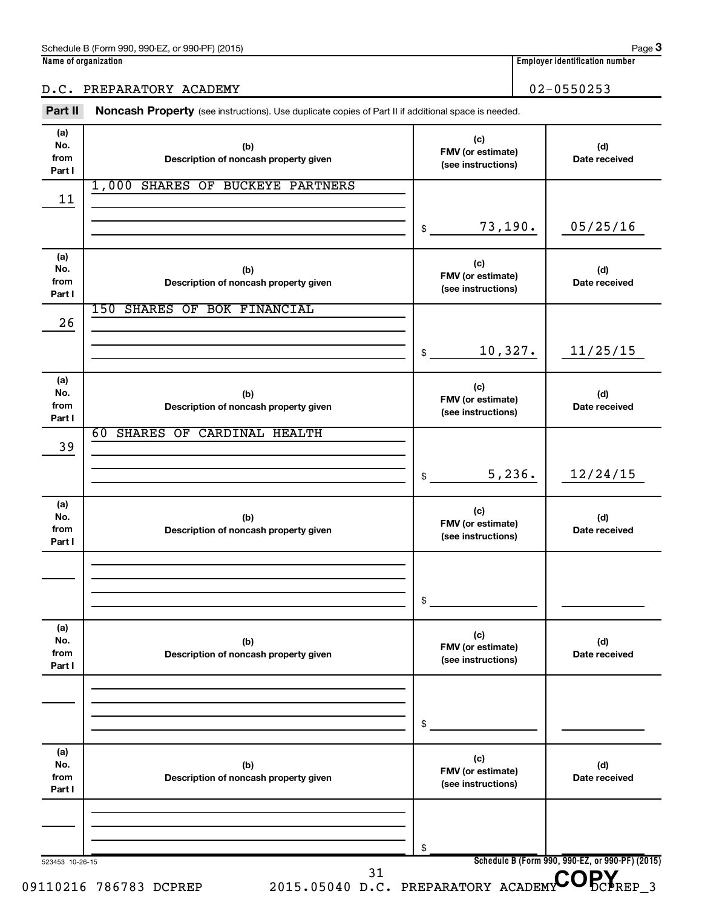### D.C. PREPARATORY ACADEMY 102-0550253

Part II Noncash Property (see instructions). Use duplicate copies of Part II if additional space is needed.

| (a)<br>No.<br>from<br>Part I | (b)<br>Description of noncash property given | (c)<br>FMV (or estimate)<br>(see instructions) | (d)<br>Date received                            |
|------------------------------|----------------------------------------------|------------------------------------------------|-------------------------------------------------|
| 11                           | 1,000 SHARES OF BUCKEYE PARTNERS             |                                                |                                                 |
|                              |                                              | 73,190.<br>\$                                  | 05/25/16                                        |
| (a)<br>No.<br>from<br>Part I | (b)<br>Description of noncash property given | (c)<br>FMV (or estimate)<br>(see instructions) | (d)<br>Date received                            |
| 26                           | 150 SHARES OF BOK FINANCIAL                  |                                                |                                                 |
|                              |                                              | 10,327.<br>\$                                  | 11/25/15                                        |
| (a)<br>No.<br>from<br>Part I | (b)<br>Description of noncash property given | (c)<br>FMV (or estimate)<br>(see instructions) | (d)<br>Date received                            |
| 39                           | SHARES OF CARDINAL HEALTH<br>60              |                                                |                                                 |
|                              |                                              | 5,236.<br>\$                                   | 12/24/15                                        |
| (a)<br>No.<br>from<br>Part I | (b)<br>Description of noncash property given | (c)<br>FMV (or estimate)<br>(see instructions) | (d)<br>Date received                            |
|                              |                                              |                                                |                                                 |
|                              |                                              | \$                                             |                                                 |
| (a)<br>No.<br>from<br>Part I | (b)<br>Description of noncash property given | (c)<br>FMV (or estimate)<br>(see instructions) | (d)<br>Date received                            |
|                              |                                              |                                                |                                                 |
|                              |                                              | \$                                             |                                                 |
| (a)<br>No.<br>from<br>Part I | (b)<br>Description of noncash property given | (c)<br>FMV (or estimate)<br>(see instructions) | (d)<br>Date received                            |
|                              |                                              |                                                |                                                 |
|                              |                                              | \$                                             | Schedule B (Form 990, 990-EZ, or 990-PF) (2015) |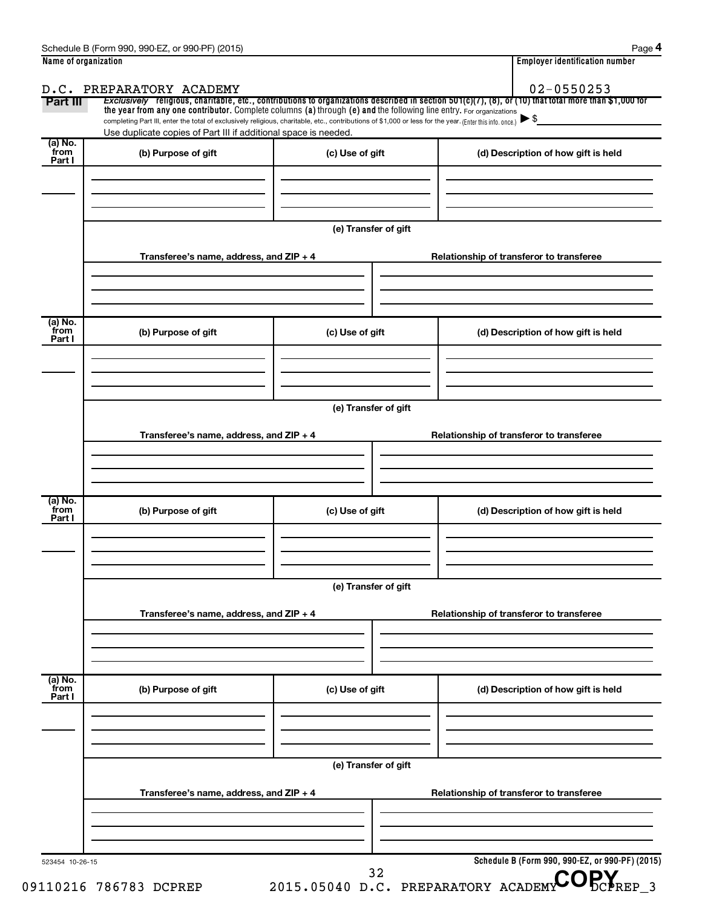| Part III                  | the year from any one contributor. Complete columns (a) through (e) and the following line entry. For organizations<br>completing Part III, enter the total of exclusively religious, charitable, etc., contributions of \$1,000 or less for the year. (Enter this info. once.) |                      | Exclusively religious, charitable, etc., contributions to organizations described in section 501(c)(7), (8), or (10) that total more than \$1,000 for<br>$\blacktriangleright$ \$ |
|---------------------------|---------------------------------------------------------------------------------------------------------------------------------------------------------------------------------------------------------------------------------------------------------------------------------|----------------------|-----------------------------------------------------------------------------------------------------------------------------------------------------------------------------------|
| (a) No.                   | Use duplicate copies of Part III if additional space is needed.                                                                                                                                                                                                                 |                      |                                                                                                                                                                                   |
| from<br>Part I            | (b) Purpose of gift                                                                                                                                                                                                                                                             | (c) Use of gift      | (d) Description of how gift is held                                                                                                                                               |
|                           |                                                                                                                                                                                                                                                                                 | (e) Transfer of gift |                                                                                                                                                                                   |
|                           | Transferee's name, address, and ZIP + 4                                                                                                                                                                                                                                         |                      | Relationship of transferor to transferee                                                                                                                                          |
| (a) No.<br>from<br>Part I | (b) Purpose of gift                                                                                                                                                                                                                                                             | (c) Use of gift      | (d) Description of how gift is held                                                                                                                                               |
|                           |                                                                                                                                                                                                                                                                                 |                      |                                                                                                                                                                                   |
|                           | Transferee's name, address, and ZIP + 4                                                                                                                                                                                                                                         | (e) Transfer of gift | Relationship of transferor to transferee                                                                                                                                          |
|                           |                                                                                                                                                                                                                                                                                 |                      |                                                                                                                                                                                   |
| (a) No.<br>from<br>Part I | (b) Purpose of gift                                                                                                                                                                                                                                                             | (c) Use of gift      | (d) Description of how gift is held                                                                                                                                               |
|                           |                                                                                                                                                                                                                                                                                 | (e) Transfer of gift |                                                                                                                                                                                   |
|                           | Transferee's name, address, and ZIP + 4                                                                                                                                                                                                                                         |                      | Relationship of transferor to transferee                                                                                                                                          |
| (a) No.<br>from<br>Part I | (b) Purpose of gift                                                                                                                                                                                                                                                             | (c) Use of gift      | (d) Description of how gift is held                                                                                                                                               |
|                           |                                                                                                                                                                                                                                                                                 |                      |                                                                                                                                                                                   |
|                           | Transferee's name, address, and ZIP + 4                                                                                                                                                                                                                                         | (e) Transfer of gift | Relationship of transferor to transferee                                                                                                                                          |
|                           |                                                                                                                                                                                                                                                                                 |                      |                                                                                                                                                                                   |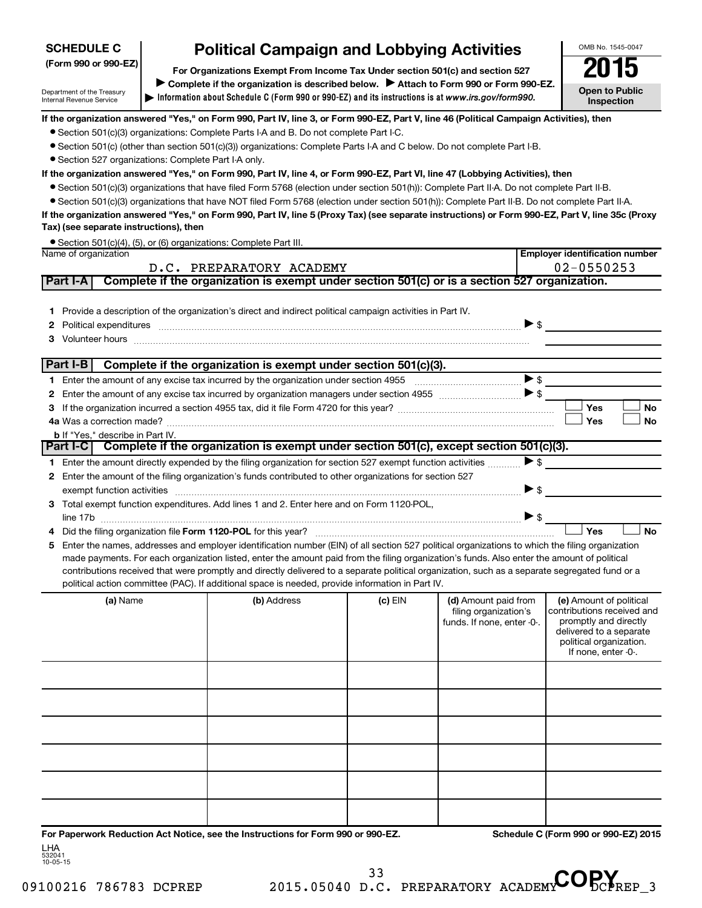## **SCHEDULE C**

Department of the Treasury Internal Revenue Service

# **Political Campaign and Lobbying Activities**<br>
Draanizations Exempt From Income Tax Under section 501(c) and section 527 **2015**

**Information about Schedule C (Form 990 or 990-EZ) and its instructions is at |**  *www.irs.gov/form990.* **(Form 990 or 990-EZ) For Organizations Exempt From Income Tax Under section 501(c) and section 527** Complete if the organization is described below. > Attach to Form 990 or Form 990-EZ.



**Employer identification number**

#### **If the organization answered "Yes," on Form 990, Part IV, line 3, or Form 990-EZ, Part V, line 46 (Political Campaign Activities), then**

- Section 501(c)(3) organizations: Complete Parts I-A and B. Do not complete Part I-C.
- Section 501(c) (other than section 501(c)(3)) organizations: Complete Parts I-A and C below. Do not complete Part I-B.
- Section 527 organizations: Complete Part I-A only.

#### **If the organization answered "Yes," on Form 990, Part IV, line 4, or Form 990-EZ, Part VI, line 47 (Lobbying Activities), then**

- Section 501(c)(3) organizations that have filed Form 5768 (election under section 501(h)): Complete Part II-A. Do not complete Part II-B.
- Section 501(c)(3) organizations that have NOT filed Form 5768 (election under section 501(h)): Complete Part II-B. Do not complete Part II-A.

**If the organization answered "Yes," on Form 990, Part IV, line 5 (Proxy Tax) (see separate instructions) or Form 990-EZ, Part V, line 35c (Proxy Tax) (see separate instructions), then**

|                      | • Section 501(c)(4), (5), or (6) organizations: Complete Part III. |  |
|----------------------|--------------------------------------------------------------------|--|
| Name of organization |                                                                    |  |

|   |                                                                                                                                                                                                                                                                                                                                                                                                                                                                                                                                                      | D.C. PREPARATORY ACADEMY                                                                      |           |                                                                             | $02 - 0550253$                                                                                                                                              |
|---|------------------------------------------------------------------------------------------------------------------------------------------------------------------------------------------------------------------------------------------------------------------------------------------------------------------------------------------------------------------------------------------------------------------------------------------------------------------------------------------------------------------------------------------------------|-----------------------------------------------------------------------------------------------|-----------|-----------------------------------------------------------------------------|-------------------------------------------------------------------------------------------------------------------------------------------------------------|
|   | <b>Part I-A</b>                                                                                                                                                                                                                                                                                                                                                                                                                                                                                                                                      | Complete if the organization is exempt under section 501(c) or is a section 527 organization. |           |                                                                             |                                                                                                                                                             |
|   | 1 Provide a description of the organization's direct and indirect political campaign activities in Part IV.<br>Political expenditures <i>manufactures manufactures</i> and the state of the state of the state of the state of the state of the state of the state of the state of the state of the state of the state of the state of the state o                                                                                                                                                                                                   |                                                                                               |           |                                                                             | $\blacktriangleright$ \$                                                                                                                                    |
|   | Part I-B                                                                                                                                                                                                                                                                                                                                                                                                                                                                                                                                             | Complete if the organization is exempt under section 501(c)(3).                               |           |                                                                             |                                                                                                                                                             |
|   | 1 Enter the amount of any excise tax incurred by the organization under section 4955                                                                                                                                                                                                                                                                                                                                                                                                                                                                 |                                                                                               |           |                                                                             |                                                                                                                                                             |
|   | 2 Enter the amount of any excise tax incurred by organization managers under section 4955 [1001] [2015] S                                                                                                                                                                                                                                                                                                                                                                                                                                            |                                                                                               |           |                                                                             |                                                                                                                                                             |
|   |                                                                                                                                                                                                                                                                                                                                                                                                                                                                                                                                                      |                                                                                               |           |                                                                             | Yes<br>No                                                                                                                                                   |
|   |                                                                                                                                                                                                                                                                                                                                                                                                                                                                                                                                                      |                                                                                               |           |                                                                             | Yes<br><b>No</b>                                                                                                                                            |
|   | <b>b</b> If "Yes," describe in Part IV.<br>Part I-C Complete if the organization is exempt under section 501(c), except section 501(c)(3).                                                                                                                                                                                                                                                                                                                                                                                                           |                                                                                               |           |                                                                             |                                                                                                                                                             |
|   |                                                                                                                                                                                                                                                                                                                                                                                                                                                                                                                                                      |                                                                                               |           |                                                                             |                                                                                                                                                             |
|   | 1 Enter the amount directly expended by the filing organization for section 527 exempt function activities                                                                                                                                                                                                                                                                                                                                                                                                                                           |                                                                                               |           |                                                                             | $\blacktriangleright$ \$                                                                                                                                    |
|   | 2 Enter the amount of the filing organization's funds contributed to other organizations for section 527                                                                                                                                                                                                                                                                                                                                                                                                                                             |                                                                                               |           |                                                                             |                                                                                                                                                             |
|   | exempt function activities with activities and contain activities and contained activities and contained activities                                                                                                                                                                                                                                                                                                                                                                                                                                  |                                                                                               |           | $\blacktriangleright$ \$                                                    |                                                                                                                                                             |
|   | 3 Total exempt function expenditures. Add lines 1 and 2. Enter here and on Form 1120-POL,                                                                                                                                                                                                                                                                                                                                                                                                                                                            |                                                                                               |           | $\blacktriangleright$ \$                                                    |                                                                                                                                                             |
|   |                                                                                                                                                                                                                                                                                                                                                                                                                                                                                                                                                      |                                                                                               |           |                                                                             | Yes<br><b>No</b>                                                                                                                                            |
| 5 | Enter the names, addresses and employer identification number (EIN) of all section 527 political organizations to which the filing organization<br>made payments. For each organization listed, enter the amount paid from the filing organization's funds. Also enter the amount of political<br>contributions received that were promptly and directly delivered to a separate political organization, such as a separate segregated fund or a<br>political action committee (PAC). If additional space is needed, provide information in Part IV. |                                                                                               |           |                                                                             |                                                                                                                                                             |
|   | (a) Name                                                                                                                                                                                                                                                                                                                                                                                                                                                                                                                                             | (b) Address                                                                                   | $(c)$ EIN | (d) Amount paid from<br>filing organization's<br>funds. If none, enter -0-. | (e) Amount of political<br>contributions received and<br>promptly and directly<br>delivered to a separate<br>political organization.<br>If none, enter -0-. |
|   |                                                                                                                                                                                                                                                                                                                                                                                                                                                                                                                                                      |                                                                                               |           |                                                                             |                                                                                                                                                             |
|   |                                                                                                                                                                                                                                                                                                                                                                                                                                                                                                                                                      |                                                                                               |           |                                                                             |                                                                                                                                                             |
|   |                                                                                                                                                                                                                                                                                                                                                                                                                                                                                                                                                      |                                                                                               |           |                                                                             |                                                                                                                                                             |
|   |                                                                                                                                                                                                                                                                                                                                                                                                                                                                                                                                                      |                                                                                               |           |                                                                             |                                                                                                                                                             |
|   |                                                                                                                                                                                                                                                                                                                                                                                                                                                                                                                                                      |                                                                                               |           |                                                                             |                                                                                                                                                             |

**For Paperwork Reduction Act Notice, see the Instructions for Form 990 or 990-EZ. Schedule C (Form 990 or 990-EZ) 2015** LHA

532041 10-05-15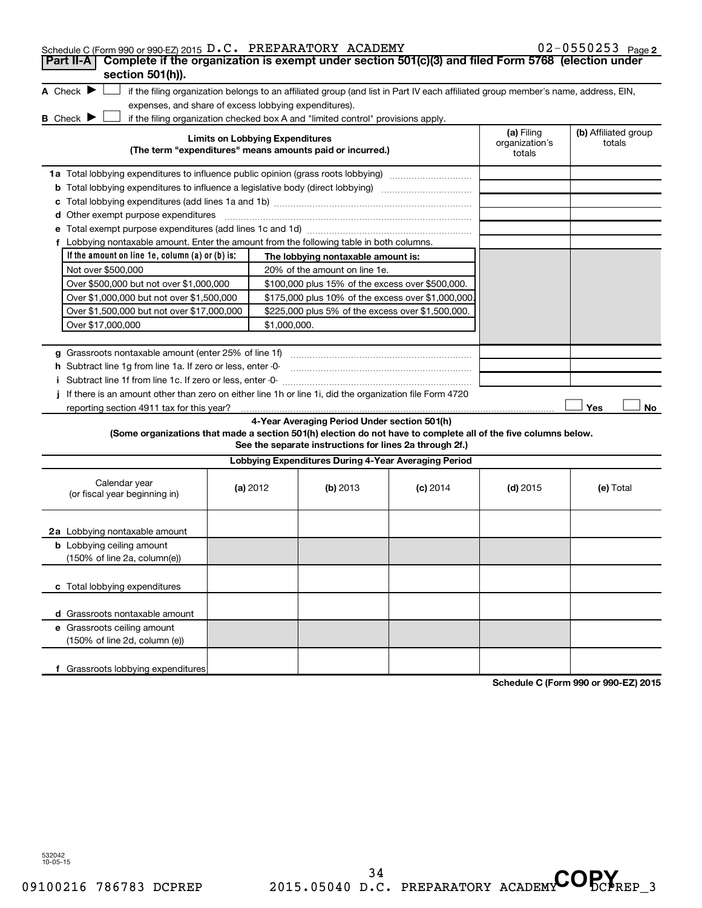| Schedule C (Form 990 or 990-EZ) 2015 D.C. PREPARATORY ACADEMY<br>Complete if the organization is exempt under section 501(c)(3) and filed Form 5768 (election under<br>Part II-A                                            |                                        |                                                         |            |                              | $02 - 0550253$ Page 2          |
|-----------------------------------------------------------------------------------------------------------------------------------------------------------------------------------------------------------------------------|----------------------------------------|---------------------------------------------------------|------------|------------------------------|--------------------------------|
| section 501(h)).                                                                                                                                                                                                            |                                        |                                                         |            |                              |                                |
| A Check $\blacktriangleright$<br>if the filing organization belongs to an affiliated group (and list in Part IV each affiliated group member's name, address, EIN,<br>expenses, and share of excess lobbying expenditures). |                                        |                                                         |            |                              |                                |
| <b>B</b> Check $\blacktriangleright$<br>if the filing organization checked box A and "limited control" provisions apply.                                                                                                    | <b>Limits on Lobbying Expenditures</b> |                                                         |            | (a) Filing<br>organization's | (b) Affiliated group<br>totals |
| (The term "expenditures" means amounts paid or incurred.)                                                                                                                                                                   |                                        |                                                         |            | totals                       |                                |
| 1a Total lobbying expenditures to influence public opinion (grass roots lobbying)                                                                                                                                           |                                        |                                                         |            |                              |                                |
| <b>b</b> Total lobbying expenditures to influence a legislative body (direct lobbying)                                                                                                                                      |                                        |                                                         |            |                              |                                |
| c                                                                                                                                                                                                                           |                                        |                                                         |            |                              |                                |
| <b>d</b> Other exempt purpose expenditures                                                                                                                                                                                  |                                        |                                                         |            |                              |                                |
| f Lobbying nontaxable amount. Enter the amount from the following table in both columns.                                                                                                                                    |                                        |                                                         |            |                              |                                |
| If the amount on line 1e, column $(a)$ or $(b)$ is:                                                                                                                                                                         |                                        | The lobbying nontaxable amount is:                      |            |                              |                                |
| Not over \$500,000                                                                                                                                                                                                          |                                        | 20% of the amount on line 1e.                           |            |                              |                                |
| Over \$500,000 but not over \$1,000,000                                                                                                                                                                                     |                                        | \$100,000 plus 15% of the excess over \$500,000.        |            |                              |                                |
| Over \$1,000,000 but not over \$1,500,000                                                                                                                                                                                   |                                        | \$175,000 plus 10% of the excess over \$1,000,000       |            |                              |                                |
| Over \$1,500,000 but not over \$17,000,000                                                                                                                                                                                  |                                        | \$225,000 plus 5% of the excess over \$1,500,000.       |            |                              |                                |
| Over \$17,000,000                                                                                                                                                                                                           | \$1,000,000.                           |                                                         |            |                              |                                |
|                                                                                                                                                                                                                             |                                        |                                                         |            |                              |                                |
|                                                                                                                                                                                                                             |                                        |                                                         |            |                              |                                |
| h Subtract line 1q from line 1a. If zero or less, enter -0-                                                                                                                                                                 |                                        |                                                         |            |                              |                                |
| i Subtract line 1f from line 1c. If zero or less, enter -0-                                                                                                                                                                 |                                        |                                                         |            |                              |                                |
| j If there is an amount other than zero on either line 1h or line 1i, did the organization file Form 4720<br>reporting section 4911 tax for this year?                                                                      |                                        |                                                         |            |                              | Yes<br>No                      |
|                                                                                                                                                                                                                             |                                        | 4-Year Averaging Period Under section 501(h)            |            |                              |                                |
| (Some organizations that made a section 501(h) election do not have to complete all of the five columns below.                                                                                                              |                                        | See the separate instructions for lines 2a through 2f.) |            |                              |                                |
|                                                                                                                                                                                                                             |                                        | Lobbying Expenditures During 4-Year Averaging Period    |            |                              |                                |
| Calendar year<br>(or fiscal year beginning in)                                                                                                                                                                              | (a) 2012                               | (b) 2013                                                | $(c)$ 2014 | $(d)$ 2015                   | (e) Total                      |
| 2a Lobbying nontaxable amount                                                                                                                                                                                               |                                        |                                                         |            |                              |                                |
| <b>b</b> Lobbying ceiling amount<br>(150% of line 2a, column(e))                                                                                                                                                            |                                        |                                                         |            |                              |                                |
| c Total lobbying expenditures                                                                                                                                                                                               |                                        |                                                         |            |                              |                                |
| d Grassroots nontaxable amount                                                                                                                                                                                              |                                        |                                                         |            |                              |                                |
| e Grassroots ceiling amount<br>(150% of line 2d, column (e))                                                                                                                                                                |                                        |                                                         |            |                              |                                |
| f Grassroots lobbying expenditures                                                                                                                                                                                          |                                        |                                                         |            |                              |                                |

**Schedule C (Form 990 or 990-EZ) 2015**

532042 10-05-15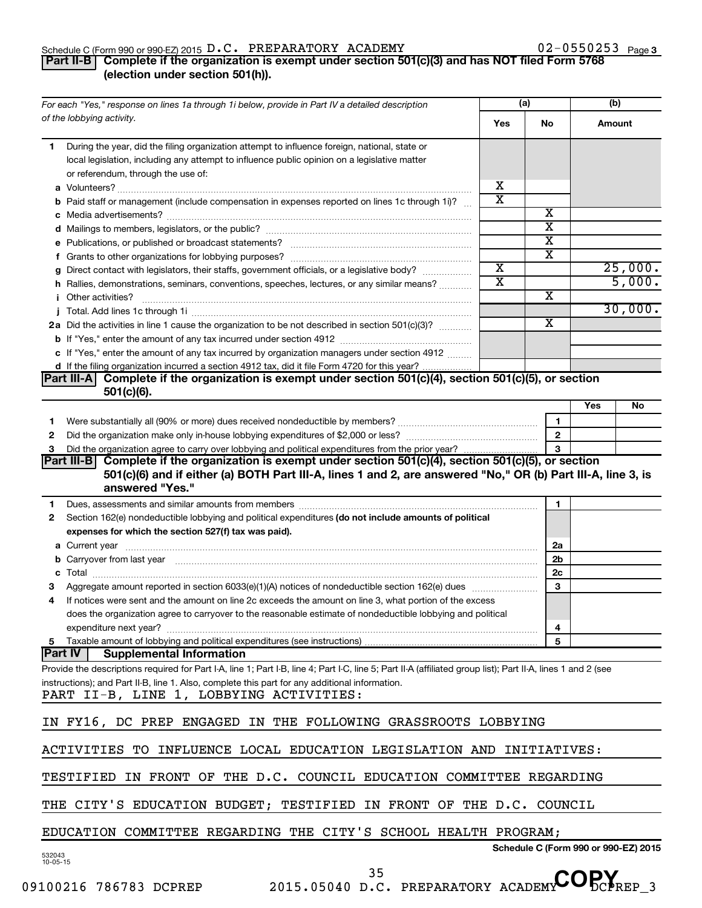#### Schedule C (Form 990 or 990-EZ) 2015  $D$  . C . PREPARATORY ACADEMY COMERCITY RELATION NATURE ON  $DZ$  - U S  $DZ$  Page D.C. PREPARATORY ACADEMY 02-0550253

### **Part II-B Complete if the organization is exempt under section 501(c)(3) and has NOT filed Form 5768 (election under section 501(h)).**

| For each "Yes," response on lines 1a through 1i below, provide in Part IV a detailed description                                                                                                                                    |                         | (a)                                                | (b)    |         |
|-------------------------------------------------------------------------------------------------------------------------------------------------------------------------------------------------------------------------------------|-------------------------|----------------------------------------------------|--------|---------|
| of the lobbying activity.                                                                                                                                                                                                           | Yes                     | No                                                 | Amount |         |
| During the year, did the filing organization attempt to influence foreign, national, state or<br>1                                                                                                                                  |                         |                                                    |        |         |
| local legislation, including any attempt to influence public opinion on a legislative matter                                                                                                                                        |                         |                                                    |        |         |
| or referendum, through the use of:                                                                                                                                                                                                  |                         |                                                    |        |         |
|                                                                                                                                                                                                                                     | х                       |                                                    |        |         |
| <b>b</b> Paid staff or management (include compensation in expenses reported on lines 1c through 1i)?                                                                                                                               | $\overline{\text{x}}$   |                                                    |        |         |
|                                                                                                                                                                                                                                     |                         | х                                                  |        |         |
|                                                                                                                                                                                                                                     |                         | $\overline{\textbf{x}}$<br>$\overline{\textbf{x}}$ |        |         |
|                                                                                                                                                                                                                                     |                         | X                                                  |        |         |
| g Direct contact with legislators, their staffs, government officials, or a legislative body?                                                                                                                                       | $\overline{\textbf{x}}$ |                                                    |        | 25,000. |
| h Rallies, demonstrations, seminars, conventions, speeches, lectures, or any similar means?                                                                                                                                         | $\overline{\text{x}}$   |                                                    |        | 5,000.  |
| <i>i</i> Other activities?                                                                                                                                                                                                          |                         | х                                                  |        |         |
|                                                                                                                                                                                                                                     |                         |                                                    |        | 30,000. |
| 2a Did the activities in line 1 cause the organization to be not described in section 501(c)(3)?                                                                                                                                    |                         | X                                                  |        |         |
|                                                                                                                                                                                                                                     |                         |                                                    |        |         |
| c If "Yes," enter the amount of any tax incurred by organization managers under section 4912                                                                                                                                        |                         |                                                    |        |         |
| d If the filing organization incurred a section 4912 tax, did it file Form 4720 for this year?                                                                                                                                      |                         |                                                    |        |         |
| Complete if the organization is exempt under section 501(c)(4), section 501(c)(5), or section<br> Part III-A                                                                                                                        |                         |                                                    |        |         |
| $501(c)(6)$ .                                                                                                                                                                                                                       |                         |                                                    |        |         |
|                                                                                                                                                                                                                                     |                         |                                                    | Yes    | No      |
| Were substantially all (90% or more) dues received nondeductible by members? www.community.com<br>1                                                                                                                                 |                         | $\mathbf{1}$                                       |        |         |
| 2                                                                                                                                                                                                                                   |                         | $\overline{2}$                                     |        |         |
| 3                                                                                                                                                                                                                                   |                         | 3                                                  |        |         |
| Complete if the organization is exempt under section 501(c)(4), section 501(c)(5), or section<br> Part III-B                                                                                                                        |                         |                                                    |        |         |
| 501(c)(6) and if either (a) BOTH Part III-A, lines 1 and 2, are answered "No," OR (b) Part III-A, line 3, is<br>answered "Yes."                                                                                                     |                         |                                                    |        |         |
|                                                                                                                                                                                                                                     |                         |                                                    |        |         |
| Dues, assessments and similar amounts from members [111] Dues, assessments and similar amounts and similar amounts from members [111] Dues, assessments and similar amounts from members [11] Dues and Supply and Supply and S<br>1 |                         | 1                                                  |        |         |
| Section 162(e) nondeductible lobbying and political expenditures (do not include amounts of political<br>2<br>expenses for which the section 527(f) tax was paid).                                                                  |                         |                                                    |        |         |
|                                                                                                                                                                                                                                     |                         | 2a                                                 |        |         |
| b Carryover from last year manufactured and content to content the content of the content of the content of the content of the content of the content of the content of the content of the content of the content of the conte      |                         | 2b                                                 |        |         |
|                                                                                                                                                                                                                                     |                         | 2 <sub>c</sub>                                     |        |         |
|                                                                                                                                                                                                                                     |                         | 3                                                  |        |         |
| If notices were sent and the amount on line 2c exceeds the amount on line 3, what portion of the excess<br>4                                                                                                                        |                         |                                                    |        |         |
| does the organization agree to carryover to the reasonable estimate of nondeductible lobbying and political                                                                                                                         |                         |                                                    |        |         |
|                                                                                                                                                                                                                                     |                         | 4                                                  |        |         |
| 5 Taxable amount of lobbying and political expenditures (see instructions)                                                                                                                                                          |                         | 5                                                  |        |         |
| <b>Part IV</b><br><b>Supplemental Information</b>                                                                                                                                                                                   |                         |                                                    |        |         |
| Provide the descriptions required for Part I-A, line 1; Part I-B, line 4; Part I-C, line 5; Part II-A (affiliated group list); Part II-A, lines 1 and 2 (see                                                                        |                         |                                                    |        |         |
| instructions); and Part II-B, line 1. Also, complete this part for any additional information.                                                                                                                                      |                         |                                                    |        |         |
| PART II-B, LINE 1, LOBBYING ACTIVITIES:                                                                                                                                                                                             |                         |                                                    |        |         |
| IN FY16, DC PREP ENGAGED IN THE FOLLOWING GRASSROOTS LOBBYING                                                                                                                                                                       |                         |                                                    |        |         |
| ACTIVITIES TO INFLUENCE LOCAL EDUCATION LEGISLATION AND INITIATIVES:                                                                                                                                                                |                         |                                                    |        |         |
|                                                                                                                                                                                                                                     |                         |                                                    |        |         |
| TESTIFIED IN FRONT OF THE D.C. COUNCIL EDUCATION COMMITTEE REGARDING                                                                                                                                                                |                         |                                                    |        |         |
| THE CITY'S EDUCATION BUDGET; TESTIFIED IN FRONT OF THE D.C. COUNCIL                                                                                                                                                                 |                         |                                                    |        |         |
| EDUCATION COMMITTEE REGARDING THE CITY'S SCHOOL HEALTH PROGRAM;                                                                                                                                                                     |                         |                                                    |        |         |
|                                                                                                                                                                                                                                     |                         | Schedule C (Form 990 or 990-EZ) 2015               |        |         |
| 532043<br>$10 - 05 - 15$                                                                                                                                                                                                            |                         |                                                    |        |         |
| 35                                                                                                                                                                                                                                  |                         |                                                    |        |         |
| 2015.05040 D.C. PREPARATORY ACADEMYCOPCPREP 3                                                                                                                                                                                       |                         |                                                    |        |         |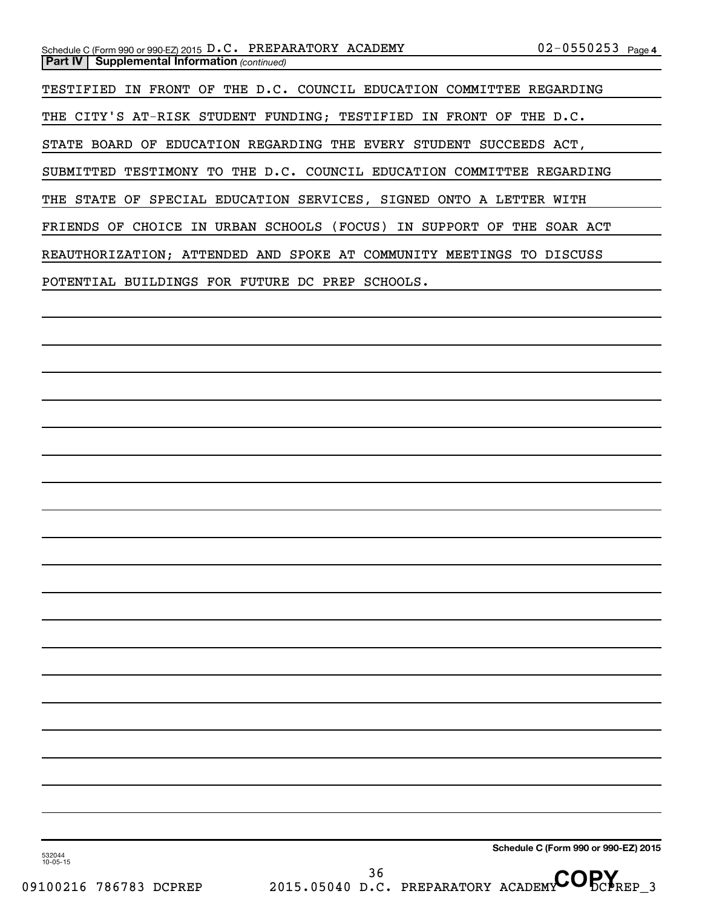TESTIFIED IN FRONT OF THE D.C. COUNCIL EDUCATION COMMITTEE REGARDING THE CITY'S AT-RISK STUDENT FUNDING; TESTIFIED IN FRONT OF THE D.C. STATE BOARD OF EDUCATION REGARDING THE EVERY STUDENT SUCCEEDS ACT, SUBMITTED TESTIMONY TO THE D.C. COUNCIL EDUCATION COMMITTEE REGARDING THE STATE OF SPECIAL EDUCATION SERVICES, SIGNED ONTO A LETTER WITH FRIENDS OF CHOICE IN URBAN SCHOOLS (FOCUS) IN SUPPORT OF THE SOAR ACT REAUTHORIZATION; ATTENDED AND SPOKE AT COMMUNITY MEETINGS TO DISCUSS POTENTIAL BUILDINGS FOR FUTURE DC PREP SCHOOLS.

**Schedule C (Form 990 or 990-EZ) 2015**

532044 10-05-15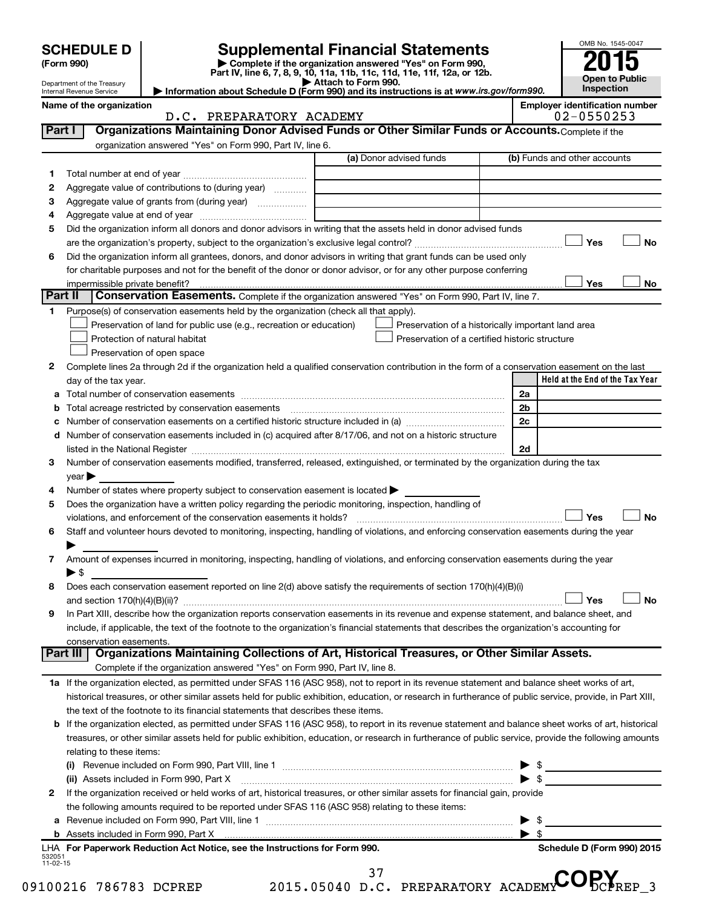|          |                                                        |                                                                                                                                                                                         |                                                                                                                                                                                                                               |                         | OMB No. 1545-0047                                   |
|----------|--------------------------------------------------------|-----------------------------------------------------------------------------------------------------------------------------------------------------------------------------------------|-------------------------------------------------------------------------------------------------------------------------------------------------------------------------------------------------------------------------------|-------------------------|-----------------------------------------------------|
|          | <b>SCHEDULE D</b><br>(Form 990)                        |                                                                                                                                                                                         | <b>Supplemental Financial Statements</b><br>Complete if the organization answered "Yes" on Form 990,                                                                                                                          |                         |                                                     |
|          |                                                        |                                                                                                                                                                                         | Part IV, line 6, 7, 8, 9, 10, 11a, 11b, 11c, 11d, 11e, 11f, 12a, or 12b.                                                                                                                                                      |                         | <b>Open to Public</b>                               |
|          | Department of the Treasury<br>Internal Revenue Service |                                                                                                                                                                                         | Attach to Form 990.<br>Information about Schedule D (Form 990) and its instructions is at www.irs.gov/form990.                                                                                                                |                         | Inspection                                          |
|          | Name of the organization                               | D.C. PREPARATORY ACADEMY                                                                                                                                                                |                                                                                                                                                                                                                               |                         | <b>Employer identification number</b><br>02-0550253 |
| Part I   |                                                        |                                                                                                                                                                                         | Organizations Maintaining Donor Advised Funds or Other Similar Funds or Accounts. Complete if the                                                                                                                             |                         |                                                     |
|          |                                                        | organization answered "Yes" on Form 990, Part IV, line 6.                                                                                                                               |                                                                                                                                                                                                                               |                         |                                                     |
|          |                                                        |                                                                                                                                                                                         | (a) Donor advised funds                                                                                                                                                                                                       |                         | (b) Funds and other accounts                        |
| 1        |                                                        |                                                                                                                                                                                         |                                                                                                                                                                                                                               |                         |                                                     |
| 2        |                                                        | Aggregate value of contributions to (during year)                                                                                                                                       |                                                                                                                                                                                                                               |                         |                                                     |
| З        |                                                        | Aggregate value of grants from (during year)                                                                                                                                            |                                                                                                                                                                                                                               |                         |                                                     |
| 4        |                                                        |                                                                                                                                                                                         |                                                                                                                                                                                                                               |                         |                                                     |
| 5        |                                                        |                                                                                                                                                                                         | Did the organization inform all donors and donor advisors in writing that the assets held in donor advised funds                                                                                                              |                         |                                                     |
|          |                                                        |                                                                                                                                                                                         |                                                                                                                                                                                                                               |                         | Yes<br>No                                           |
| 6        |                                                        |                                                                                                                                                                                         | Did the organization inform all grantees, donors, and donor advisors in writing that grant funds can be used only                                                                                                             |                         |                                                     |
|          |                                                        |                                                                                                                                                                                         | for charitable purposes and not for the benefit of the donor or donor advisor, or for any other purpose conferring                                                                                                            |                         | Yes<br>No.                                          |
| Part II  |                                                        | impermissible private benefit?                                                                                                                                                          | Conservation Easements. Complete if the organization answered "Yes" on Form 990, Part IV, line 7.                                                                                                                             |                         |                                                     |
| 1.       |                                                        | Purpose(s) of conservation easements held by the organization (check all that apply).                                                                                                   |                                                                                                                                                                                                                               |                         |                                                     |
|          |                                                        | Preservation of land for public use (e.g., recreation or education)                                                                                                                     | Preservation of a historically important land area                                                                                                                                                                            |                         |                                                     |
|          |                                                        | Protection of natural habitat                                                                                                                                                           | Preservation of a certified historic structure                                                                                                                                                                                |                         |                                                     |
|          |                                                        | Preservation of open space                                                                                                                                                              |                                                                                                                                                                                                                               |                         |                                                     |
| 2        |                                                        |                                                                                                                                                                                         | Complete lines 2a through 2d if the organization held a qualified conservation contribution in the form of a conservation easement on the last                                                                                |                         |                                                     |
|          | day of the tax year.                                   |                                                                                                                                                                                         |                                                                                                                                                                                                                               |                         | Held at the End of the Tax Year                     |
| а        |                                                        |                                                                                                                                                                                         |                                                                                                                                                                                                                               | 2a                      |                                                     |
| b        |                                                        | Total acreage restricted by conservation easements                                                                                                                                      |                                                                                                                                                                                                                               | 2b                      |                                                     |
| с        |                                                        |                                                                                                                                                                                         | Number of conservation easements on a certified historic structure included in (a) manufacture included in (a)                                                                                                                | 2c                      |                                                     |
| d        |                                                        |                                                                                                                                                                                         | Number of conservation easements included in (c) acquired after 8/17/06, and not on a historic structure                                                                                                                      |                         |                                                     |
|          |                                                        |                                                                                                                                                                                         | listed in the National Register [111] Marshall Register [11] Marshall Register [11] Marshall Register [11] Marshall Register [11] Marshall Register [11] Marshall Register [11] Marshall Register [11] Marshall Register [11] | 2d                      |                                                     |
| З        |                                                        |                                                                                                                                                                                         | Number of conservation easements modified, transferred, released, extinguished, or terminated by the organization during the tax                                                                                              |                         |                                                     |
|          | $year \triangleright$                                  |                                                                                                                                                                                         |                                                                                                                                                                                                                               |                         |                                                     |
| 4<br>5   |                                                        | Number of states where property subject to conservation easement is located ><br>Does the organization have a written policy regarding the periodic monitoring, inspection, handling of |                                                                                                                                                                                                                               |                         |                                                     |
|          |                                                        | violations, and enforcement of the conservation easements it holds?                                                                                                                     |                                                                                                                                                                                                                               |                         | Yes<br>No                                           |
| 6        |                                                        |                                                                                                                                                                                         | Staff and volunteer hours devoted to monitoring, inspecting, handling of violations, and enforcing conservation easements during the year                                                                                     |                         |                                                     |
|          |                                                        |                                                                                                                                                                                         |                                                                                                                                                                                                                               |                         |                                                     |
| 7        |                                                        |                                                                                                                                                                                         | Amount of expenses incurred in monitoring, inspecting, handling of violations, and enforcing conservation easements during the year                                                                                           |                         |                                                     |
|          | $\blacktriangleright$ \$                               |                                                                                                                                                                                         |                                                                                                                                                                                                                               |                         |                                                     |
| 8        |                                                        |                                                                                                                                                                                         | Does each conservation easement reported on line 2(d) above satisfy the requirements of section 170(h)(4)(B)(i)                                                                                                               |                         |                                                     |
|          |                                                        |                                                                                                                                                                                         |                                                                                                                                                                                                                               |                         | Yes<br><b>No</b>                                    |
| 9        |                                                        |                                                                                                                                                                                         | In Part XIII, describe how the organization reports conservation easements in its revenue and expense statement, and balance sheet, and                                                                                       |                         |                                                     |
|          |                                                        |                                                                                                                                                                                         | include, if applicable, the text of the footnote to the organization's financial statements that describes the organization's accounting for                                                                                  |                         |                                                     |
|          | conservation easements.                                |                                                                                                                                                                                         |                                                                                                                                                                                                                               |                         |                                                     |
|          | Part III I                                             |                                                                                                                                                                                         | Organizations Maintaining Collections of Art, Historical Treasures, or Other Similar Assets.                                                                                                                                  |                         |                                                     |
|          |                                                        | Complete if the organization answered "Yes" on Form 990, Part IV, line 8.                                                                                                               |                                                                                                                                                                                                                               |                         |                                                     |
|          |                                                        |                                                                                                                                                                                         | 1a If the organization elected, as permitted under SFAS 116 (ASC 958), not to report in its revenue statement and balance sheet works of art,                                                                                 |                         |                                                     |
|          |                                                        | the text of the footnote to its financial statements that describes these items.                                                                                                        | historical treasures, or other similar assets held for public exhibition, education, or research in furtherance of public service, provide, in Part XIII,                                                                     |                         |                                                     |
| b        |                                                        |                                                                                                                                                                                         | If the organization elected, as permitted under SFAS 116 (ASC 958), to report in its revenue statement and balance sheet works of art, historical                                                                             |                         |                                                     |
|          |                                                        |                                                                                                                                                                                         | treasures, or other similar assets held for public exhibition, education, or research in furtherance of public service, provide the following amounts                                                                         |                         |                                                     |
|          | relating to these items:                               |                                                                                                                                                                                         |                                                                                                                                                                                                                               |                         |                                                     |
|          |                                                        |                                                                                                                                                                                         |                                                                                                                                                                                                                               |                         |                                                     |
|          |                                                        |                                                                                                                                                                                         |                                                                                                                                                                                                                               |                         |                                                     |
| 2        |                                                        |                                                                                                                                                                                         | If the organization received or held works of art, historical treasures, or other similar assets for financial gain, provide                                                                                                  |                         |                                                     |
|          |                                                        | the following amounts required to be reported under SFAS 116 (ASC 958) relating to these items:                                                                                         |                                                                                                                                                                                                                               |                         |                                                     |
| а        |                                                        |                                                                                                                                                                                         | Revenue included on Form 990, Part VIII, line 1 [2000] [2000] [2000] [2000] [3000] [3000] [3000] [3000] [3000                                                                                                                 |                         |                                                     |
|          |                                                        |                                                                                                                                                                                         |                                                                                                                                                                                                                               | $\blacktriangleright$ s |                                                     |
| 532051   |                                                        | LHA For Paperwork Reduction Act Notice, see the Instructions for Form 990.                                                                                                              |                                                                                                                                                                                                                               |                         | Schedule D (Form 990) 2015                          |
| 11-02-15 |                                                        |                                                                                                                                                                                         |                                                                                                                                                                                                                               |                         |                                                     |
|          |                                                        | 100216 786783 DCPREP                                                                                                                                                                    | 37<br>2015.05040 D.C. PREPARATORY ACADEMYCOPCPREP 3                                                                                                                                                                           |                         |                                                     |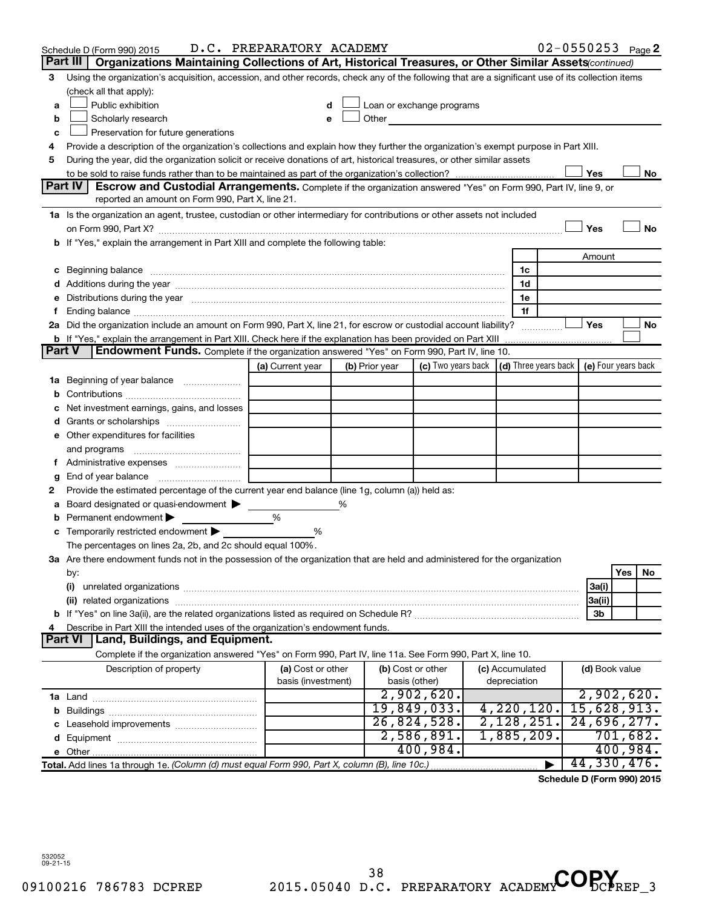|        | Schedule D (Form 990) 2015                                                                                                                                                                                                          | D.C. PREPARATORY ACADEMY |                |                                                                                                                                                                                                                                      |                 | $02 - 0550253$ Page 2      |                |     |          |
|--------|-------------------------------------------------------------------------------------------------------------------------------------------------------------------------------------------------------------------------------------|--------------------------|----------------|--------------------------------------------------------------------------------------------------------------------------------------------------------------------------------------------------------------------------------------|-----------------|----------------------------|----------------|-----|----------|
|        | Part III<br>Organizations Maintaining Collections of Art, Historical Treasures, or Other Similar Assets (continued)                                                                                                                 |                          |                |                                                                                                                                                                                                                                      |                 |                            |                |     |          |
| 3      | Using the organization's acquisition, accession, and other records, check any of the following that are a significant use of its collection items                                                                                   |                          |                |                                                                                                                                                                                                                                      |                 |                            |                |     |          |
|        | (check all that apply):                                                                                                                                                                                                             |                          |                |                                                                                                                                                                                                                                      |                 |                            |                |     |          |
| a      | Public exhibition                                                                                                                                                                                                                   | d                        |                | Loan or exchange programs                                                                                                                                                                                                            |                 |                            |                |     |          |
| b      | Scholarly research                                                                                                                                                                                                                  | е                        |                | Other <u>the contract of the contract of the contract of the contract of the contract of the contract of the contract of the contract of the contract of the contract of the contract of the contract of the contract of the con</u> |                 |                            |                |     |          |
| c      | Preservation for future generations                                                                                                                                                                                                 |                          |                |                                                                                                                                                                                                                                      |                 |                            |                |     |          |
| 4      | Provide a description of the organization's collections and explain how they further the organization's exempt purpose in Part XIII.                                                                                                |                          |                |                                                                                                                                                                                                                                      |                 |                            |                |     |          |
| 5      | During the year, did the organization solicit or receive donations of art, historical treasures, or other similar assets                                                                                                            |                          |                |                                                                                                                                                                                                                                      |                 |                            |                |     |          |
|        |                                                                                                                                                                                                                                     |                          |                |                                                                                                                                                                                                                                      |                 |                            | Yes            |     | No       |
|        | Part IV<br><b>Escrow and Custodial Arrangements.</b> Complete if the organization answered "Yes" on Form 990, Part IV, line 9, or<br>reported an amount on Form 990, Part X, line 21.                                               |                          |                |                                                                                                                                                                                                                                      |                 |                            |                |     |          |
|        | 1a Is the organization an agent, trustee, custodian or other intermediary for contributions or other assets not included                                                                                                            |                          |                |                                                                                                                                                                                                                                      |                 |                            |                |     |          |
|        |                                                                                                                                                                                                                                     |                          |                |                                                                                                                                                                                                                                      |                 |                            | Yes            |     | No       |
| b      | If "Yes," explain the arrangement in Part XIII and complete the following table:                                                                                                                                                    |                          |                |                                                                                                                                                                                                                                      |                 |                            |                |     |          |
|        |                                                                                                                                                                                                                                     |                          |                |                                                                                                                                                                                                                                      |                 |                            | Amount         |     |          |
| с      | Beginning balance <b>communications</b> and continuum contracts and continuum contracts and continuum contracts and continuum contracts and continuum contracts and continuum contracts and continuum contracts and continuum contr |                          |                |                                                                                                                                                                                                                                      | 1c              |                            |                |     |          |
|        | Additions during the year manufactured and an account of the year and year and year and year and year and year                                                                                                                      |                          |                |                                                                                                                                                                                                                                      | 1d              |                            |                |     |          |
| е      | Distributions during the year manufactured and contain an account of the year manufactured and the year manufactured and the year manufactured and the year manufactured and the year manufactured and the state of the state       |                          |                |                                                                                                                                                                                                                                      | 1е              |                            |                |     |          |
| f.     | Ending balance measurements are all the contract of the contract of the contract of the contract of the contract of the contract of the contract of the contract of the contract of the contract of the contract of the contra      |                          |                |                                                                                                                                                                                                                                      | 1f              |                            |                |     |          |
|        | 2a Did the organization include an amount on Form 990, Part X, line 21, for escrow or custodial account liability?                                                                                                                  |                          |                |                                                                                                                                                                                                                                      |                 |                            | Yes            |     | No       |
|        | <b>b</b> If "Yes," explain the arrangement in Part XIII. Check here if the explanation has been provided on Part XIII                                                                                                               |                          |                |                                                                                                                                                                                                                                      |                 |                            |                |     |          |
| Part V | Endowment Funds. Complete if the organization answered "Yes" on Form 990, Part IV, line 10.                                                                                                                                         |                          |                |                                                                                                                                                                                                                                      |                 |                            |                |     |          |
|        |                                                                                                                                                                                                                                     | (a) Current year         | (b) Prior year | (c) Two years back $\vert$ (d) Three years back $\vert$ (e) Four years back                                                                                                                                                          |                 |                            |                |     |          |
| 1a     | Beginning of year balance                                                                                                                                                                                                           |                          |                |                                                                                                                                                                                                                                      |                 |                            |                |     |          |
| b      |                                                                                                                                                                                                                                     |                          |                |                                                                                                                                                                                                                                      |                 |                            |                |     |          |
| c      | Net investment earnings, gains, and losses                                                                                                                                                                                          |                          |                |                                                                                                                                                                                                                                      |                 |                            |                |     |          |
| d      |                                                                                                                                                                                                                                     |                          |                |                                                                                                                                                                                                                                      |                 |                            |                |     |          |
|        | e Other expenditures for facilities                                                                                                                                                                                                 |                          |                |                                                                                                                                                                                                                                      |                 |                            |                |     |          |
|        | and programs                                                                                                                                                                                                                        |                          |                |                                                                                                                                                                                                                                      |                 |                            |                |     |          |
|        |                                                                                                                                                                                                                                     |                          |                |                                                                                                                                                                                                                                      |                 |                            |                |     |          |
| g      | End of year balance                                                                                                                                                                                                                 |                          |                |                                                                                                                                                                                                                                      |                 |                            |                |     |          |
| 2      | Provide the estimated percentage of the current year end balance (line 1g, column (a)) held as:                                                                                                                                     |                          |                |                                                                                                                                                                                                                                      |                 |                            |                |     |          |
| а      | Board designated or quasi-endowment ><br>Permanent endowment                                                                                                                                                                        | %                        |                |                                                                                                                                                                                                                                      |                 |                            |                |     |          |
| b      | Temporarily restricted endowment                                                                                                                                                                                                    | %                        |                |                                                                                                                                                                                                                                      |                 |                            |                |     |          |
| С      | The percentages on lines 2a, 2b, and 2c should equal 100%.                                                                                                                                                                          |                          |                |                                                                                                                                                                                                                                      |                 |                            |                |     |          |
|        | 3a Are there endowment funds not in the possession of the organization that are held and administered for the organization                                                                                                          |                          |                |                                                                                                                                                                                                                                      |                 |                            |                |     |          |
|        | by:                                                                                                                                                                                                                                 |                          |                |                                                                                                                                                                                                                                      |                 |                            |                | Yes | No       |
|        | (i)                                                                                                                                                                                                                                 |                          |                |                                                                                                                                                                                                                                      |                 |                            | 3a(i)          |     |          |
|        |                                                                                                                                                                                                                                     |                          |                |                                                                                                                                                                                                                                      |                 |                            | 3a(ii)         |     |          |
|        |                                                                                                                                                                                                                                     |                          |                |                                                                                                                                                                                                                                      |                 |                            | 3b             |     |          |
| 4      | Describe in Part XIII the intended uses of the organization's endowment funds.                                                                                                                                                      |                          |                |                                                                                                                                                                                                                                      |                 |                            |                |     |          |
|        | <b>Part VI</b><br>Land, Buildings, and Equipment.                                                                                                                                                                                   |                          |                |                                                                                                                                                                                                                                      |                 |                            |                |     |          |
|        | Complete if the organization answered "Yes" on Form 990, Part IV, line 11a. See Form 990, Part X, line 10.                                                                                                                          |                          |                |                                                                                                                                                                                                                                      |                 |                            |                |     |          |
|        | Description of property                                                                                                                                                                                                             | (a) Cost or other        |                | (b) Cost or other                                                                                                                                                                                                                    | (c) Accumulated |                            | (d) Book value |     |          |
|        |                                                                                                                                                                                                                                     | basis (investment)       |                | basis (other)                                                                                                                                                                                                                        | depreciation    |                            |                |     |          |
|        |                                                                                                                                                                                                                                     |                          |                | 2,902,620.                                                                                                                                                                                                                           |                 |                            | 2,902,620.     |     |          |
|        |                                                                                                                                                                                                                                     |                          |                | 19,849,033.                                                                                                                                                                                                                          | 4,220,120.      |                            | 15,628,913.    |     |          |
|        |                                                                                                                                                                                                                                     |                          |                | 26,824,528.                                                                                                                                                                                                                          | 2,128,251.      |                            | 24,696,277.    |     |          |
|        |                                                                                                                                                                                                                                     |                          |                | 2,586,891.                                                                                                                                                                                                                           | 1,885,209.      |                            |                |     | 701,682. |
|        |                                                                                                                                                                                                                                     |                          |                | 400,984.                                                                                                                                                                                                                             |                 |                            |                |     | 400,984. |
|        | Total. Add lines 1a through 1e. (Column (d) must equal Form 990, Part X, column (B), line 10c.)                                                                                                                                     |                          |                |                                                                                                                                                                                                                                      |                 |                            | 44, 330, 476.  |     |          |
|        |                                                                                                                                                                                                                                     |                          |                |                                                                                                                                                                                                                                      |                 | Schodule D (Form 000) 2015 |                |     |          |

**Schedule D (Form 990) 2015**

532052 09-21-15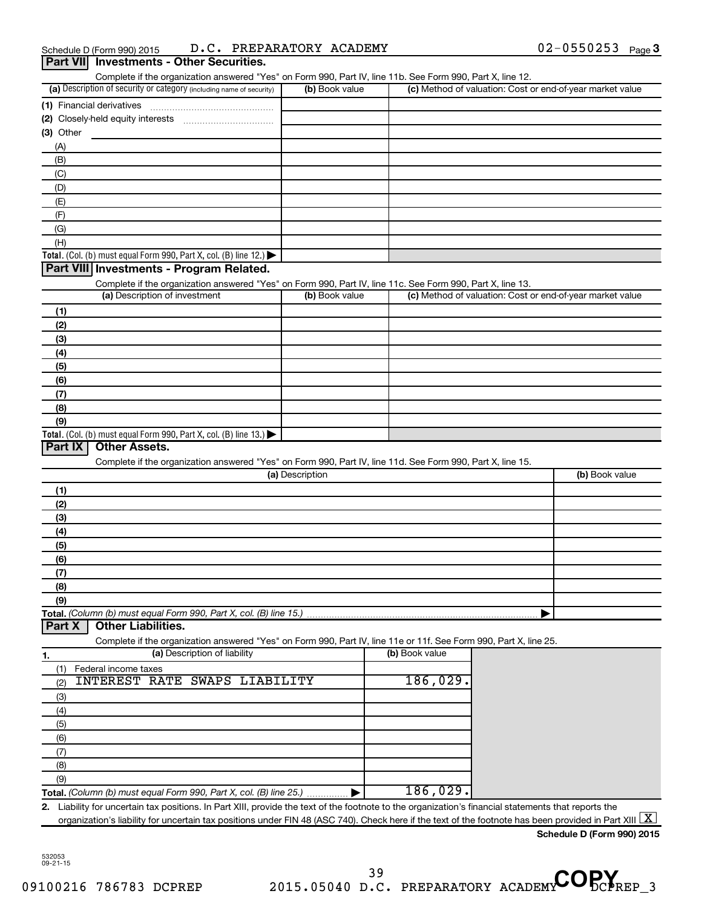| Part VII Investments - Other Securities.                                                                                                                                                            |                 |                | $02 - 0550253$ Page 3                                     |
|-----------------------------------------------------------------------------------------------------------------------------------------------------------------------------------------------------|-----------------|----------------|-----------------------------------------------------------|
| Complete if the organization answered "Yes" on Form 990, Part IV, line 11b. See Form 990, Part X, line 12.                                                                                          |                 |                |                                                           |
| (a) Description of security or category (including name of security)                                                                                                                                | (b) Book value  |                | (c) Method of valuation: Cost or end-of-year market value |
|                                                                                                                                                                                                     |                 |                |                                                           |
| (2) Closely-held equity interests                                                                                                                                                                   |                 |                |                                                           |
| (3) Other                                                                                                                                                                                           |                 |                |                                                           |
| (A)                                                                                                                                                                                                 |                 |                |                                                           |
| (B)                                                                                                                                                                                                 |                 |                |                                                           |
|                                                                                                                                                                                                     |                 |                |                                                           |
| (C)                                                                                                                                                                                                 |                 |                |                                                           |
| (D)                                                                                                                                                                                                 |                 |                |                                                           |
| (E)                                                                                                                                                                                                 |                 |                |                                                           |
| (F)                                                                                                                                                                                                 |                 |                |                                                           |
| (G)                                                                                                                                                                                                 |                 |                |                                                           |
| (H)                                                                                                                                                                                                 |                 |                |                                                           |
| Total. (Col. (b) must equal Form 990, Part X, col. (B) line 12.) $\blacktriangleright$                                                                                                              |                 |                |                                                           |
| Part VIII Investments - Program Related.                                                                                                                                                            |                 |                |                                                           |
| Complete if the organization answered "Yes" on Form 990, Part IV, line 11c. See Form 990, Part X, line 13.                                                                                          |                 |                |                                                           |
| (a) Description of investment                                                                                                                                                                       | (b) Book value  |                | (c) Method of valuation: Cost or end-of-year market value |
| (1)                                                                                                                                                                                                 |                 |                |                                                           |
| (2)                                                                                                                                                                                                 |                 |                |                                                           |
| (3)                                                                                                                                                                                                 |                 |                |                                                           |
| (4)                                                                                                                                                                                                 |                 |                |                                                           |
| (5)                                                                                                                                                                                                 |                 |                |                                                           |
| (6)                                                                                                                                                                                                 |                 |                |                                                           |
| (7)                                                                                                                                                                                                 |                 |                |                                                           |
| (8)                                                                                                                                                                                                 |                 |                |                                                           |
|                                                                                                                                                                                                     |                 |                |                                                           |
|                                                                                                                                                                                                     |                 |                |                                                           |
| (9)                                                                                                                                                                                                 |                 |                |                                                           |
| Total. (Col. (b) must equal Form 990, Part X, col. (B) line 13.) $\blacktriangleright$<br>Part IX<br><b>Other Assets.</b>                                                                           |                 |                |                                                           |
| Complete if the organization answered "Yes" on Form 990, Part IV, line 11d. See Form 990, Part X, line 15.                                                                                          |                 |                |                                                           |
|                                                                                                                                                                                                     | (a) Description |                |                                                           |
|                                                                                                                                                                                                     |                 |                | (b) Book value                                            |
|                                                                                                                                                                                                     |                 |                |                                                           |
|                                                                                                                                                                                                     |                 |                |                                                           |
|                                                                                                                                                                                                     |                 |                |                                                           |
|                                                                                                                                                                                                     |                 |                |                                                           |
|                                                                                                                                                                                                     |                 |                |                                                           |
|                                                                                                                                                                                                     |                 |                |                                                           |
|                                                                                                                                                                                                     |                 |                |                                                           |
|                                                                                                                                                                                                     |                 |                |                                                           |
|                                                                                                                                                                                                     |                 |                |                                                           |
|                                                                                                                                                                                                     |                 |                |                                                           |
| <b>Other Liabilities.</b>                                                                                                                                                                           |                 |                |                                                           |
| Complete if the organization answered "Yes" on Form 990, Part IV, line 11e or 11f. See Form 990, Part X, line 25.                                                                                   |                 |                |                                                           |
| (a) Description of liability                                                                                                                                                                        |                 | (b) Book value |                                                           |
| Federal income taxes                                                                                                                                                                                |                 |                |                                                           |
| <b>INTEREST RATE</b><br>SWAPS LIABILITY                                                                                                                                                             |                 | 186,029.       |                                                           |
|                                                                                                                                                                                                     |                 |                |                                                           |
|                                                                                                                                                                                                     |                 |                |                                                           |
|                                                                                                                                                                                                     |                 |                |                                                           |
|                                                                                                                                                                                                     |                 |                |                                                           |
|                                                                                                                                                                                                     |                 |                |                                                           |
|                                                                                                                                                                                                     |                 |                |                                                           |
| (1)<br>(2)<br>(3)<br>(4)<br>(5)<br>(6)<br>(7)<br>(8)<br>(9)<br>Total. (Column (b) must equal Form 990, Part X, col. (B) line 15.)<br>Part X<br>(1)<br>(2)<br>(3)<br>(4)<br>(5)<br>(6)<br>(7)<br>(8) |                 |                |                                                           |
| (9)<br>Total. (Column (b) must equal Form 990, Part X, col. (B) line 25.)                                                                                                                           |                 | 186,029.       |                                                           |

**Schedule D (Form 990) 2015**

532053 09-21-15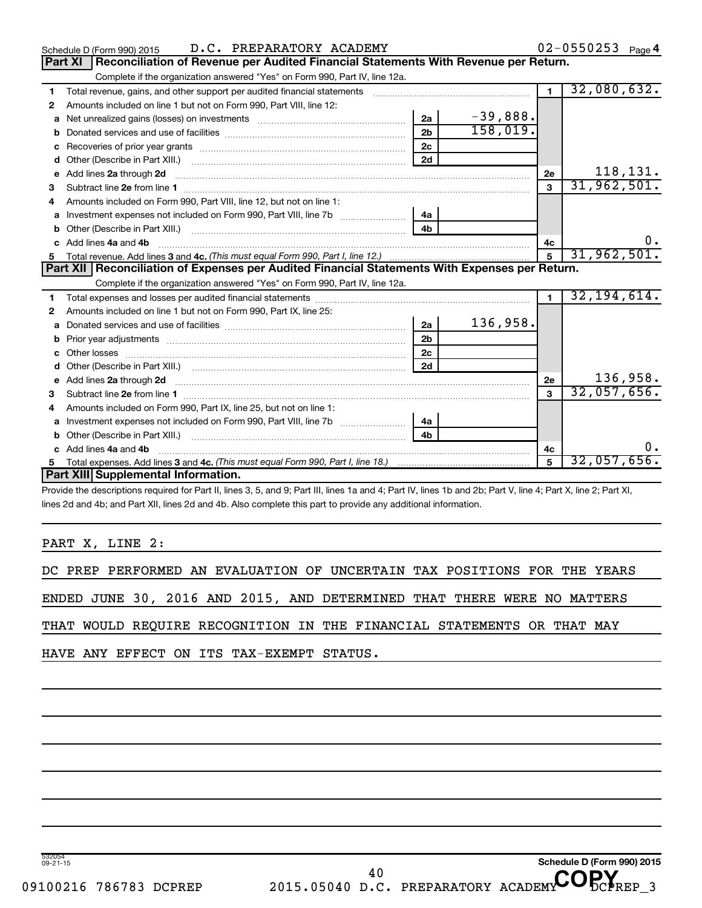| D.C. PREPARATORY ACADEMY<br>Schedule D (Form 990) 2015                                                                                                                                                                                    |                |            |                         | 02-0550253 Page 4 |
|-------------------------------------------------------------------------------------------------------------------------------------------------------------------------------------------------------------------------------------------|----------------|------------|-------------------------|-------------------|
| Reconciliation of Revenue per Audited Financial Statements With Revenue per Return.<br>Part XI                                                                                                                                            |                |            |                         |                   |
| Complete if the organization answered "Yes" on Form 990, Part IV, line 12a.                                                                                                                                                               |                |            |                         |                   |
| Total revenue, gains, and other support per audited financial statements [111] [11] Total revenue, gains, and other support per audited financial statements<br>1                                                                         |                |            | $\overline{1}$          | 32,080,632.       |
| Amounts included on line 1 but not on Form 990, Part VIII, line 12:<br>2                                                                                                                                                                  |                |            |                         |                   |
| Net unrealized gains (losses) on investments [111] [12] matter was uncontracted by the unrealized gains (losses) on investments [11] matter was uncontracted by the unreality of the unreality of the unreality of the unreali<br>a       | 2a             | $-39,888.$ |                         |                   |
|                                                                                                                                                                                                                                           | 2 <sub>b</sub> | 158,019.   |                         |                   |
| c                                                                                                                                                                                                                                         | 2 <sub>c</sub> |            |                         |                   |
| d                                                                                                                                                                                                                                         | 2d             |            |                         |                   |
| Add lines 2a through 2d <b>continuum continuum contract and all the contract of the contract of the contract of the contract of the contract of the contract of the contract of the contract of the contract of the contract of </b><br>е |                |            | 2e                      | 118, 131.         |
| 3                                                                                                                                                                                                                                         |                |            | $\overline{\mathbf{3}}$ | 31,962,501.       |
| Amounts included on Form 990, Part VIII, line 12, but not on line 1:                                                                                                                                                                      |                |            |                         |                   |
|                                                                                                                                                                                                                                           | 4a             |            |                         |                   |
|                                                                                                                                                                                                                                           | 4 <sub>h</sub> |            |                         |                   |
| c Add lines 4a and 4b                                                                                                                                                                                                                     |                |            | 4c                      |                   |
|                                                                                                                                                                                                                                           |                |            |                         | 31,962,501.       |
| Part XII   Reconciliation of Expenses per Audited Financial Statements With Expenses per Return.                                                                                                                                          |                |            |                         |                   |
| Complete if the organization answered "Yes" on Form 990, Part IV, line 12a.                                                                                                                                                               |                |            |                         |                   |
| 1                                                                                                                                                                                                                                         |                |            | $\blacksquare$          | 32, 194, 614.     |
| Amounts included on line 1 but not on Form 990, Part IX, line 25:<br>2                                                                                                                                                                    |                |            |                         |                   |
| a                                                                                                                                                                                                                                         | 2a             |            |                         |                   |
|                                                                                                                                                                                                                                           |                | 136,958.   |                         |                   |
| Prior year adjustments www.communication.com/www.communication.com/www.com/<br>b                                                                                                                                                          | 2 <sub>b</sub> |            |                         |                   |
|                                                                                                                                                                                                                                           | 2 <sub>c</sub> |            |                         |                   |
| d                                                                                                                                                                                                                                         | 2d             |            |                         |                   |
| e Add lines 2a through 2d <b>contract and all anomana contract and all anomana contract and all anomana contract a</b>                                                                                                                    |                |            | 2e                      | 136,958.          |
|                                                                                                                                                                                                                                           |                |            | $\mathbf{a}$            | 32,057,656.       |
| Amounts included on Form 990, Part IX, line 25, but not on line 1:<br>4                                                                                                                                                                   |                |            |                         |                   |
| a                                                                                                                                                                                                                                         | 4a             |            |                         |                   |
|                                                                                                                                                                                                                                           | 4 <sub>h</sub> |            |                         |                   |
| c Add lines 4a and 4b                                                                                                                                                                                                                     |                |            | 4c                      | 0.                |
| 5.<br>Part XIII Supplemental Information.                                                                                                                                                                                                 |                |            |                         | 32,057,656.       |

Provide the descriptions required for Part II, lines 3, 5, and 9; Part III, lines 1a and 4; Part IV, lines 1b and 2b; Part V, line 4; Part X, line 2; Part XI, lines 2d and 4b; and Part XII, lines 2d and 4b. Also complete this part to provide any additional information.

PART X, LINE 2:

|  |  | DC PREP PERFORMED AN EVALUATION OF UNCERTAIN TAX POSITIONS FOR THE YEARS |  |  |  |  |
|--|--|--------------------------------------------------------------------------|--|--|--|--|
|  |  |                                                                          |  |  |  |  |

ENDED JUNE 30, 2016 AND 2015, AND DETERMINED THAT THERE WERE NO MATTERS

THAT WOULD REQUIRE RECOGNITION IN THE FINANCIAL STATEMENTS OR THAT MAY

HAVE ANY EFFECT ON ITS TAX-EXEMPT STATUS.

532054 09-21-15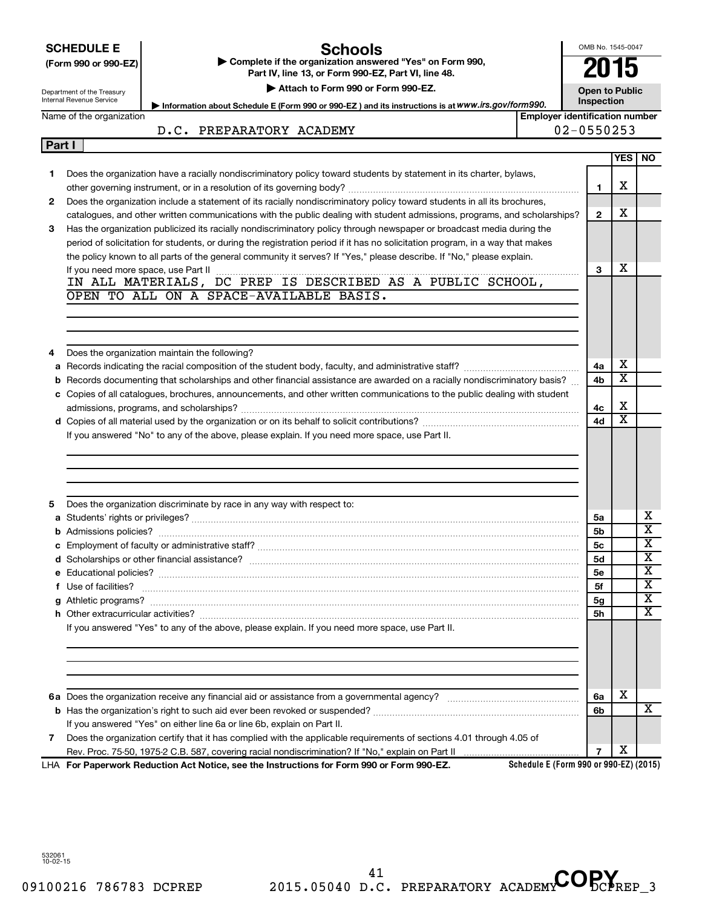|        | <b>SCHEDULE E</b>          | Schools                                                                                                                                                                                                                                                |                                        | OMB No. 1545-0047     |     |                         |
|--------|----------------------------|--------------------------------------------------------------------------------------------------------------------------------------------------------------------------------------------------------------------------------------------------------|----------------------------------------|-----------------------|-----|-------------------------|
|        | (Form 990 or 990-EZ)       | Complete if the organization answered "Yes" on Form 990,<br>Part IV, line 13, or Form 990-EZ, Part VI, line 48.                                                                                                                                        |                                        |                       |     |                         |
|        | Department of the Treasury | Attach to Form 990 or Form 990-EZ.                                                                                                                                                                                                                     |                                        | <b>Open to Public</b> |     |                         |
|        | Internal Revenue Service   | Information about Schedule E (Form 990 or 990-EZ) and its instructions is at WWW.irs.gov/form990.                                                                                                                                                      |                                        | Inspection            |     |                         |
|        | Name of the organization   |                                                                                                                                                                                                                                                        | <b>Employer identification number</b>  |                       |     |                         |
|        |                            | D.C. PREPARATORY ACADEMY                                                                                                                                                                                                                               |                                        | 02-0550253            |     |                         |
| Part I |                            |                                                                                                                                                                                                                                                        |                                        |                       |     |                         |
|        |                            |                                                                                                                                                                                                                                                        |                                        |                       | YES | NO.                     |
| 1      |                            | Does the organization have a racially nondiscriminatory policy toward students by statement in its charter, bylaws,                                                                                                                                    |                                        |                       |     |                         |
|        |                            |                                                                                                                                                                                                                                                        |                                        | $\mathbf{1}$          | х   |                         |
| 2      |                            | Does the organization include a statement of its racially nondiscriminatory policy toward students in all its brochures,                                                                                                                               |                                        |                       |     |                         |
|        |                            | catalogues, and other written communications with the public dealing with student admissions, programs, and scholarships?                                                                                                                              |                                        | $\overline{2}$        | х   |                         |
| 3      |                            | Has the organization publicized its racially nondiscriminatory policy through newspaper or broadcast media during the                                                                                                                                  |                                        |                       |     |                         |
|        |                            | period of solicitation for students, or during the registration period if it has no solicitation program, in a way that makes<br>the policy known to all parts of the general community it serves? If "Yes," please describe. If "No," please explain. |                                        |                       |     |                         |
|        |                            |                                                                                                                                                                                                                                                        |                                        | 3                     | х   |                         |
|        |                            | If you need more space, use Part II $\ldots$ $\ldots$ $\ldots$ $\ldots$ $\ldots$ $\ldots$ $\ldots$ $\ldots$ $\ldots$ $\ldots$ $\ldots$ $\ldots$ $\ldots$<br>IN ALL MATERIALS, DC PREP IS DESCRIBED AS A PUBLIC SCHOOL,                                 |                                        |                       |     |                         |
|        |                            | OPEN TO ALL ON A SPACE-AVAILABLE BASIS.                                                                                                                                                                                                                |                                        |                       |     |                         |
|        |                            |                                                                                                                                                                                                                                                        |                                        |                       |     |                         |
|        |                            |                                                                                                                                                                                                                                                        |                                        |                       |     |                         |
|        |                            |                                                                                                                                                                                                                                                        |                                        |                       |     |                         |
|        |                            | Does the organization maintain the following?                                                                                                                                                                                                          |                                        |                       |     |                         |
| a      |                            |                                                                                                                                                                                                                                                        |                                        | 4a                    | х   |                         |
|        |                            | <b>b</b> Records documenting that scholarships and other financial assistance are awarded on a racially nondiscriminatory basis?                                                                                                                       |                                        | 4b                    | X   |                         |
|        |                            | c Copies of all catalogues, brochures, announcements, and other written communications to the public dealing with student                                                                                                                              |                                        |                       |     |                         |
|        |                            |                                                                                                                                                                                                                                                        |                                        | 4c                    | х   |                         |
|        |                            |                                                                                                                                                                                                                                                        |                                        | 4d                    | X   |                         |
|        |                            | If you answered "No" to any of the above, please explain. If you need more space, use Part II.                                                                                                                                                         |                                        |                       |     |                         |
|        |                            |                                                                                                                                                                                                                                                        |                                        |                       |     |                         |
|        |                            |                                                                                                                                                                                                                                                        |                                        |                       |     |                         |
|        |                            |                                                                                                                                                                                                                                                        |                                        |                       |     |                         |
|        |                            |                                                                                                                                                                                                                                                        |                                        |                       |     |                         |
| 5      |                            | Does the organization discriminate by race in any way with respect to:                                                                                                                                                                                 |                                        |                       |     |                         |
|        |                            |                                                                                                                                                                                                                                                        |                                        | 5a                    |     | x                       |
|        |                            |                                                                                                                                                                                                                                                        |                                        | 5b                    |     | $\overline{\textbf{x}}$ |
|        |                            |                                                                                                                                                                                                                                                        |                                        | 5c                    |     | $\overline{\mathtt{x}}$ |
|        |                            |                                                                                                                                                                                                                                                        |                                        | 5d                    |     | $\overline{\textbf{x}}$ |
|        |                            |                                                                                                                                                                                                                                                        |                                        | <b>5e</b>             |     | х                       |
|        | f Use of facilities?       |                                                                                                                                                                                                                                                        |                                        | 5f                    |     | х                       |
|        |                            |                                                                                                                                                                                                                                                        |                                        | 5g                    |     | х<br>х                  |
|        |                            |                                                                                                                                                                                                                                                        |                                        | 5h                    |     |                         |
|        |                            | If you answered "Yes" to any of the above, please explain. If you need more space, use Part II.                                                                                                                                                        |                                        |                       |     |                         |
|        |                            |                                                                                                                                                                                                                                                        |                                        |                       |     |                         |
|        |                            |                                                                                                                                                                                                                                                        |                                        |                       |     |                         |
|        |                            |                                                                                                                                                                                                                                                        |                                        |                       |     |                         |
|        |                            |                                                                                                                                                                                                                                                        |                                        | 6а                    | x   |                         |
|        |                            |                                                                                                                                                                                                                                                        |                                        | 6b                    |     | x                       |
|        |                            | If you answered "Yes" on either line 6a or line 6b, explain on Part II.                                                                                                                                                                                |                                        |                       |     |                         |
| 7      |                            | Does the organization certify that it has complied with the applicable requirements of sections 4.01 through 4.05 of                                                                                                                                   |                                        |                       |     |                         |
|        |                            |                                                                                                                                                                                                                                                        |                                        | $\overline{7}$        | х   |                         |
|        |                            | LHA For Paperwork Reduction Act Notice, see the Instructions for Form 990 or Form 990-EZ.                                                                                                                                                              | Schedule E (Form 990 or 990-EZ) (2015) |                       |     |                         |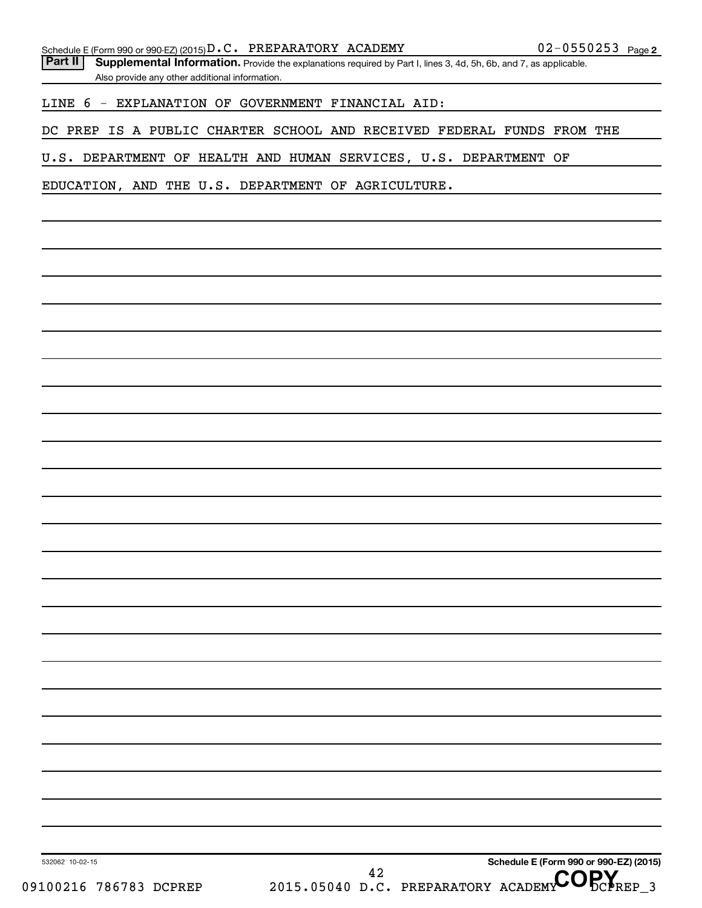Part II | Supplemental Information. Provide the explanations required by Part I, lines 3, 4d, 5h, 6b, and 7, as applicable. Also provide any other additional information.

LINE 6 - EXPLANATION OF GOVERNMENT FINANCIAL AID:

DC PREP IS A PUBLIC CHARTER SCHOOL AND RECEIVED FEDERAL FUNDS FROM THE

U.S. DEPARTMENT OF HEALTH AND HUMAN SERVICES, U.S. DEPARTMENT OF

EDUCATION, AND THE U.S. DEPARTMENT OF AGRICULTURE.

**Schedule E (Form 990 or 990-EZ) (2015)** <sup>42</sup> D.C. PREPARATORY ACADEMY COPY

09100216 786783 DCPREP 2015.05040 D.C. PREPARATORY ACADEMY DCPREP 3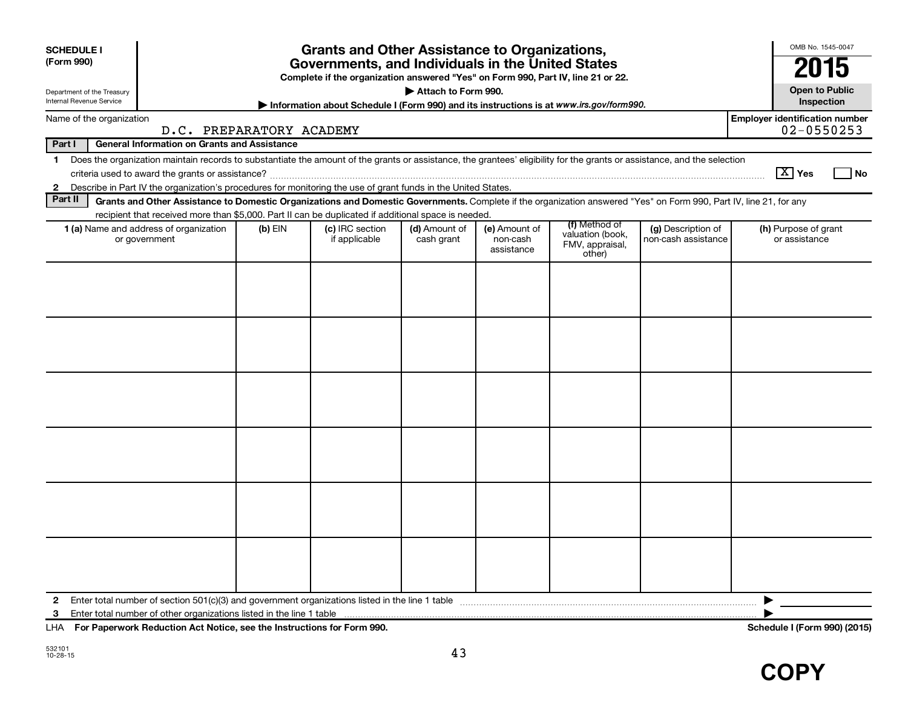| <b>SCHEDULE I</b><br>(Form 990)<br>Internal Revenue Service | Department of the Treasury |                                                                                                                                                                          |           | <b>Grants and Other Assistance to Organizations,</b><br>Governments, and Individuals in the United States<br>Complete if the organization answered "Yes" on Form 990, Part IV, line 21 or 22.<br>Information about Schedule I (Form 990) and its instructions is at www.irs.gov/form990. | Attach to Form 990.         |                                         |                                               |                                           | OMB No. 1545-0047<br><b>Open to Public</b><br>Inspection |
|-------------------------------------------------------------|----------------------------|--------------------------------------------------------------------------------------------------------------------------------------------------------------------------|-----------|------------------------------------------------------------------------------------------------------------------------------------------------------------------------------------------------------------------------------------------------------------------------------------------|-----------------------------|-----------------------------------------|-----------------------------------------------|-------------------------------------------|----------------------------------------------------------|
|                                                             | Name of the organization   |                                                                                                                                                                          |           |                                                                                                                                                                                                                                                                                          |                             |                                         |                                               |                                           | <b>Employer identification number</b>                    |
|                                                             |                            | D.C. PREPARATORY ACADEMY                                                                                                                                                 |           |                                                                                                                                                                                                                                                                                          |                             |                                         |                                               |                                           | $02 - 0550253$                                           |
| Part I                                                      |                            | <b>General Information on Grants and Assistance</b>                                                                                                                      |           |                                                                                                                                                                                                                                                                                          |                             |                                         |                                               |                                           |                                                          |
| $\mathbf 1$                                                 |                            | Does the organization maintain records to substantiate the amount of the grants or assistance, the grantees' eligibility for the grants or assistance, and the selection |           |                                                                                                                                                                                                                                                                                          |                             |                                         |                                               |                                           | $\boxed{\text{X}}$ Yes<br>l No                           |
| $\mathbf{2}$                                                |                            | Describe in Part IV the organization's procedures for monitoring the use of grant funds in the United States.                                                            |           |                                                                                                                                                                                                                                                                                          |                             |                                         |                                               |                                           |                                                          |
| Part II                                                     |                            | Grants and Other Assistance to Domestic Organizations and Domestic Governments. Complete if the organization answered "Yes" on Form 990, Part IV, line 21, for any       |           |                                                                                                                                                                                                                                                                                          |                             |                                         |                                               |                                           |                                                          |
|                                                             |                            | recipient that received more than \$5,000. Part II can be duplicated if additional space is needed.                                                                      |           |                                                                                                                                                                                                                                                                                          |                             |                                         | (f) Method of                                 |                                           |                                                          |
|                                                             |                            | 1 (a) Name and address of organization<br>or government                                                                                                                  | $(b)$ EIN | (c) IRC section<br>if applicable                                                                                                                                                                                                                                                         | (d) Amount of<br>cash grant | (e) Amount of<br>non-cash<br>assistance | valuation (book,<br>FMV, appraisal,<br>other) | (g) Description of<br>non-cash assistance | (h) Purpose of grant<br>or assistance                    |
|                                                             |                            |                                                                                                                                                                          |           |                                                                                                                                                                                                                                                                                          |                             |                                         |                                               |                                           |                                                          |
| $\mathbf{2}$<br>3                                           |                            | Enter total number of other organizations listed in the line 1 table                                                                                                     |           |                                                                                                                                                                                                                                                                                          |                             |                                         |                                               |                                           | ▶                                                        |

**For Paperwork Reduction Act Notice, see the Instructions for Form 990. Schedule I (Form 990) (2015)** LHA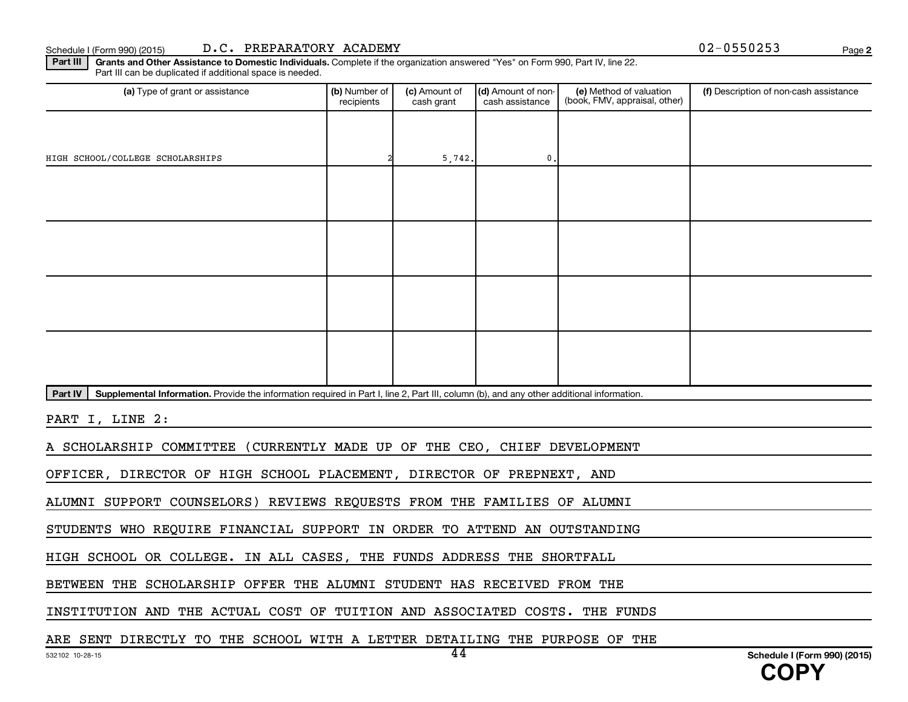#### Schedule I (Form 990) (2015) D.C. PREPARATORY ACADEMY **Depart of the CONTACT CONTACT CONTACT CONTACT CONTACT CONT**

**2**

Part III | Grants and Other Assistance to Domestic Individuals. Complete if the organization answered "Yes" on Form 990, Part IV, line 22. Part III can be duplicated if additional space is needed.

| (a) Type of grant or assistance                                                                                                                      | (b) Number of<br>recipients | (c) Amount of<br>cash grant | (d) Amount of non-<br>cash assistance | (e) Method of valuation<br>(book, FMV, appraisal, other) | (f) Description of non-cash assistance |
|------------------------------------------------------------------------------------------------------------------------------------------------------|-----------------------------|-----------------------------|---------------------------------------|----------------------------------------------------------|----------------------------------------|
|                                                                                                                                                      |                             |                             |                                       |                                                          |                                        |
| HIGH SCHOOL/COLLEGE SCHOLARSHIPS                                                                                                                     |                             | 5,742.                      | 0.                                    |                                                          |                                        |
|                                                                                                                                                      |                             |                             |                                       |                                                          |                                        |
|                                                                                                                                                      |                             |                             |                                       |                                                          |                                        |
|                                                                                                                                                      |                             |                             |                                       |                                                          |                                        |
|                                                                                                                                                      |                             |                             |                                       |                                                          |                                        |
|                                                                                                                                                      |                             |                             |                                       |                                                          |                                        |
|                                                                                                                                                      |                             |                             |                                       |                                                          |                                        |
|                                                                                                                                                      |                             |                             |                                       |                                                          |                                        |
|                                                                                                                                                      |                             |                             |                                       |                                                          |                                        |
| Part IV<br>Supplemental Information. Provide the information required in Part I, line 2, Part III, column (b), and any other additional information. |                             |                             |                                       |                                                          |                                        |
| PART I, LINE 2:                                                                                                                                      |                             |                             |                                       |                                                          |                                        |
| A SCHOLARSHIP COMMITTEE (CURRENTLY MADE UP OF THE CEO, CHIEF DEVELOPMENT                                                                             |                             |                             |                                       |                                                          |                                        |
| OFFICER, DIRECTOR OF HIGH SCHOOL PLACEMENT, DIRECTOR OF PREPNEXT, AND                                                                                |                             |                             |                                       |                                                          |                                        |
| ALUMNI SUPPORT COUNSELORS) REVIEWS REQUESTS FROM THE FAMILIES OF ALUMNI                                                                              |                             |                             |                                       |                                                          |                                        |
| STUDENTS WHO REQUIRE FINANCIAL SUPPORT IN ORDER TO ATTEND AN OUTSTANDING                                                                             |                             |                             |                                       |                                                          |                                        |
| HIGH SCHOOL OR COLLEGE. IN ALL CASES, THE FUNDS ADDRESS THE SHORTFALL                                                                                |                             |                             |                                       |                                                          |                                        |
| BETWEEN THE SCHOLARSHIP OFFER THE ALUMNI STUDENT HAS RECEIVED FROM THE                                                                               |                             |                             |                                       |                                                          |                                        |
| INSTITUTION AND THE ACTUAL COST OF TUITION AND ASSOCIATED COSTS. THE FUNDS                                                                           |                             |                             |                                       |                                                          |                                        |

ARE SENT DIRECTLY TO THE SCHOOL WITH A LETTER DETAILING THE PURPOSE OF THE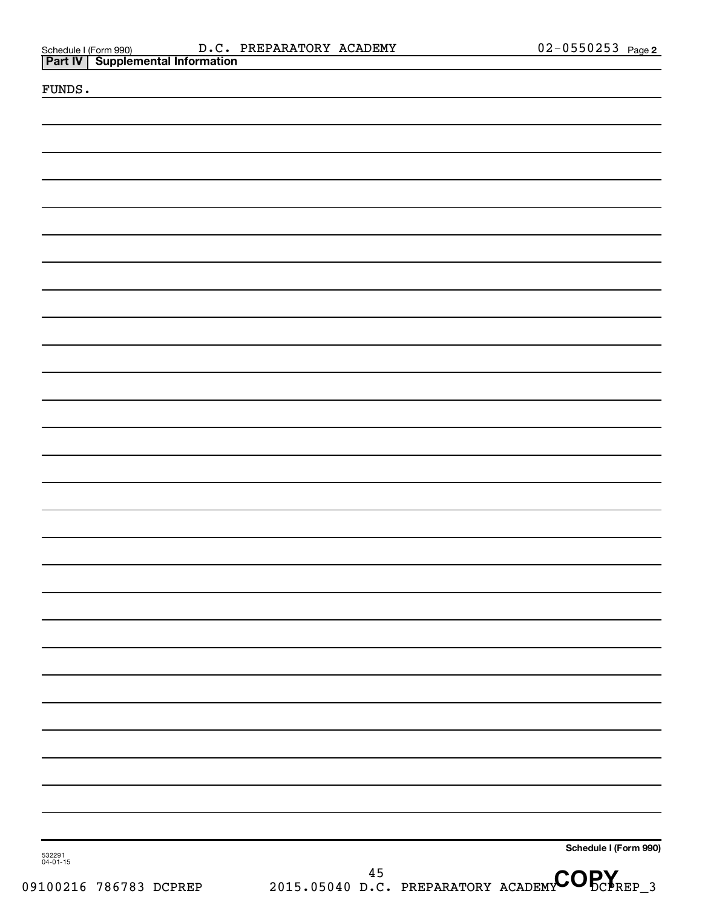| Schedule I (Form 990) |                                           | $D.C.$ 1 |
|-----------------------|-------------------------------------------|----------|
|                       | <b>Part IV   Supplemental Information</b> |          |

|  |  | FUNDS |  |  |
|--|--|-------|--|--|
|--|--|-------|--|--|

**Schedule I (Form 990)**

532291 04-01-15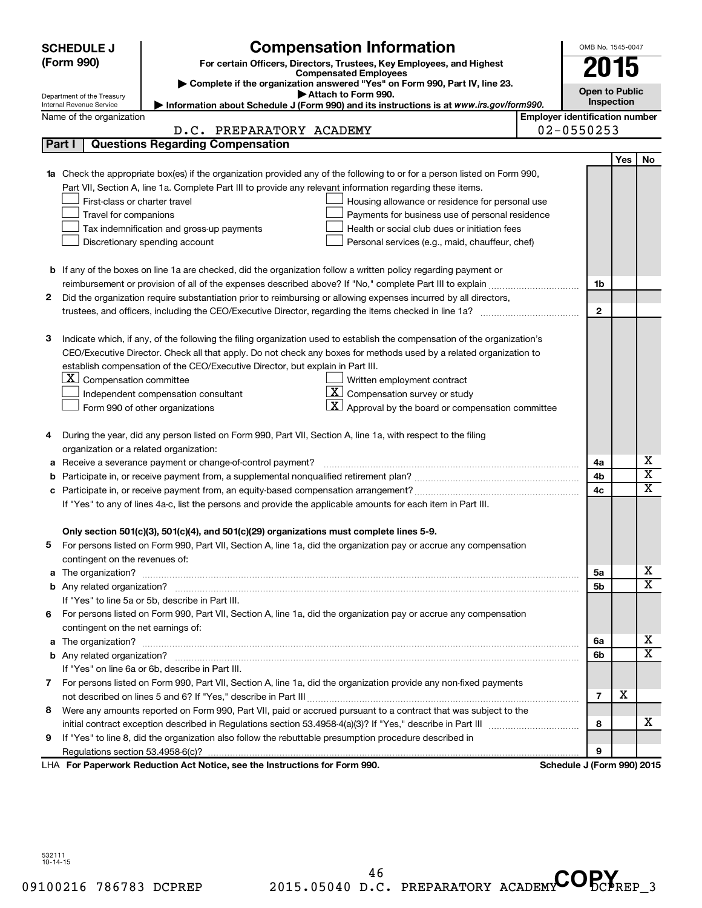|        | <b>SCHEDULE J</b>                     | <b>Compensation Information</b>                                                                                           |                                       | OMB No. 1545-0047          |     |                         |  |
|--------|---------------------------------------|---------------------------------------------------------------------------------------------------------------------------|---------------------------------------|----------------------------|-----|-------------------------|--|
|        | (Form 990)                            | For certain Officers, Directors, Trustees, Key Employees, and Highest                                                     |                                       |                            |     |                         |  |
|        |                                       | <b>Compensated Employees</b>                                                                                              |                                       | 2015                       |     |                         |  |
|        | Department of the Treasury            | Complete if the organization answered "Yes" on Form 990, Part IV, line 23.<br>Attach to Form 990.                         |                                       | <b>Open to Public</b>      |     |                         |  |
|        | Internal Revenue Service              | Information about Schedule J (Form 990) and its instructions is at www.irs.gov/form990.                                   |                                       | <b>Inspection</b>          |     |                         |  |
|        | Name of the organization              |                                                                                                                           | <b>Employer identification number</b> |                            |     |                         |  |
|        |                                       | D.C. PREPARATORY ACADEMY                                                                                                  |                                       | $02 - 0550253$             |     |                         |  |
| Part I |                                       | <b>Questions Regarding Compensation</b>                                                                                   |                                       |                            |     |                         |  |
|        |                                       |                                                                                                                           |                                       |                            | Yes | <b>No</b>               |  |
|        |                                       | Check the appropriate box(es) if the organization provided any of the following to or for a person listed on Form 990,    |                                       |                            |     |                         |  |
|        |                                       | Part VII, Section A, line 1a. Complete Part III to provide any relevant information regarding these items.                |                                       |                            |     |                         |  |
|        | First-class or charter travel         | Housing allowance or residence for personal use                                                                           |                                       |                            |     |                         |  |
|        | Travel for companions                 | Payments for business use of personal residence                                                                           |                                       |                            |     |                         |  |
|        |                                       | Health or social club dues or initiation fees<br>Tax indemnification and gross-up payments                                |                                       |                            |     |                         |  |
|        |                                       | Discretionary spending account<br>Personal services (e.g., maid, chauffeur, chef)                                         |                                       |                            |     |                         |  |
|        |                                       |                                                                                                                           |                                       |                            |     |                         |  |
|        |                                       | <b>b</b> If any of the boxes on line 1a are checked, did the organization follow a written policy regarding payment or    |                                       |                            |     |                         |  |
|        |                                       |                                                                                                                           |                                       | 1b                         |     |                         |  |
| 2      |                                       | Did the organization require substantiation prior to reimbursing or allowing expenses incurred by all directors,          |                                       | $\mathbf{2}$               |     |                         |  |
|        |                                       |                                                                                                                           |                                       |                            |     |                         |  |
| з      |                                       | Indicate which, if any, of the following the filing organization used to establish the compensation of the organization's |                                       |                            |     |                         |  |
|        |                                       | CEO/Executive Director. Check all that apply. Do not check any boxes for methods used by a related organization to        |                                       |                            |     |                         |  |
|        |                                       | establish compensation of the CEO/Executive Director, but explain in Part III.                                            |                                       |                            |     |                         |  |
|        | $ \mathbf{X} $ Compensation committee | Written employment contract                                                                                               |                                       |                            |     |                         |  |
|        |                                       | $ \mathbf{X} $ Compensation survey or study<br>Independent compensation consultant                                        |                                       |                            |     |                         |  |
|        |                                       | $\mathbf{X}$ Approval by the board or compensation committee<br>Form 990 of other organizations                           |                                       |                            |     |                         |  |
|        |                                       |                                                                                                                           |                                       |                            |     |                         |  |
| 4      |                                       | During the year, did any person listed on Form 990, Part VII, Section A, line 1a, with respect to the filing              |                                       |                            |     |                         |  |
|        |                                       | organization or a related organization:                                                                                   |                                       |                            |     |                         |  |
| а      |                                       | Receive a severance payment or change-of-control payment?                                                                 |                                       | 4a                         |     | х                       |  |
| b      |                                       |                                                                                                                           |                                       | 4b                         |     | $\overline{\mathbf{X}}$ |  |
|        |                                       |                                                                                                                           |                                       | 4c                         |     | X                       |  |
|        |                                       | If "Yes" to any of lines 4a-c, list the persons and provide the applicable amounts for each item in Part III.             |                                       |                            |     |                         |  |
|        |                                       |                                                                                                                           |                                       |                            |     |                         |  |
|        |                                       | Only section 501(c)(3), 501(c)(4), and 501(c)(29) organizations must complete lines 5-9.                                  |                                       |                            |     |                         |  |
|        |                                       | For persons listed on Form 990, Part VII, Section A, line 1a, did the organization pay or accrue any compensation         |                                       |                            |     |                         |  |
|        | contingent on the revenues of:        |                                                                                                                           |                                       |                            |     |                         |  |
| a      |                                       |                                                                                                                           |                                       | 5а                         |     | x                       |  |
|        |                                       |                                                                                                                           |                                       | 5b                         |     | $\overline{\mathtt{x}}$ |  |
|        |                                       | If "Yes" to line 5a or 5b, describe in Part III.                                                                          |                                       |                            |     |                         |  |
| 6.     |                                       | For persons listed on Form 990, Part VII, Section A, line 1a, did the organization pay or accrue any compensation         |                                       |                            |     |                         |  |
|        | contingent on the net earnings of:    |                                                                                                                           |                                       |                            |     |                         |  |
| a      |                                       |                                                                                                                           |                                       | 6a                         |     | x                       |  |
|        |                                       |                                                                                                                           |                                       | 6b                         |     | $\overline{\texttt{x}}$ |  |
|        |                                       | If "Yes" on line 6a or 6b, describe in Part III.                                                                          |                                       |                            |     |                         |  |
|        |                                       | 7 For persons listed on Form 990, Part VII, Section A, line 1a, did the organization provide any non-fixed payments       |                                       |                            |     |                         |  |
|        |                                       |                                                                                                                           |                                       | $\overline{7}$             | X   |                         |  |
| 8      |                                       | Were any amounts reported on Form 990, Part VII, paid or accrued pursuant to a contract that was subject to the           |                                       |                            |     |                         |  |
|        |                                       |                                                                                                                           |                                       | 8                          |     | x                       |  |
| 9      |                                       | If "Yes" to line 8, did the organization also follow the rebuttable presumption procedure described in                    |                                       |                            |     |                         |  |
|        |                                       |                                                                                                                           |                                       | 9                          |     |                         |  |
|        |                                       | LHA For Paperwork Reduction Act Notice, see the Instructions for Form 990.                                                |                                       | Schedule J (Form 990) 2015 |     |                         |  |

532111 10-14-15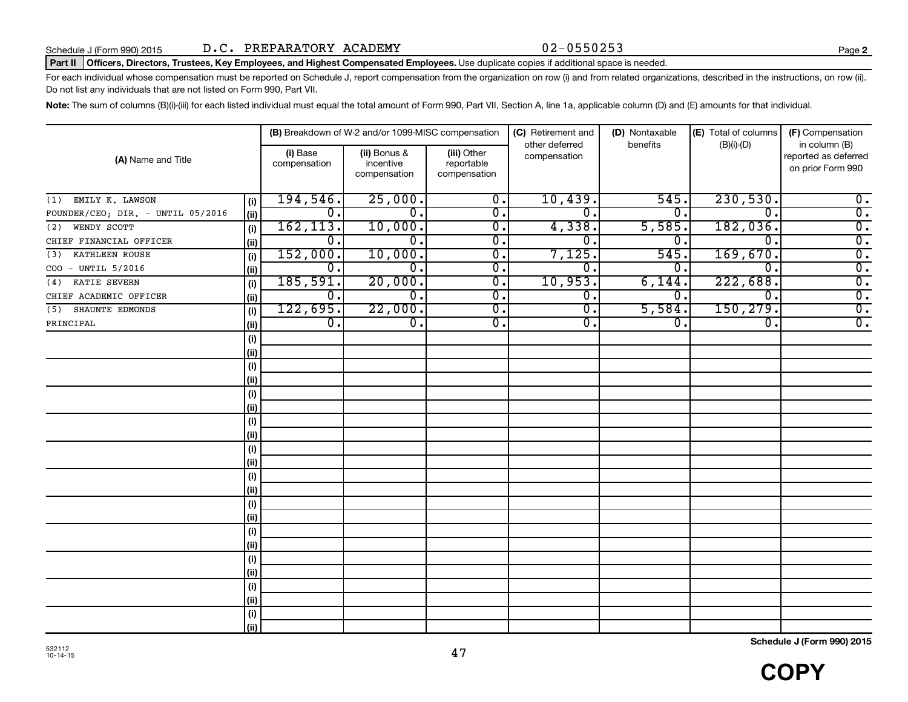#### Part II | Officers, Directors, Trustees, Key Employees, and Highest Compensated Employees. Use duplicate copies if additional space is needed.

For each individual whose compensation must be reported on Schedule J, report compensation from the organization on row (i) and from related organizations, described in the instructions, on row (ii). Do not list any individuals that are not listed on Form 990, Part VII.

Note: The sum of columns (B)(i)-(iii) for each listed individual must equal the total amount of Form 990, Part VII, Section A, line 1a, applicable column (D) and (E) amounts for that individual.

|                                   |      |                          | (B) Breakdown of W-2 and/or 1099-MISC compensation |                                           | (C) Retirement and             | (D) Nontaxable   | (E) Total of columns | (F) Compensation                                           |
|-----------------------------------|------|--------------------------|----------------------------------------------------|-------------------------------------------|--------------------------------|------------------|----------------------|------------------------------------------------------------|
| (A) Name and Title                |      | (i) Base<br>compensation | (ii) Bonus &<br>incentive<br>compensation          | (iii) Other<br>reportable<br>compensation | other deferred<br>compensation | benefits         | $(B)(i)-(D)$         | in column (B)<br>reported as deferred<br>on prior Form 990 |
| EMILY K. LAWSON<br>(1)            | (i)  | 194,546.                 | 25,000.                                            | $\overline{0}$ .                          | 10,439.                        | 545.             | 230,530.             | $\overline{0}$ .                                           |
| FOUNDER/CEO; DIR. - UNTIL 05/2016 | (ii) | $\overline{0}$ .         | $\overline{0}$ .                                   | $\overline{0}$ .                          | $\overline{0}$                 | σ.               | $\overline{0}$ .     | $\overline{0}$ .                                           |
| WENDY SCOTT<br>(2)                | (i)  | 162, 113.                | 10,000.                                            | $\overline{0}$ .                          | 4,338.                         | 5,585.           | 182,036.             | $\overline{0}$ .                                           |
| CHIEF FINANCIAL OFFICER           | (ii) | $\overline{0}$ .         | $\overline{0}$ .                                   | $\overline{0}$ .                          | 0                              | 0,               | $\overline{0}$ .     | $\overline{0}$ .                                           |
| KATHLEEN ROUSE<br>(3)             | (i)  | 152,000.                 | 10,000.                                            | $\overline{0}$ .                          | 7,125.                         | 545.             | 169,670.             | $\overline{\mathbf{0}}$ .                                  |
| COO - UNTIL 5/2016                | (ii) | $\overline{0}$ .         | σ.                                                 | $\overline{0}$ .                          | $\mathbf 0$ .                  | 0.               | $\overline{0}$ .     | $\overline{\mathbf{0}}$ .                                  |
| KATIE SEVERN<br>(4)               | (i)  | 185,591.                 | 20,000.                                            | $\overline{0}$ .                          | 10,953.                        | 6,144.           | 222,688.             | $\overline{\mathbf{0}}$ .                                  |
| CHIEF ACADEMIC OFFICER            | (ii) | $\overline{0}$ .         | $\overline{0}$ .                                   | $\overline{0}$ .                          | О.                             | 0.               | $\overline{0}$ .     | $\overline{0}$ .                                           |
| SHAUNTE EDMONDS<br>(5)            | (i)  | 122,695.                 | 22,000.                                            | σ.                                        | $\overline{0}$ .               | 5,584.           | 150,279.             | $\overline{0}$ .                                           |
| PRINCIPAL                         | (ii) | σ.                       | σ.                                                 | σ.                                        | О.                             | $\overline{0}$ . | $\overline{0}$ .     | $\overline{0}$ .                                           |
|                                   | (i)  |                          |                                                    |                                           |                                |                  |                      |                                                            |
|                                   | (ii) |                          |                                                    |                                           |                                |                  |                      |                                                            |
|                                   | (i)  |                          |                                                    |                                           |                                |                  |                      |                                                            |
|                                   | (ii) |                          |                                                    |                                           |                                |                  |                      |                                                            |
|                                   | (i)  |                          |                                                    |                                           |                                |                  |                      |                                                            |
|                                   | (ii) |                          |                                                    |                                           |                                |                  |                      |                                                            |
|                                   | (i)  |                          |                                                    |                                           |                                |                  |                      |                                                            |
|                                   | (ii) |                          |                                                    |                                           |                                |                  |                      |                                                            |
|                                   | (i)  |                          |                                                    |                                           |                                |                  |                      |                                                            |
|                                   | (ii) |                          |                                                    |                                           |                                |                  |                      |                                                            |
|                                   | (i)  |                          |                                                    |                                           |                                |                  |                      |                                                            |
|                                   | (ii) |                          |                                                    |                                           |                                |                  |                      |                                                            |
|                                   | (i)  |                          |                                                    |                                           |                                |                  |                      |                                                            |
|                                   | (ii) |                          |                                                    |                                           |                                |                  |                      |                                                            |
|                                   | (i)  |                          |                                                    |                                           |                                |                  |                      |                                                            |
|                                   | (ii) |                          |                                                    |                                           |                                |                  |                      |                                                            |
|                                   | (i)  |                          |                                                    |                                           |                                |                  |                      |                                                            |
|                                   | (i)  |                          |                                                    |                                           |                                |                  |                      |                                                            |
|                                   | (i)  |                          |                                                    |                                           |                                |                  |                      |                                                            |
|                                   | (i)  |                          |                                                    |                                           |                                |                  |                      |                                                            |
|                                   | (i)  |                          |                                                    |                                           |                                |                  |                      |                                                            |
|                                   | (ii) |                          |                                                    |                                           |                                |                  |                      |                                                            |

**Schedule J (Form 990) 2015**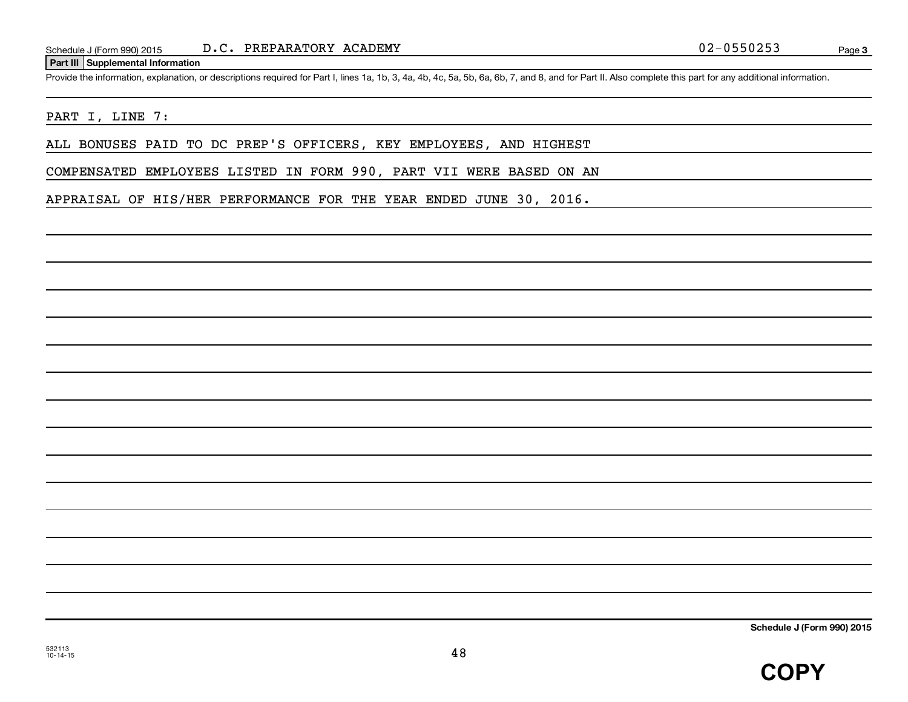#### **Part III Supplemental Information**

Provide the information, explanation, or descriptions required for Part I, lines 1a, 1b, 3, 4a, 4b, 4c, 5a, 5b, 6a, 6b, 7, and 8, and for Part II. Also complete this part for any additional information.

#### PART I, LINE 7:

ALL BONUSES PAID TO DC PREP'S OFFICERS, KEY EMPLOYEES, AND HIGHEST

COMPENSATED EMPLOYEES LISTED IN FORM 990, PART VII WERE BASED ON AN

APPRAISAL OF HIS/HER PERFORMANCE FOR THE YEAR ENDED JUNE 30, 2016.

**Schedule J (Form 990) 2015**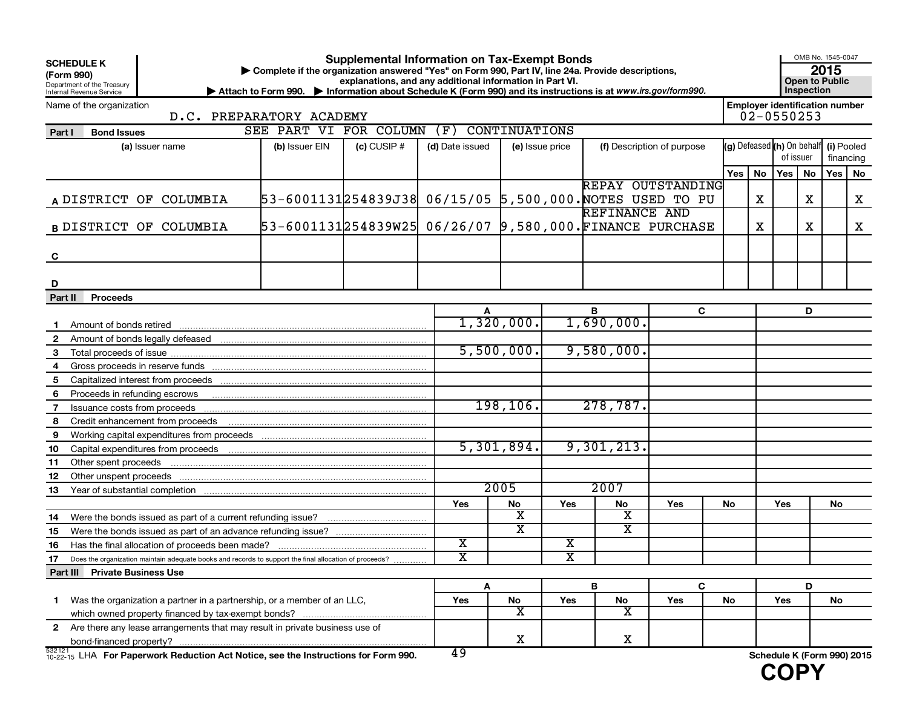| <b>SCHEDULE K</b><br>(Form 990)<br>Department of the Treasury<br>Internal Revenue Service                    | Complete if the organization answered "Yes" on Form 990, Part IV, line 24a. Provide descriptions,<br>> Attach to Form 990. > Information about Schedule K (Form 990) and its instructions is at www.irs.gov/form990. |  | <b>Supplemental Information on Tax-Exempt Bonds</b><br>explanations, and any additional information in Part VI. |                                    |                       |            |                            |     |           |                                                         | OMB No. 1545-0047<br><b>Open to Public</b><br>Inspection | 2015     |   |
|--------------------------------------------------------------------------------------------------------------|----------------------------------------------------------------------------------------------------------------------------------------------------------------------------------------------------------------------|--|-----------------------------------------------------------------------------------------------------------------|------------------------------------|-----------------------|------------|----------------------------|-----|-----------|---------------------------------------------------------|----------------------------------------------------------|----------|---|
| Name of the organization<br>D.C. PREPARATORY ACADEMY                                                         |                                                                                                                                                                                                                      |  |                                                                                                                 |                                    |                       |            |                            |     |           | <b>Employer identification number</b><br>$02 - 0550253$ |                                                          |          |   |
| <b>Bond Issues</b><br>Part I                                                                                 | SEE PART VI FOR COLUMN                                                                                                                                                                                               |  | (F)                                                                                                             | CONTINUATIONS                      |                       |            |                            |     |           |                                                         |                                                          |          |   |
| (a) Issuer name                                                                                              | $(c)$ CUSIP #<br>(b) Issuer EIN                                                                                                                                                                                      |  |                                                                                                                 | (d) Date issued<br>(e) Issue price |                       |            | (f) Description of purpose |     | of issuer | (g) Defeased (h) On behalf (i) Pooled<br>financing      |                                                          |          |   |
|                                                                                                              |                                                                                                                                                                                                                      |  |                                                                                                                 |                                    |                       |            |                            | Yes | No        | Yes                                                     | No                                                       | Yes   No |   |
| A DISTRICT OF COLUMBIA                                                                                       | 53-6001131254839J38  06/15/05  5,500,000. NOTES USED TO PU                                                                                                                                                           |  |                                                                                                                 |                                    |                       |            | REPAY OUTSTANDING          |     | x         |                                                         | X                                                        |          | X |
|                                                                                                              |                                                                                                                                                                                                                      |  |                                                                                                                 |                                    |                       |            | REFINANCE AND              |     |           |                                                         |                                                          |          |   |
| <b>B DISTRICT OF COLUMBIA</b>                                                                                | 53-6001131254839W25 06/26/07 9,580,000. FINANCE PURCHASE                                                                                                                                                             |  |                                                                                                                 |                                    |                       |            |                            |     | x         |                                                         | х                                                        |          | X |
| C                                                                                                            |                                                                                                                                                                                                                      |  |                                                                                                                 |                                    |                       |            |                            |     |           |                                                         |                                                          |          |   |
| D                                                                                                            |                                                                                                                                                                                                                      |  |                                                                                                                 |                                    |                       |            |                            |     |           |                                                         |                                                          |          |   |
| Proceeds<br>Part II                                                                                          |                                                                                                                                                                                                                      |  |                                                                                                                 |                                    |                       |            |                            |     |           |                                                         |                                                          |          |   |
|                                                                                                              |                                                                                                                                                                                                                      |  |                                                                                                                 |                                    |                       | в          | C                          |     |           |                                                         | D                                                        |          |   |
| Amount of bonds retired<br>$\mathbf 1$                                                                       |                                                                                                                                                                                                                      |  |                                                                                                                 | 1,320,000.                         |                       | 1,690,000. |                            |     |           |                                                         |                                                          |          |   |
| $\overline{2}$                                                                                               |                                                                                                                                                                                                                      |  |                                                                                                                 |                                    |                       |            |                            |     |           |                                                         |                                                          |          |   |
| 3                                                                                                            |                                                                                                                                                                                                                      |  |                                                                                                                 | 5,500,000.                         |                       | 9,580,000. |                            |     |           |                                                         |                                                          |          |   |
| 4                                                                                                            |                                                                                                                                                                                                                      |  |                                                                                                                 |                                    |                       |            |                            |     |           |                                                         |                                                          |          |   |
| 5                                                                                                            |                                                                                                                                                                                                                      |  |                                                                                                                 |                                    |                       |            |                            |     |           |                                                         |                                                          |          |   |
| 6<br>Proceeds in refunding escrows                                                                           |                                                                                                                                                                                                                      |  |                                                                                                                 |                                    |                       |            |                            |     |           |                                                         |                                                          |          |   |
| $\overline{7}$<br>Issuance costs from proceeds                                                               |                                                                                                                                                                                                                      |  |                                                                                                                 | 198, 106.                          |                       | 278,787.   |                            |     |           |                                                         |                                                          |          |   |
| 8<br>Credit enhancement from proceeds                                                                        |                                                                                                                                                                                                                      |  |                                                                                                                 |                                    |                       |            |                            |     |           |                                                         |                                                          |          |   |
| 9                                                                                                            |                                                                                                                                                                                                                      |  |                                                                                                                 |                                    |                       |            |                            |     |           |                                                         |                                                          |          |   |
| 10                                                                                                           |                                                                                                                                                                                                                      |  |                                                                                                                 | 5,301,894.                         |                       | 9,301,213. |                            |     |           |                                                         |                                                          |          |   |
| Other spent proceeds<br>11                                                                                   |                                                                                                                                                                                                                      |  |                                                                                                                 |                                    |                       |            |                            |     |           |                                                         |                                                          |          |   |
| 12                                                                                                           |                                                                                                                                                                                                                      |  |                                                                                                                 |                                    |                       |            |                            |     |           |                                                         |                                                          |          |   |
| 13                                                                                                           |                                                                                                                                                                                                                      |  |                                                                                                                 | 2005                               |                       | 2007       |                            |     |           |                                                         |                                                          |          |   |
|                                                                                                              |                                                                                                                                                                                                                      |  | Yes                                                                                                             | No                                 | Yes                   | No         | Yes                        | No  |           | Yes                                                     |                                                          | No       |   |
| Were the bonds issued as part of a current refunding issue?<br>14                                            |                                                                                                                                                                                                                      |  |                                                                                                                 | х                                  |                       | х          |                            |     |           |                                                         |                                                          |          |   |
| 15                                                                                                           |                                                                                                                                                                                                                      |  |                                                                                                                 | $\overline{\texttt{x}}$            |                       | х          |                            |     |           |                                                         |                                                          |          |   |
| Has the final allocation of proceeds been made?<br>16                                                        |                                                                                                                                                                                                                      |  | х                                                                                                               |                                    | х                     |            |                            |     |           |                                                         |                                                          |          |   |
| 17<br>Does the organization maintain adequate books and records to support the final allocation of proceeds? |                                                                                                                                                                                                                      |  | $\overline{\text{x}}$                                                                                           |                                    | $\overline{\text{x}}$ |            |                            |     |           |                                                         |                                                          |          |   |
| Part III Private Business Use                                                                                |                                                                                                                                                                                                                      |  |                                                                                                                 |                                    |                       |            |                            |     |           |                                                         |                                                          |          |   |
|                                                                                                              |                                                                                                                                                                                                                      |  | Α                                                                                                               |                                    |                       | B          | C                          |     |           |                                                         | D                                                        |          |   |
| Was the organization a partner in a partnership, or a member of an LLC,<br>1.                                |                                                                                                                                                                                                                      |  | Yes                                                                                                             | No                                 | Yes                   | ${\sf No}$ | Yes                        | No  |           | Yes                                                     |                                                          | No       |   |
|                                                                                                              |                                                                                                                                                                                                                      |  |                                                                                                                 | х                                  |                       | X          |                            |     |           |                                                         |                                                          |          |   |
| 2 Are there any lease arrangements that may result in private business use of                                |                                                                                                                                                                                                                      |  |                                                                                                                 |                                    |                       |            |                            |     |           |                                                         |                                                          |          |   |
|                                                                                                              |                                                                                                                                                                                                                      |  |                                                                                                                 | x                                  |                       | X          |                            |     |           |                                                         |                                                          |          |   |
| 532121<br>332121 LHA For Paperwork Reduction Act Notice, see the Instructions for Form 990.                  |                                                                                                                                                                                                                      |  | 49                                                                                                              |                                    |                       |            |                            |     |           | Schedule K (Form 990) 2015                              |                                                          |          |   |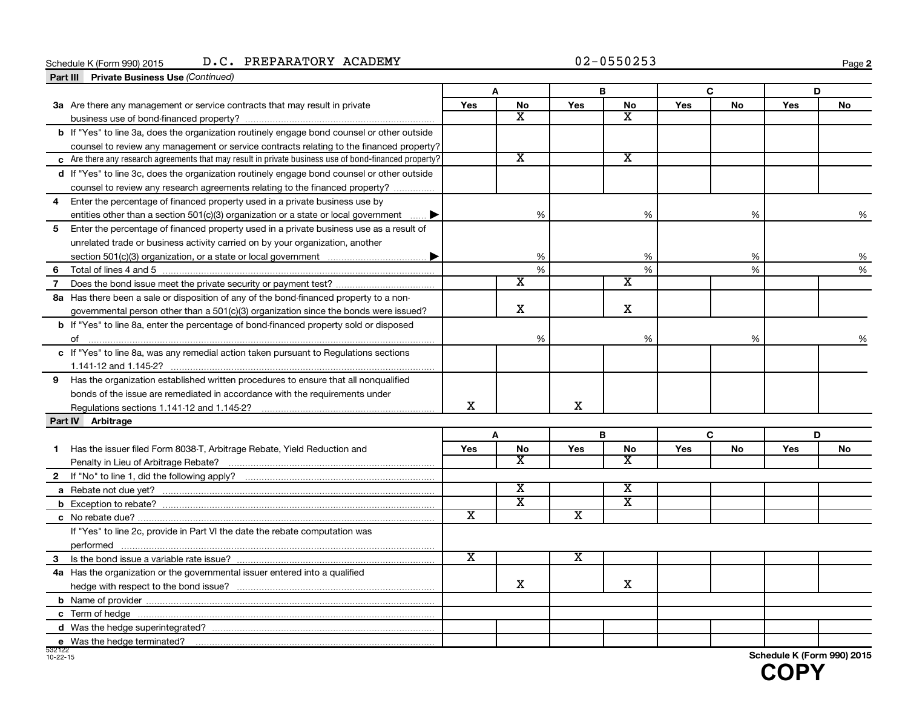#### **Schedule K (Form 990) 2015** Schedule K (Form 990) 2015 D.C. PREPARATORY ACADEMY  $02-0550253$  Page

**2**

| <b>Part III</b> Private Business Use (Continued)                                                       |                             |                         |                         |                         |     |           |            |           |
|--------------------------------------------------------------------------------------------------------|-----------------------------|-------------------------|-------------------------|-------------------------|-----|-----------|------------|-----------|
|                                                                                                        |                             | A                       |                         | B                       |     | C         |            | D         |
| 3a Are there any management or service contracts that may result in private                            | <b>Yes</b>                  | <b>No</b>               | Yes                     | No                      | Yes | <b>No</b> | <b>Yes</b> | <b>No</b> |
|                                                                                                        |                             | $\mathbf{x}$            |                         | $\overline{\texttt{x}}$ |     |           |            |           |
| <b>b</b> If "Yes" to line 3a, does the organization routinely engage bond counsel or other outside     |                             |                         |                         |                         |     |           |            |           |
| counsel to review any management or service contracts relating to the financed property?               |                             |                         |                         |                         |     |           |            |           |
| c Are there any research agreements that may result in private business use of bond-financed property? |                             | $\overline{\texttt{x}}$ |                         | $\overline{\texttt{x}}$ |     |           |            |           |
| d If "Yes" to line 3c, does the organization routinely engage bond counsel or other outside            |                             |                         |                         |                         |     |           |            |           |
| counsel to review any research agreements relating to the financed property?                           |                             |                         |                         |                         |     |           |            |           |
| Enter the percentage of financed property used in a private business use by                            |                             |                         |                         |                         |     |           |            |           |
| entities other than a section 501(c)(3) organization or a state or local government $\ldots$ .         |                             | %                       |                         | %                       |     | %         |            | %         |
| Enter the percentage of financed property used in a private business use as a result of<br>5           |                             |                         |                         |                         |     |           |            |           |
| unrelated trade or business activity carried on by your organization, another                          |                             |                         |                         |                         |     |           |            |           |
|                                                                                                        |                             | %                       |                         | %                       |     | %         |            | %         |
| 6                                                                                                      |                             | %                       |                         | %                       |     | %         |            | %         |
| $\overline{7}$                                                                                         |                             | $\overline{\text{x}}$   |                         | х                       |     |           |            |           |
| 8a Has there been a sale or disposition of any of the bond-financed property to a non-                 |                             |                         |                         |                         |     |           |            |           |
| governmental person other than a $501(c)(3)$ organization since the bonds were issued?                 |                             | X                       |                         | X                       |     |           |            |           |
| <b>b</b> If "Yes" to line 8a, enter the percentage of bond-financed property sold or disposed          |                             |                         |                         |                         |     |           |            |           |
|                                                                                                        |                             | %                       |                         | %                       |     | %         |            | %         |
| c If "Yes" to line 8a, was any remedial action taken pursuant to Regulations sections                  |                             |                         |                         |                         |     |           |            |           |
|                                                                                                        |                             |                         |                         |                         |     |           |            |           |
| Has the organization established written procedures to ensure that all nonqualified<br>9               |                             |                         |                         |                         |     |           |            |           |
| bonds of the issue are remediated in accordance with the requirements under                            |                             |                         |                         |                         |     |           |            |           |
|                                                                                                        | x                           |                         | X                       |                         |     |           |            |           |
| Part IV Arbitrage                                                                                      |                             |                         |                         |                         |     |           |            |           |
|                                                                                                        |                             | A                       |                         | B                       |     | C         |            | D         |
| Has the issuer filed Form 8038-T, Arbitrage Rebate, Yield Reduction and<br>1                           | Yes                         | No                      | Yes                     | No                      | Yes | No        | Yes        | No        |
|                                                                                                        |                             | х                       |                         | $\overline{\textbf{x}}$ |     |           |            |           |
|                                                                                                        |                             |                         |                         |                         |     |           |            |           |
|                                                                                                        |                             | X                       |                         | $\overline{\texttt{x}}$ |     |           |            |           |
|                                                                                                        |                             | $\overline{\textbf{x}}$ |                         | $\overline{\text{x}}$   |     |           |            |           |
|                                                                                                        | $\overline{\textnormal{x}}$ |                         | $\overline{\texttt{x}}$ |                         |     |           |            |           |
| If "Yes" to line 2c, provide in Part VI the date the rebate computation was                            |                             |                         |                         |                         |     |           |            |           |
|                                                                                                        |                             |                         |                         |                         |     |           |            |           |
| 3                                                                                                      | $\overline{\texttt{x}}$     |                         | $\overline{\texttt{x}}$ |                         |     |           |            |           |
| 4a Has the organization or the governmental issuer entered into a qualified                            |                             |                         |                         |                         |     |           |            |           |
|                                                                                                        |                             | X                       |                         | X                       |     |           |            |           |
|                                                                                                        |                             |                         |                         |                         |     |           |            |           |
|                                                                                                        |                             |                         |                         |                         |     |           |            |           |
|                                                                                                        |                             |                         |                         |                         |     |           |            |           |
|                                                                                                        |                             |                         |                         |                         |     |           |            |           |

532122 10-22-15

**Schedule K (Form 990) 2015**

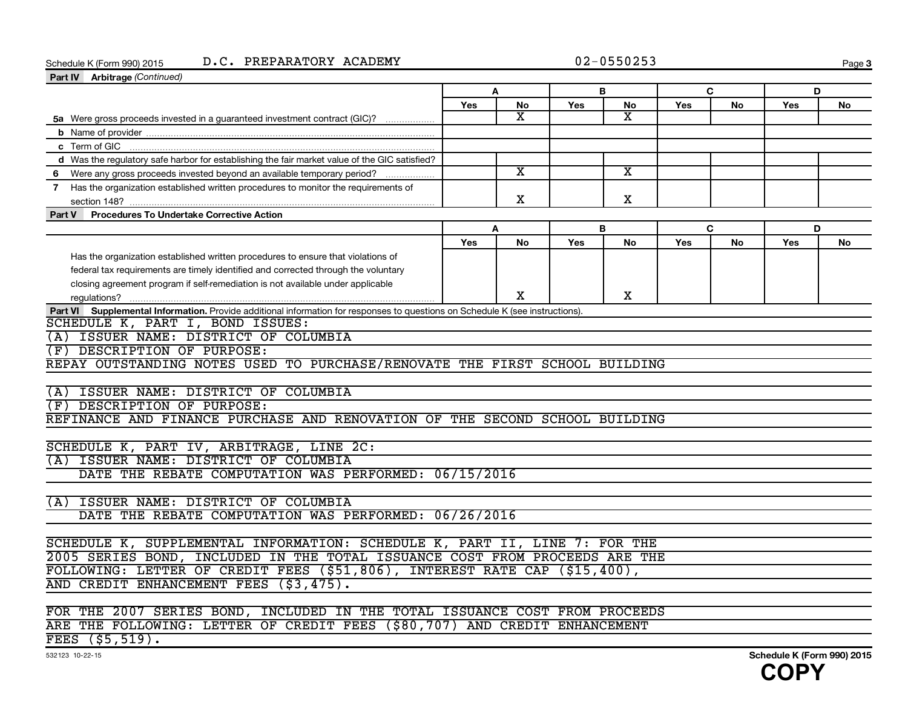**3**

| D.C. PREPARATORY ACADEMY<br>Schedule K (Form 990) 2015<br>Part IV Arbitrage (Continued)                                       |     |                         |            | $02 - 0550253$              |     |           |     | Page      |
|-------------------------------------------------------------------------------------------------------------------------------|-----|-------------------------|------------|-----------------------------|-----|-----------|-----|-----------|
|                                                                                                                               |     | A                       | в          |                             |     | C         | D   |           |
|                                                                                                                               | Yes | No                      | Yes        | No                          | Yes | No        | Yes | No        |
| 5a Were gross proceeds invested in a guaranteed investment contract (GIC)?                                                    |     | X                       |            | $\mathbf{x}$                |     |           |     |           |
|                                                                                                                               |     |                         |            |                             |     |           |     |           |
|                                                                                                                               |     |                         |            |                             |     |           |     |           |
| d Was the regulatory safe harbor for establishing the fair market value of the GIC satisfied?                                 |     |                         |            |                             |     |           |     |           |
| 6 Were any gross proceeds invested beyond an available temporary period?                                                      |     | $\overline{\texttt{x}}$ |            | $\overline{\textnormal{x}}$ |     |           |     |           |
| 7 Has the organization established written procedures to monitor the requirements of                                          |     |                         |            |                             |     |           |     |           |
|                                                                                                                               |     | X                       |            | X                           |     |           |     |           |
| Part V Procedures To Undertake Corrective Action                                                                              |     |                         |            |                             |     |           |     |           |
|                                                                                                                               |     | A                       | B          |                             |     | C         | D   |           |
|                                                                                                                               | Yes | <b>No</b>               | <b>Yes</b> | No                          | Yes | <b>No</b> | Yes | <b>No</b> |
| Has the organization established written procedures to ensure that violations of                                              |     |                         |            |                             |     |           |     |           |
| federal tax requirements are timely identified and corrected through the voluntary                                            |     |                         |            |                             |     |           |     |           |
| closing agreement program if self-remediation is not available under applicable                                               |     |                         |            |                             |     |           |     |           |
|                                                                                                                               |     | х                       |            | х                           |     |           |     |           |
| Part VI Supplemental Information. Provide additional information for responses to questions on Schedule K (see instructions). |     |                         |            |                             |     |           |     |           |
| SCHEDULE K, PART I, BOND ISSUES:                                                                                              |     |                         |            |                             |     |           |     |           |
| (A) ISSUER NAME: DISTRICT OF COLUMBIA                                                                                         |     |                         |            |                             |     |           |     |           |
| DESCRIPTION OF PURPOSE:<br>F)                                                                                                 |     |                         |            |                             |     |           |     |           |
| REPAY OUTSTANDING NOTES USED TO PURCHASE/RENOVATE THE FIRST SCHOOL BUILDING                                                   |     |                         |            |                             |     |           |     |           |
|                                                                                                                               |     |                         |            |                             |     |           |     |           |
| (A) ISSUER NAME: DISTRICT OF COLUMBIA                                                                                         |     |                         |            |                             |     |           |     |           |
| (F) DESCRIPTION OF PURPOSE:                                                                                                   |     |                         |            |                             |     |           |     |           |
| REFINANCE AND FINANCE PURCHASE AND RENOVATION OF THE SECOND SCHOOL BUILDING                                                   |     |                         |            |                             |     |           |     |           |
|                                                                                                                               |     |                         |            |                             |     |           |     |           |
| SCHEDULE K, PART IV, ARBITRAGE, LINE 2C:                                                                                      |     |                         |            |                             |     |           |     |           |
| (A) ISSUER NAME: DISTRICT OF COLUMBIA                                                                                         |     |                         |            |                             |     |           |     |           |
|                                                                                                                               |     |                         |            |                             |     |           |     |           |
| DATE THE REBATE COMPUTATION WAS PERFORMED: 06/15/2016                                                                         |     |                         |            |                             |     |           |     |           |
|                                                                                                                               |     |                         |            |                             |     |           |     |           |
| ISSUER NAME: DISTRICT OF COLUMBIA<br>(A)                                                                                      |     |                         |            |                             |     |           |     |           |
| DATE THE REBATE COMPUTATION WAS PERFORMED: 06/26/2016                                                                         |     |                         |            |                             |     |           |     |           |
|                                                                                                                               |     |                         |            |                             |     |           |     |           |
| SCHEDULE K, SUPPLEMENTAL INFORMATION: SCHEDULE K, PART II, LINE 7: FOR THE                                                    |     |                         |            |                             |     |           |     |           |
| 2005 SERIES BOND, INCLUDED IN THE TOTAL ISSUANCE COST FROM PROCEEDS ARE THE                                                   |     |                         |            |                             |     |           |     |           |
| FOLLOWING: LETTER OF CREDIT FEES (\$51,806), INTEREST RATE CAP (\$15,400),<br>AND CREDIT ENHANCEMENT FEES (\$3,475).          |     |                         |            |                             |     |           |     |           |

ARE THE FOLLOWING: LETTER OF CREDIT FEES (\$80,707) AND CREDIT ENHANCEMENT

FEES (\$5,519).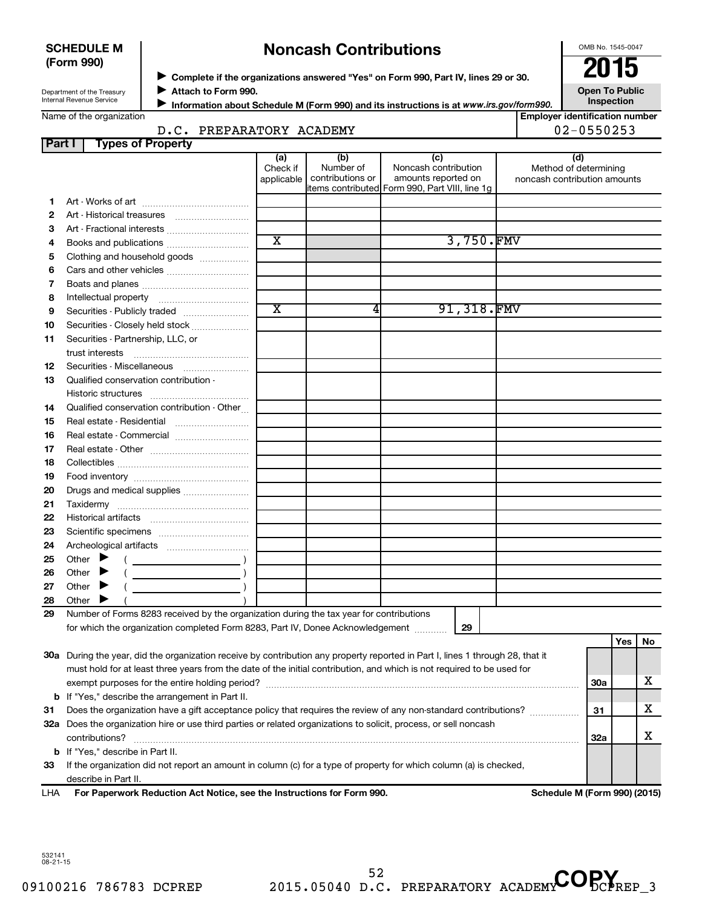| <b>SCHEDULE M</b> |  |
|-------------------|--|
| (Form 990)        |  |

## **Noncash Contributions**

OMB No. 1545-0047

| Department of the Treasury |
|----------------------------|
| Internal Revenue Service   |

◆ Complete if the organizations answered "Yes" on Form 990, Part IV, lines 29 or 30.<br>▶ Complete if the organizations answered "Yes" on Form 990, Part IV, lines 29 or 30. **Attach to Form 990.**  $\blacktriangleright$ 

**Open To Public Inspection**

|  | Name of the organization |
|--|--------------------------|
|--|--------------------------|

**Information about Schedule M (Form 990) and its instructions is at www.irs.gov/form990.** 

**Employer identification number** D.C. PREPARATORY ACADEMY 02-0550253

| Part I | <b>Types of Property</b>                                                                                                                                                                                                             |                       |                  |                                                |                              |            |     |    |
|--------|--------------------------------------------------------------------------------------------------------------------------------------------------------------------------------------------------------------------------------------|-----------------------|------------------|------------------------------------------------|------------------------------|------------|-----|----|
|        |                                                                                                                                                                                                                                      | (a)                   | (b)              | (c)                                            | (d)                          |            |     |    |
|        |                                                                                                                                                                                                                                      | Check if              | Number of        | Noncash contribution                           | Method of determining        |            |     |    |
|        |                                                                                                                                                                                                                                      | applicable            | contributions or | amounts reported on                            | noncash contribution amounts |            |     |    |
|        |                                                                                                                                                                                                                                      |                       |                  | items contributed Form 990, Part VIII, line 1g |                              |            |     |    |
| 1.     |                                                                                                                                                                                                                                      |                       |                  |                                                |                              |            |     |    |
| 2      |                                                                                                                                                                                                                                      |                       |                  |                                                |                              |            |     |    |
| 3      | Art - Fractional interests                                                                                                                                                                                                           | $\overline{\text{x}}$ |                  | 3,750.FMV                                      |                              |            |     |    |
| 4      | Books and publications                                                                                                                                                                                                               |                       |                  |                                                |                              |            |     |    |
| 5      | Clothing and household goods                                                                                                                                                                                                         |                       |                  |                                                |                              |            |     |    |
| 6      |                                                                                                                                                                                                                                      |                       |                  |                                                |                              |            |     |    |
| 7      |                                                                                                                                                                                                                                      |                       |                  |                                                |                              |            |     |    |
| 8      |                                                                                                                                                                                                                                      |                       |                  |                                                |                              |            |     |    |
| 9      | Securities - Publicly traded                                                                                                                                                                                                         | $\overline{\text{x}}$ | 4                | 91,318.FMV                                     |                              |            |     |    |
| 10     | Securities - Closely held stock                                                                                                                                                                                                      |                       |                  |                                                |                              |            |     |    |
| 11     | Securities - Partnership, LLC, or                                                                                                                                                                                                    |                       |                  |                                                |                              |            |     |    |
|        | trust interests                                                                                                                                                                                                                      |                       |                  |                                                |                              |            |     |    |
| 12     | Securities - Miscellaneous                                                                                                                                                                                                           |                       |                  |                                                |                              |            |     |    |
| 13     | Qualified conservation contribution -                                                                                                                                                                                                |                       |                  |                                                |                              |            |     |    |
|        |                                                                                                                                                                                                                                      |                       |                  |                                                |                              |            |     |    |
| 14     | Qualified conservation contribution - Other                                                                                                                                                                                          |                       |                  |                                                |                              |            |     |    |
| 15     | Real estate - Residential                                                                                                                                                                                                            |                       |                  |                                                |                              |            |     |    |
| 16     | Real estate - Commercial                                                                                                                                                                                                             |                       |                  |                                                |                              |            |     |    |
| 17     |                                                                                                                                                                                                                                      |                       |                  |                                                |                              |            |     |    |
| 18     |                                                                                                                                                                                                                                      |                       |                  |                                                |                              |            |     |    |
| 19     |                                                                                                                                                                                                                                      |                       |                  |                                                |                              |            |     |    |
| 20     | Drugs and medical supplies                                                                                                                                                                                                           |                       |                  |                                                |                              |            |     |    |
| 21     |                                                                                                                                                                                                                                      |                       |                  |                                                |                              |            |     |    |
| 22     |                                                                                                                                                                                                                                      |                       |                  |                                                |                              |            |     |    |
| 23     |                                                                                                                                                                                                                                      |                       |                  |                                                |                              |            |     |    |
| 24     |                                                                                                                                                                                                                                      |                       |                  |                                                |                              |            |     |    |
| 25     | Other $\blacktriangleright$                                                                                                                                                                                                          |                       |                  |                                                |                              |            |     |    |
| 26     | Other<br>▸                                                                                                                                                                                                                           |                       |                  |                                                |                              |            |     |    |
| 27     | Other                                                                                                                                                                                                                                |                       |                  |                                                |                              |            |     |    |
| 28     | Other                                                                                                                                                                                                                                |                       |                  |                                                |                              |            |     |    |
| 29     | Number of Forms 8283 received by the organization during the tax year for contributions                                                                                                                                              |                       |                  |                                                |                              |            |     |    |
|        | for which the organization completed Form 8283, Part IV, Donee Acknowledgement                                                                                                                                                       |                       |                  | 29                                             |                              |            |     |    |
|        |                                                                                                                                                                                                                                      |                       |                  |                                                |                              |            | Yes | No |
|        | 30a During the year, did the organization receive by contribution any property reported in Part I, lines 1 through 28, that it                                                                                                       |                       |                  |                                                |                              |            |     |    |
|        | must hold for at least three years from the date of the initial contribution, and which is not required to be used for                                                                                                               |                       |                  |                                                |                              |            |     |    |
|        |                                                                                                                                                                                                                                      |                       |                  |                                                |                              | <b>30a</b> |     | x  |
|        |                                                                                                                                                                                                                                      |                       |                  |                                                |                              |            |     |    |
|        | <b>b</b> If "Yes," describe the arrangement in Part II.                                                                                                                                                                              |                       |                  |                                                |                              |            | x   |    |
| 31     | Does the organization have a gift acceptance policy that requires the review of any non-standard contributions?<br>32a Does the organization hire or use third parties or related organizations to solicit, process, or sell noncash |                       |                  | 31                                             |                              |            |     |    |
|        |                                                                                                                                                                                                                                      |                       |                  |                                                |                              |            |     | x  |
|        | contributions?                                                                                                                                                                                                                       |                       |                  |                                                |                              | 32a        |     |    |
|        | <b>b</b> If "Yes," describe in Part II.                                                                                                                                                                                              |                       |                  |                                                |                              |            |     |    |
| 33     | If the organization did not report an amount in column (c) for a type of property for which column (a) is checked,                                                                                                                   |                       |                  |                                                |                              |            |     |    |
|        | describe in Part II.                                                                                                                                                                                                                 |                       |                  |                                                |                              |            |     |    |

**For Paperwork Reduction Act Notice, see the Instructions for Form 990. Schedule M (Form 990) (2015)** LHA

52 D.C. PREPARATORY ACADEMY COPY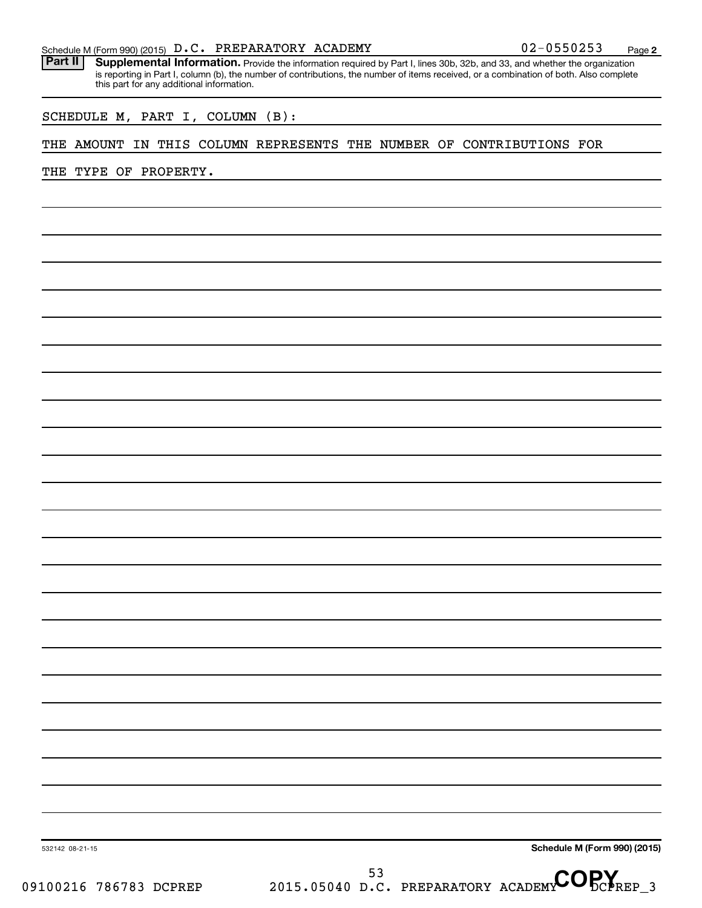Part II | Supplemental Information. Provide the information required by Part I, lines 30b, 32b, and 33, and whether the organization is reporting in Part I, column (b), the number of contributions, the number of items received, or a combination of both. Also complete this part for any additional information.

SCHEDULE M, PART I, COLUMN (B):

#### THE AMOUNT IN THIS COLUMN REPRESENTS THE NUMBER OF CONTRIBUTIONS FOR

THE TYPE OF PROPERTY.

**Schedule M (Form 990) (2015)**

532142 08-21-15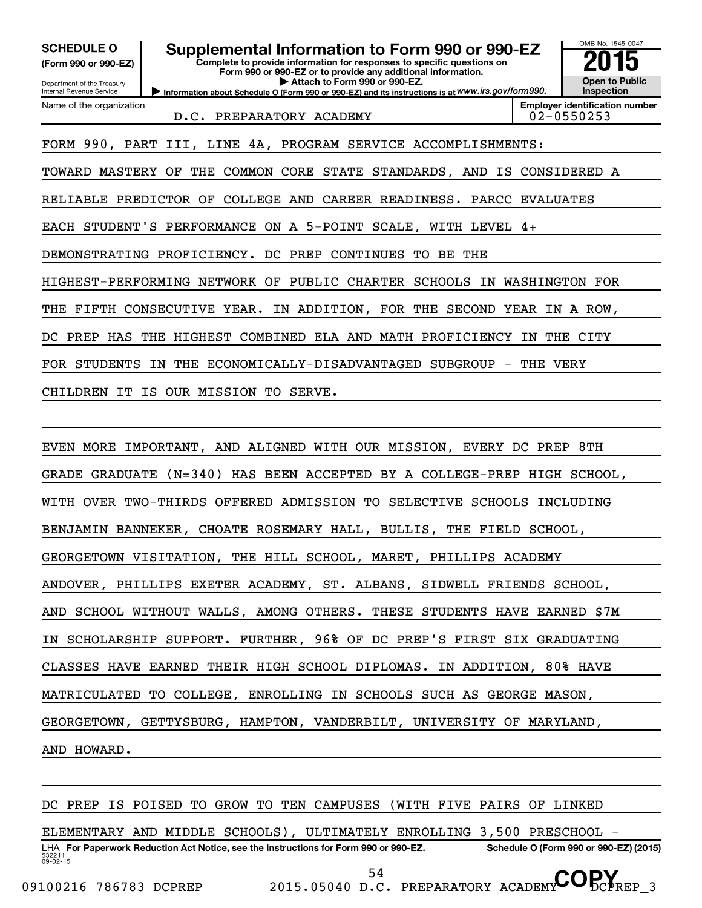| <b>SCHEDULE O</b><br>(Form 990 or 990-EZ)<br>Department of the Treasury<br>Internal Revenue Service | Supplemental Information to Form 990 or 990-EZ<br>Complete to provide information for responses to specific questions on<br>Form 990 or 990-EZ or to provide any additional information.<br>Attach to Form 990 or 990-EZ.<br>Information about Schedule O (Form 990 or 990-EZ) and its instructions is at WWW.irs.gov/form990. |  | OMB No. 1545-0047<br><b>Open to Public</b><br>Inspection |  |
|-----------------------------------------------------------------------------------------------------|--------------------------------------------------------------------------------------------------------------------------------------------------------------------------------------------------------------------------------------------------------------------------------------------------------------------------------|--|----------------------------------------------------------|--|
| Name of the organization                                                                            | <b>Employer identification number</b><br>02-0550253                                                                                                                                                                                                                                                                            |  |                                                          |  |
|                                                                                                     | FORM 990, PART III, LINE 4A, PROGRAM SERVICE ACCOMPLISHMENTS:                                                                                                                                                                                                                                                                  |  |                                                          |  |
| TOWARD MASTERY OF                                                                                   | THE COMMON CORE STATE STANDARDS, AND IS CONSIDERED A                                                                                                                                                                                                                                                                           |  |                                                          |  |
| RELIABLE PREDICTOR OF COLLEGE AND CAREER READINESS. PARCC EVALUATES                                 |                                                                                                                                                                                                                                                                                                                                |  |                                                          |  |
| EACH STUDENT'S PERFORMANCE ON A 5-POINT SCALE, WITH LEVEL 4+                                        |                                                                                                                                                                                                                                                                                                                                |  |                                                          |  |
| DEMONSTRATING PROFICIENCY. DC PREP CONTINUES<br>BE THE<br>TO.                                       |                                                                                                                                                                                                                                                                                                                                |  |                                                          |  |
| HIGHEST-PERFORMING NETWORK OF PUBLIC CHARTER SCHOOLS IN WASHINGTON FOR                              |                                                                                                                                                                                                                                                                                                                                |  |                                                          |  |
| FIFTH CONSECUTIVE YEAR. IN ADDITION, FOR THE SECOND YEAR IN A ROW,<br>THE                           |                                                                                                                                                                                                                                                                                                                                |  |                                                          |  |
| THE HIGHEST COMBINED ELA AND MATH PROFICIENCY<br>PREP HAS<br>IN THE CITY<br>DC.                     |                                                                                                                                                                                                                                                                                                                                |  |                                                          |  |
| THE ECONOMICALLY-DISADVANTAGED SUBGROUP -<br>FOR STUDENTS<br>THE VERY<br>IN                         |                                                                                                                                                                                                                                                                                                                                |  |                                                          |  |
| IS OUR MISSION TO SERVE.<br>CHILDREN IT                                                             |                                                                                                                                                                                                                                                                                                                                |  |                                                          |  |
|                                                                                                     |                                                                                                                                                                                                                                                                                                                                |  |                                                          |  |
| EVEN MORE IMPORTANT, AND ALIGNED WITH OUR MISSION, EVERY DC PREP 8TH                                |                                                                                                                                                                                                                                                                                                                                |  |                                                          |  |

GRADE GRADUATE (N=340) HAS BEEN ACCEPTED BY A COLLEGE-PREP HIGH SCHOOL,

WITH OVER TWO-THIRDS OFFERED ADMISSION TO SELECTIVE SCHOOLS INCLUDING

BENJAMIN BANNEKER, CHOATE ROSEMARY HALL, BULLIS, THE FIELD SCHOOL,

GEORGETOWN VISITATION, THE HILL SCHOOL, MARET, PHILLIPS ACADEMY

ANDOVER, PHILLIPS EXETER ACADEMY, ST. ALBANS, SIDWELL FRIENDS SCHOOL,

AND SCHOOL WITHOUT WALLS, AMONG OTHERS. THESE STUDENTS HAVE EARNED \$7M

IN SCHOLARSHIP SUPPORT. FURTHER, 96% OF DC PREP'S FIRST SIX GRADUATING

CLASSES HAVE EARNED THEIR HIGH SCHOOL DIPLOMAS. IN ADDITION, 80% HAVE

MATRICULATED TO COLLEGE, ENROLLING IN SCHOOLS SUCH AS GEORGE MASON,

GEORGETOWN, GETTYSBURG, HAMPTON, VANDERBILT, UNIVERSITY OF MARYLAND,

AND HOWARD.

DC PREP IS POISED TO GROW TO TEN CAMPUSES (WITH FIVE PAIRS OF LINKED

ELEMENTARY AND MIDDLE SCHOOLS), ULTIMATELY ENROLLING 3,500 PRESCHOOL -

532211  $09 - 02 - 15$ LHA For Paperwork Reduction Act Notice, see the Instructions for Form 990 or 990-EZ. Schedule O (Form 990 or 990-EZ) (2015)

<sup>54</sup> D.C. PREPARATORY ACADEMY COPY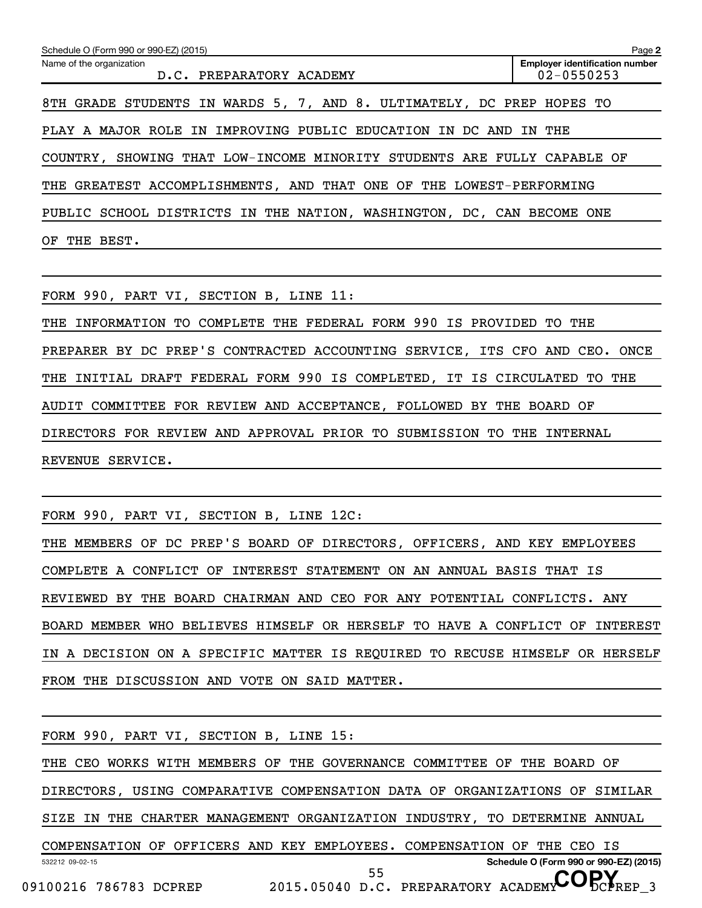| Schedule O (Form 990 or 990-EZ) (2015)                                  | Page 2                                                  |  |  |
|-------------------------------------------------------------------------|---------------------------------------------------------|--|--|
| Name of the organization<br>D.C. PREPARATORY ACADEMY                    | <b>Employer identification number</b><br>$02 - 0550253$ |  |  |
| 8TH GRADE STUDENTS IN WARDS 5, 7, AND 8. ULTIMATELY, DC PREP HOPES TO   |                                                         |  |  |
| PLAY A MAJOR ROLE IN IMPROVING PUBLIC EDUCATION IN DC AND               | THE<br>IN                                               |  |  |
| COUNTRY, SHOWING THAT LOW-INCOME MINORITY STUDENTS ARE FULLY CAPABLE OF |                                                         |  |  |
| THE GREATEST ACCOMPLISHMENTS, AND THAT ONE OF THE LOWEST-PERFORMING     |                                                         |  |  |
| PUBLIC SCHOOL DISTRICTS IN THE NATION, WASHINGTON, DC, CAN BECOME ONE   |                                                         |  |  |
| BEST.<br>OF<br>THE                                                      |                                                         |  |  |

FORM 990, PART VI, SECTION B, LINE 11:

THE INFORMATION TO COMPLETE THE FEDERAL FORM 990 IS PROVIDED TO THE PREPARER BY DC PREP'S CONTRACTED ACCOUNTING SERVICE, ITS CFO AND CEO. ONCE THE INITIAL DRAFT FEDERAL FORM 990 IS COMPLETED, IT IS CIRCULATED TO THE AUDIT COMMITTEE FOR REVIEW AND ACCEPTANCE, FOLLOWED BY THE BOARD OF DIRECTORS FOR REVIEW AND APPROVAL PRIOR TO SUBMISSION TO THE INTERNAL REVENUE SERVICE.

FORM 990, PART VI, SECTION B, LINE 12C:

THE MEMBERS OF DC PREP'S BOARD OF DIRECTORS, OFFICERS, AND KEY EMPLOYEES COMPLETE A CONFLICT OF INTEREST STATEMENT ON AN ANNUAL BASIS THAT IS REVIEWED BY THE BOARD CHAIRMAN AND CEO FOR ANY POTENTIAL CONFLICTS. ANY BOARD MEMBER WHO BELIEVES HIMSELF OR HERSELF TO HAVE A CONFLICT OF INTEREST IN A DECISION ON A SPECIFIC MATTER IS REQUIRED TO RECUSE HIMSELF OR HERSELF FROM THE DISCUSSION AND VOTE ON SAID MATTER.

532212 09-02-15 **Schedule O (Form 990 or 990-EZ) (2015)** FORM 990, PART VI, SECTION B, LINE 15: THE CEO WORKS WITH MEMBERS OF THE GOVERNANCE COMMITTEE OF THE BOARD OF DIRECTORS, USING COMPARATIVE COMPENSATION DATA OF ORGANIZATIONS OF SIMILAR SIZE IN THE CHARTER MANAGEMENT ORGANIZATION INDUSTRY, TO DETERMINE ANNUAL COMPENSATION OF OFFICERS AND KEY EMPLOYEES. COMPENSATION OF THE CEO IS 09100216 786783 DCPREP 2015.05040 D.C. PREPARATORY ACADEMY DCPREP 3 55 D.C. PREPARATORY ACADEMY COPY